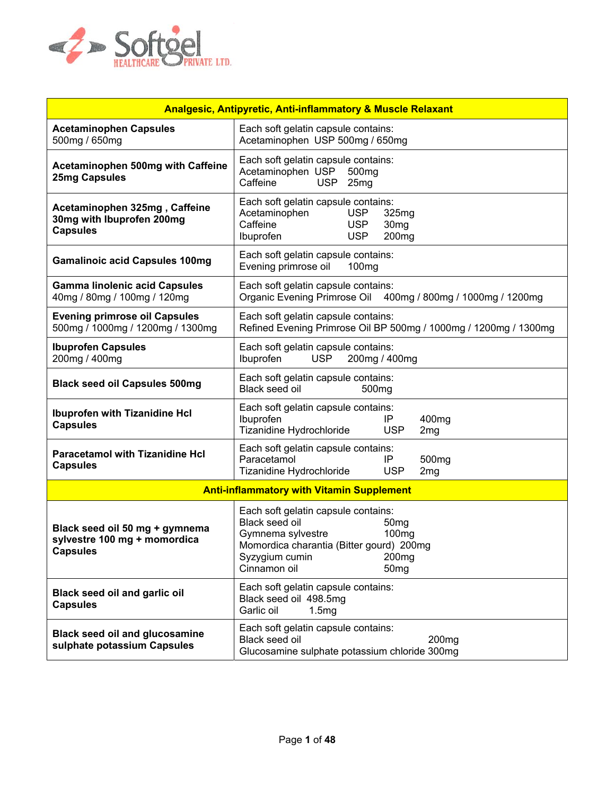

| <b>Analgesic, Antipyretic, Anti-inflammatory &amp; Muscle Relaxant</b>            |                                                                                                                                                                                                                                            |  |  |
|-----------------------------------------------------------------------------------|--------------------------------------------------------------------------------------------------------------------------------------------------------------------------------------------------------------------------------------------|--|--|
| <b>Acetaminophen Capsules</b><br>500mg / 650mg                                    | Each soft gelatin capsule contains:<br>Acetaminophen USP 500mg / 650mg                                                                                                                                                                     |  |  |
| <b>Acetaminophen 500mg with Caffeine</b><br><b>25mg Capsules</b>                  | Each soft gelatin capsule contains:<br>Acetaminophen USP<br>500 <sub>mg</sub><br>Caffeine<br><b>USP</b><br>25mg                                                                                                                            |  |  |
| Acetaminophen 325mg, Caffeine<br>30mg with Ibuprofen 200mg<br><b>Capsules</b>     | Each soft gelatin capsule contains:<br>Acetaminophen<br><b>USP</b><br>325mg<br>Caffeine<br><b>USP</b><br>30 <sub>mg</sub><br><b>USP</b><br>200 <sub>mg</sub><br>Ibuprofen                                                                  |  |  |
| <b>Gamalinoic acid Capsules 100mg</b>                                             | Each soft gelatin capsule contains:<br>Evening primrose oil<br>100 <sub>mg</sub>                                                                                                                                                           |  |  |
| <b>Gamma linolenic acid Capsules</b><br>40mg / 80mg / 100mg / 120mg               | Each soft gelatin capsule contains:<br>Organic Evening Primrose Oil<br>400mg / 800mg / 1000mg / 1200mg                                                                                                                                     |  |  |
| <b>Evening primrose oil Capsules</b><br>500mg / 1000mg / 1200mg / 1300mg          | Each soft gelatin capsule contains:<br>Refined Evening Primrose Oil BP 500mg / 1000mg / 1200mg / 1300mg                                                                                                                                    |  |  |
| <b>Ibuprofen Capsules</b><br>200mg / 400mg                                        | Each soft gelatin capsule contains:<br><b>USP</b><br>Ibuprofen<br>200mg / 400mg                                                                                                                                                            |  |  |
| <b>Black seed oil Capsules 500mg</b>                                              | Each soft gelatin capsule contains:<br>Black seed oil<br>500 <sub>mg</sub>                                                                                                                                                                 |  |  |
| <b>Ibuprofen with Tizanidine Hcl</b><br><b>Capsules</b>                           | Each soft gelatin capsule contains:<br>Ibuprofen<br>400mg<br>IP<br>Tizanidine Hydrochloride<br><b>USP</b><br>2 <sub>mg</sub>                                                                                                               |  |  |
| <b>Paracetamol with Tizanidine Hcl</b><br><b>Capsules</b>                         | Each soft gelatin capsule contains:<br>Paracetamol<br>IP<br>500 <sub>mg</sub><br>Tizanidine Hydrochloride<br><b>USP</b><br>2 <sub>mg</sub>                                                                                                 |  |  |
|                                                                                   | <b>Anti-inflammatory with Vitamin Supplement</b>                                                                                                                                                                                           |  |  |
| Black seed oil 50 mg + gymnema<br>sylvestre 100 mg + momordica<br><b>Capsules</b> | Each soft gelatin capsule contains:<br>Black seed oil<br>50 <sub>mg</sub><br>Gymnema sylvestre<br>100 <sub>mg</sub><br>Momordica charantia (Bitter gourd) 200mg<br>Syzygium cumin<br>200 <sub>mg</sub><br>Cinnamon oil<br>50 <sub>mg</sub> |  |  |
| Black seed oil and garlic oil<br><b>Capsules</b>                                  | Each soft gelatin capsule contains:<br>Black seed oil 498.5mg<br>Garlic oil<br>1.5mg                                                                                                                                                       |  |  |
| <b>Black seed oil and glucosamine</b><br>sulphate potassium Capsules              | Each soft gelatin capsule contains:<br>Black seed oil<br>200 <sub>mg</sub><br>Glucosamine sulphate potassium chloride 300mg                                                                                                                |  |  |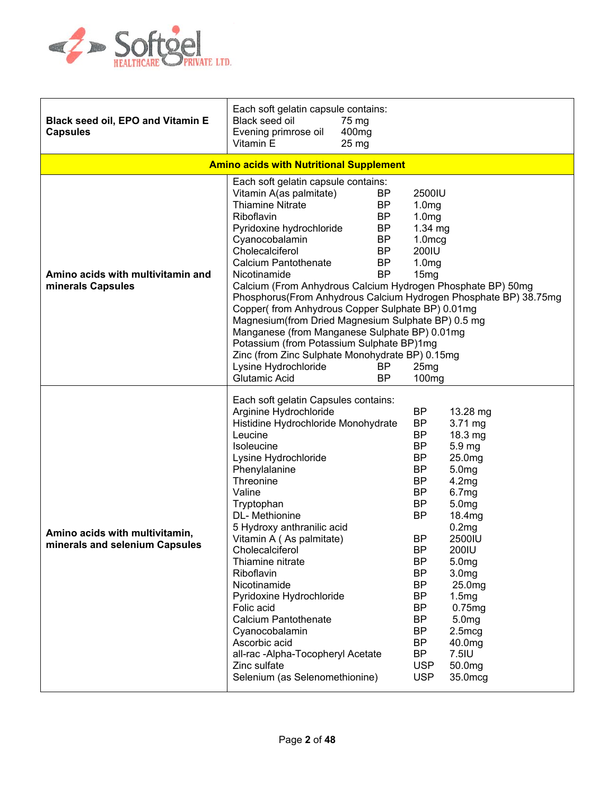

| <b>Black seed oil, EPO and Vitamin E</b><br><b>Capsules</b>      | Each soft gelatin capsule contains:<br>Black seed oil<br>75 mg<br>Evening primrose oil<br>400 <sub>mg</sub><br>Vitamin E<br>$25 \text{ mg}$                                                                                                                                                                                                                                                                                                                                                                                                                                                                                                                                                                                                                                                       |                                                                                                                                                                                                                                                                                                                                                                                                                                                                                                                                                                                                                          |
|------------------------------------------------------------------|---------------------------------------------------------------------------------------------------------------------------------------------------------------------------------------------------------------------------------------------------------------------------------------------------------------------------------------------------------------------------------------------------------------------------------------------------------------------------------------------------------------------------------------------------------------------------------------------------------------------------------------------------------------------------------------------------------------------------------------------------------------------------------------------------|--------------------------------------------------------------------------------------------------------------------------------------------------------------------------------------------------------------------------------------------------------------------------------------------------------------------------------------------------------------------------------------------------------------------------------------------------------------------------------------------------------------------------------------------------------------------------------------------------------------------------|
|                                                                  | <b>Amino acids with Nutritional Supplement</b>                                                                                                                                                                                                                                                                                                                                                                                                                                                                                                                                                                                                                                                                                                                                                    |                                                                                                                                                                                                                                                                                                                                                                                                                                                                                                                                                                                                                          |
| Amino acids with multivitamin and<br>minerals Capsules           | Each soft gelatin capsule contains:<br>Vitamin A(as palmitate)<br><b>BP</b><br><b>Thiamine Nitrate</b><br><b>BP</b><br><b>BP</b><br>Riboflavin<br>Pyridoxine hydrochloride<br><b>BP</b><br>Cyanocobalamin<br><b>BP</b><br>Cholecalciferol<br><b>BP</b><br><b>Calcium Pantothenate</b><br><b>BP</b><br><b>BP</b><br>Nicotinamide<br>Calcium (From Anhydrous Calcium Hydrogen Phosphate BP) 50mg<br>Phosphorus(From Anhydrous Calcium Hydrogen Phosphate BP) 38.75mg<br>Copper(from Anhydrous Copper Sulphate BP) 0.01mg<br>Magnesium (from Dried Magnesium Sulphate BP) 0.5 mg<br>Manganese (from Manganese Sulphate BP) 0.01mg<br>Potassium (from Potassium Sulphate BP)1mg<br>Zinc (from Zinc Sulphate Monohydrate BP) 0.15mg<br>Lysine Hydrochloride<br>BP<br><b>Glutamic Acid</b><br><b>BP</b> | 2500IU<br>1.0 <sub>mg</sub><br>1.0 <sub>mg</sub><br>$1.34$ mg<br>$1.0$ mcg<br>200IU<br>1.0 <sub>mg</sub><br>15mg<br>25 <sub>mg</sub><br>100 <sub>mg</sub>                                                                                                                                                                                                                                                                                                                                                                                                                                                                |
| Amino acids with multivitamin,<br>minerals and selenium Capsules | Each soft gelatin Capsules contains:<br>Arginine Hydrochloride<br>Histidine Hydrochloride Monohydrate<br>Leucine<br>Isoleucine<br>Lysine Hydrochloride<br>Phenylalanine<br>Threonine<br>Valine<br>Tryptophan<br>DL-Methionine<br>5 Hydroxy anthranilic acid<br>Vitamin A (As palmitate)<br>Cholecalciferol<br>Thiamine nitrate<br>Riboflavin<br>Nicotinamide<br>Pyridoxine Hydrochloride<br>Folic acid<br><b>Calcium Pantothenate</b><br>Cyanocobalamin<br>Ascorbic acid<br>all-rac-Alpha-Tocopheryl Acetate<br>Zinc sulfate<br>Selenium (as Selenomethionine)                                                                                                                                                                                                                                    | <b>BP</b><br>13.28 mg<br><b>BP</b><br>$3.71 \text{ mg}$<br><b>BP</b><br>$18.3 \text{ mg}$<br><b>BP</b><br>5.9 mg<br><b>BP</b><br>25.0mg<br><b>BP</b><br>5.0mg<br><b>BP</b><br>4.2mg<br><b>BP</b><br>6.7mg<br><b>BP</b><br>5.0 <sub>mg</sub><br><b>BP</b><br>18.4mg<br>0.2 <sub>mg</sub><br>BP<br>2500IU<br>ВP<br>200IU<br><b>BP</b><br>5.0 <sub>mg</sub><br><b>BP</b><br>3.0 <sub>mg</sub><br><b>BP</b><br>25.0mg<br><b>BP</b><br>1.5mg<br><b>BP</b><br>0.75mg<br>BP<br>5.0 <sub>mg</sub><br><b>BP</b><br>$2.5 \text{mcg}$<br><b>BP</b><br>40.0mg<br><b>BP</b><br>7.5IU<br><b>USP</b><br>50.0mg<br><b>USP</b><br>35.0mcg |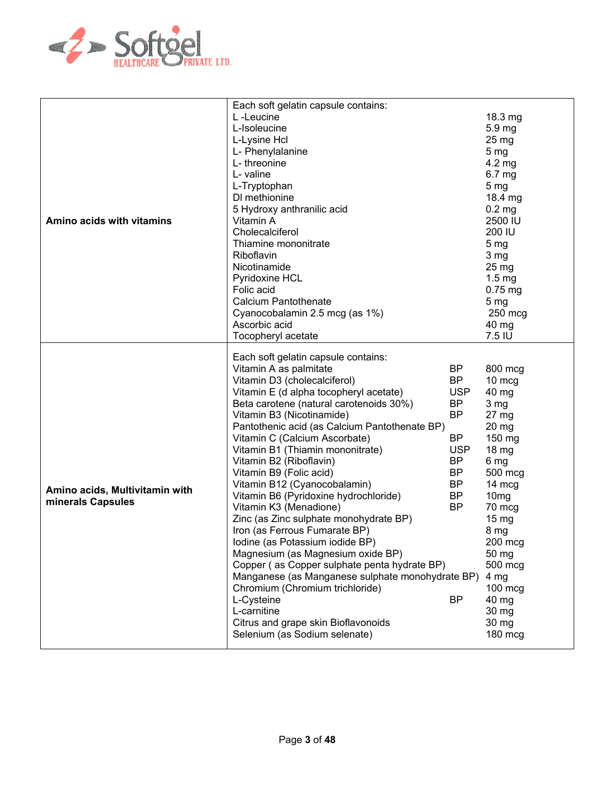

|                                                     | Each soft gelatin capsule contains:                                                                                                                                                                                                                                                                                                                                                                                                                                                                                                                                                                                                                                                                                                                   |                                                                                                                                                            |                                                                                                                                                                                                                               |
|-----------------------------------------------------|-------------------------------------------------------------------------------------------------------------------------------------------------------------------------------------------------------------------------------------------------------------------------------------------------------------------------------------------------------------------------------------------------------------------------------------------------------------------------------------------------------------------------------------------------------------------------------------------------------------------------------------------------------------------------------------------------------------------------------------------------------|------------------------------------------------------------------------------------------------------------------------------------------------------------|-------------------------------------------------------------------------------------------------------------------------------------------------------------------------------------------------------------------------------|
|                                                     | L-Leucine                                                                                                                                                                                                                                                                                                                                                                                                                                                                                                                                                                                                                                                                                                                                             |                                                                                                                                                            | 18.3 mg                                                                                                                                                                                                                       |
|                                                     | L-Isoleucine                                                                                                                                                                                                                                                                                                                                                                                                                                                                                                                                                                                                                                                                                                                                          |                                                                                                                                                            | 5.9 mg                                                                                                                                                                                                                        |
|                                                     | L-Lysine Hcl                                                                                                                                                                                                                                                                                                                                                                                                                                                                                                                                                                                                                                                                                                                                          |                                                                                                                                                            | $25 \text{ mg}$                                                                                                                                                                                                               |
|                                                     | L- Phenylalanine                                                                                                                                                                                                                                                                                                                                                                                                                                                                                                                                                                                                                                                                                                                                      |                                                                                                                                                            | 5 <sub>mg</sub>                                                                                                                                                                                                               |
|                                                     | L-threonine                                                                                                                                                                                                                                                                                                                                                                                                                                                                                                                                                                                                                                                                                                                                           |                                                                                                                                                            | 4.2 mg                                                                                                                                                                                                                        |
|                                                     | L- valine                                                                                                                                                                                                                                                                                                                                                                                                                                                                                                                                                                                                                                                                                                                                             |                                                                                                                                                            | 6.7 <sub>mg</sub>                                                                                                                                                                                                             |
|                                                     |                                                                                                                                                                                                                                                                                                                                                                                                                                                                                                                                                                                                                                                                                                                                                       |                                                                                                                                                            |                                                                                                                                                                                                                               |
|                                                     | L-Tryptophan                                                                                                                                                                                                                                                                                                                                                                                                                                                                                                                                                                                                                                                                                                                                          |                                                                                                                                                            | 5 <sub>mg</sub>                                                                                                                                                                                                               |
|                                                     | DI methionine                                                                                                                                                                                                                                                                                                                                                                                                                                                                                                                                                                                                                                                                                                                                         |                                                                                                                                                            | 18.4 mg                                                                                                                                                                                                                       |
|                                                     | 5 Hydroxy anthranilic acid                                                                                                                                                                                                                                                                                                                                                                                                                                                                                                                                                                                                                                                                                                                            |                                                                                                                                                            | 0.2 <sub>mg</sub>                                                                                                                                                                                                             |
| Amino acids with vitamins                           | Vitamin A                                                                                                                                                                                                                                                                                                                                                                                                                                                                                                                                                                                                                                                                                                                                             |                                                                                                                                                            | 2500 IU                                                                                                                                                                                                                       |
|                                                     | Cholecalciferol                                                                                                                                                                                                                                                                                                                                                                                                                                                                                                                                                                                                                                                                                                                                       |                                                                                                                                                            | 200 IU                                                                                                                                                                                                                        |
|                                                     | Thiamine mononitrate                                                                                                                                                                                                                                                                                                                                                                                                                                                                                                                                                                                                                                                                                                                                  |                                                                                                                                                            | 5 <sub>mg</sub>                                                                                                                                                                                                               |
|                                                     | Riboflavin                                                                                                                                                                                                                                                                                                                                                                                                                                                                                                                                                                                                                                                                                                                                            |                                                                                                                                                            | 3 <sub>mg</sub>                                                                                                                                                                                                               |
|                                                     | Nicotinamide                                                                                                                                                                                                                                                                                                                                                                                                                                                                                                                                                                                                                                                                                                                                          |                                                                                                                                                            | $25 \,\mathrm{mg}$                                                                                                                                                                                                            |
|                                                     | Pyridoxine HCL                                                                                                                                                                                                                                                                                                                                                                                                                                                                                                                                                                                                                                                                                                                                        |                                                                                                                                                            | $1.5 \text{ mg}$                                                                                                                                                                                                              |
|                                                     | Folic acid                                                                                                                                                                                                                                                                                                                                                                                                                                                                                                                                                                                                                                                                                                                                            |                                                                                                                                                            | $0.75$ mg                                                                                                                                                                                                                     |
|                                                     | <b>Calcium Pantothenate</b>                                                                                                                                                                                                                                                                                                                                                                                                                                                                                                                                                                                                                                                                                                                           |                                                                                                                                                            | 5 <sub>mg</sub>                                                                                                                                                                                                               |
|                                                     | Cyanocobalamin 2.5 mcg (as 1%)                                                                                                                                                                                                                                                                                                                                                                                                                                                                                                                                                                                                                                                                                                                        |                                                                                                                                                            | $250$ mcg                                                                                                                                                                                                                     |
|                                                     | Ascorbic acid                                                                                                                                                                                                                                                                                                                                                                                                                                                                                                                                                                                                                                                                                                                                         |                                                                                                                                                            | 40 mg                                                                                                                                                                                                                         |
|                                                     | Tocopheryl acetate                                                                                                                                                                                                                                                                                                                                                                                                                                                                                                                                                                                                                                                                                                                                    |                                                                                                                                                            | 7.5 IU                                                                                                                                                                                                                        |
| Amino acids, Multivitamin with<br>minerals Capsules | Each soft gelatin capsule contains:<br>Vitamin A as palmitate<br>Vitamin D3 (cholecalciferol)<br>Vitamin E (d alpha tocopheryl acetate)<br>Beta carotene (natural carotenoids 30%)<br>Vitamin B3 (Nicotinamide)<br>Pantothenic acid (as Calcium Pantothenate BP)<br>Vitamin C (Calcium Ascorbate)<br>Vitamin B1 (Thiamin mononitrate)<br>Vitamin B2 (Riboflavin)<br>Vitamin B9 (Folic acid)<br>Vitamin B12 (Cyanocobalamin)<br>Vitamin B6 (Pyridoxine hydrochloride)<br>Vitamin K3 (Menadione)<br>Zinc (as Zinc sulphate monohydrate BP)<br>Iron (as Ferrous Fumarate BP)<br>Iodine (as Potassium iodide BP)<br>Magnesium (as Magnesium oxide BP)<br>Copper (as Copper sulphate penta hydrate BP)<br>Manganese (as Manganese sulphate monohydrate BP) | <b>BP</b><br><b>BP</b><br><b>USP</b><br><b>BP</b><br><b>BP</b><br><b>BP</b><br><b>USP</b><br><b>BP</b><br><b>BP</b><br><b>BP</b><br><b>BP</b><br><b>BP</b> | 800 mcg<br>10 mcg<br>40 mg<br>3 <sub>mg</sub><br>27 mg<br>$20$ mg<br>150 mg<br>18 mg<br>6 mg<br>500 mcg<br>14 mcg<br>10 <sub>mg</sub><br>70 mcg<br>15 <sub>mg</sub><br>8 mg<br>200 mcg<br>50 mg<br>500 mcg<br>4 <sub>mg</sub> |
|                                                     | Chromium (Chromium trichloride)                                                                                                                                                                                                                                                                                                                                                                                                                                                                                                                                                                                                                                                                                                                       |                                                                                                                                                            | $100 \text{ mcg}$                                                                                                                                                                                                             |
|                                                     | L-Cysteine                                                                                                                                                                                                                                                                                                                                                                                                                                                                                                                                                                                                                                                                                                                                            | <b>BP</b>                                                                                                                                                  | 40 mg                                                                                                                                                                                                                         |
|                                                     | L-carnitine                                                                                                                                                                                                                                                                                                                                                                                                                                                                                                                                                                                                                                                                                                                                           |                                                                                                                                                            | 30 mg                                                                                                                                                                                                                         |
|                                                     | Citrus and grape skin Bioflavonoids                                                                                                                                                                                                                                                                                                                                                                                                                                                                                                                                                                                                                                                                                                                   |                                                                                                                                                            | 30 mg                                                                                                                                                                                                                         |
|                                                     | Selenium (as Sodium selenate)                                                                                                                                                                                                                                                                                                                                                                                                                                                                                                                                                                                                                                                                                                                         |                                                                                                                                                            | 180 mcg                                                                                                                                                                                                                       |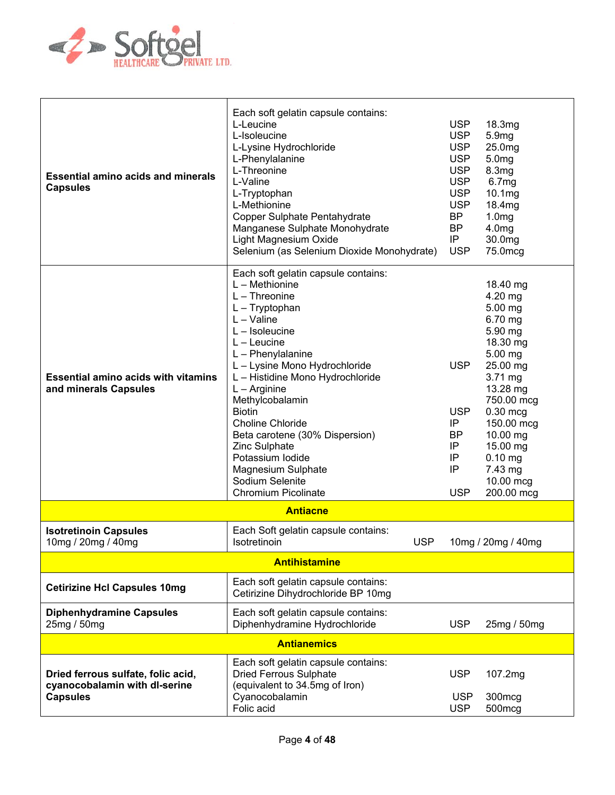

| <b>Essential amino acids and minerals</b><br><b>Capsules</b>                           | Each soft gelatin capsule contains:<br>L-Leucine<br>L-Isoleucine<br>L-Lysine Hydrochloride<br>L-Phenylalanine<br>L-Threonine<br>L-Valine<br>L-Tryptophan<br>L-Methionine<br>Copper Sulphate Pentahydrate<br>Manganese Sulphate Monohydrate<br>Light Magnesium Oxide<br>Selenium (as Selenium Dioxide Monohydrate)                                                                                                                                                             | <b>USP</b><br><b>USP</b><br><b>USP</b><br><b>USP</b><br><b>USP</b><br><b>USP</b><br><b>USP</b><br><b>USP</b><br><b>BP</b><br><b>BP</b><br>IP<br><b>USP</b> | 18.3mg<br>5.9mg<br>25.0mg<br>5.0 <sub>mg</sub><br>8.3 <sub>mg</sub><br>6.7 <sub>mg</sub><br>10.1mg<br>18.4mg<br>1.0 <sub>mg</sub><br>4.0 <sub>mg</sub><br>30.0mg<br>75.0mcg                                                                   |
|----------------------------------------------------------------------------------------|-------------------------------------------------------------------------------------------------------------------------------------------------------------------------------------------------------------------------------------------------------------------------------------------------------------------------------------------------------------------------------------------------------------------------------------------------------------------------------|------------------------------------------------------------------------------------------------------------------------------------------------------------|-----------------------------------------------------------------------------------------------------------------------------------------------------------------------------------------------------------------------------------------------|
| <b>Essential amino acids with vitamins</b><br>and minerals Capsules                    | Each soft gelatin capsule contains:<br>$L - Methionine$<br>$L$ – Threonine<br>$L - Tryptophan$<br>$L - Value$<br>$L -$ Isoleucine<br>$L -$ Leucine<br>$L$ – Phenylalanine<br>L - Lysine Mono Hydrochloride<br>L - Histidine Mono Hydrochloride<br>$L -$ Arginine<br>Methylcobalamin<br><b>Biotin</b><br><b>Choline Chloride</b><br>Beta carotene (30% Dispersion)<br>Zinc Sulphate<br>Potassium Iodide<br>Magnesium Sulphate<br>Sodium Selenite<br><b>Chromium Picolinate</b> | <b>USP</b><br><b>USP</b><br>IP<br><b>BP</b><br>IP<br>IP<br>IP<br><b>USP</b>                                                                                | 18.40 mg<br>4.20 mg<br>5.00 mg<br>6.70 mg<br>5.90 mg<br>18.30 mg<br>$5.00$ mg<br>25.00 mg<br>$3.71 \text{ mg}$<br>13.28 mg<br>750.00 mcg<br>0.30 mcg<br>150.00 mcg<br>10.00 mg<br>15.00 mg<br>$0.10$ mg<br>7.43 mg<br>10.00 mcg<br>200.00 mcg |
|                                                                                        | <b>Antiacne</b>                                                                                                                                                                                                                                                                                                                                                                                                                                                               |                                                                                                                                                            |                                                                                                                                                                                                                                               |
| <b>Isotretinoin Capsules</b><br>10mg / 20mg / 40mg                                     | Each Soft gelatin capsule contains:<br><b>USP</b><br>Isotretinoin                                                                                                                                                                                                                                                                                                                                                                                                             |                                                                                                                                                            | 10mg / 20mg / 40mg                                                                                                                                                                                                                            |
|                                                                                        | <b>Antihistamine</b>                                                                                                                                                                                                                                                                                                                                                                                                                                                          |                                                                                                                                                            |                                                                                                                                                                                                                                               |
| <b>Cetirizine Hcl Capsules 10mg</b>                                                    | Each soft gelatin capsule contains:<br>Cetirizine Dihydrochloride BP 10mg                                                                                                                                                                                                                                                                                                                                                                                                     |                                                                                                                                                            |                                                                                                                                                                                                                                               |
| <b>Diphenhydramine Capsules</b><br>25mg / 50mg                                         | Each soft gelatin capsule contains:<br>Diphenhydramine Hydrochloride                                                                                                                                                                                                                                                                                                                                                                                                          | <b>USP</b>                                                                                                                                                 | 25mg / 50mg                                                                                                                                                                                                                                   |
|                                                                                        | <b>Antianemics</b>                                                                                                                                                                                                                                                                                                                                                                                                                                                            |                                                                                                                                                            |                                                                                                                                                                                                                                               |
| Dried ferrous sulfate, folic acid,<br>cyanocobalamin with dl-serine<br><b>Capsules</b> | Each soft gelatin capsule contains:<br><b>Dried Ferrous Sulphate</b><br>(equivalent to 34.5mg of Iron)<br>Cyanocobalamin<br>Folic acid                                                                                                                                                                                                                                                                                                                                        | <b>USP</b><br><b>USP</b><br><b>USP</b>                                                                                                                     | 107.2mg<br>300mcg<br>500mcg                                                                                                                                                                                                                   |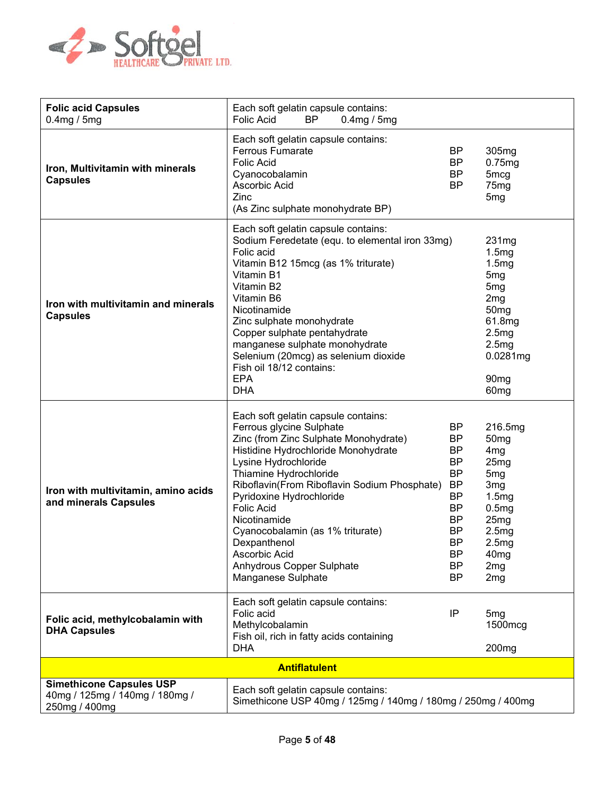

| <b>Folic acid Capsules</b>                                                         | Each soft gelatin capsule contains:                                                                                                                                                                                                                                                                                                                                                                                                        |                                                                                                                                                                                    |                                                                                                                                                                                                                                        |
|------------------------------------------------------------------------------------|--------------------------------------------------------------------------------------------------------------------------------------------------------------------------------------------------------------------------------------------------------------------------------------------------------------------------------------------------------------------------------------------------------------------------------------------|------------------------------------------------------------------------------------------------------------------------------------------------------------------------------------|----------------------------------------------------------------------------------------------------------------------------------------------------------------------------------------------------------------------------------------|
| 0.4mg / 5mg                                                                        | <b>Folic Acid</b><br><b>BP</b><br>0.4mg / 5mg                                                                                                                                                                                                                                                                                                                                                                                              |                                                                                                                                                                                    |                                                                                                                                                                                                                                        |
| Iron, Multivitamin with minerals<br><b>Capsules</b>                                | Each soft gelatin capsule contains:<br><b>Ferrous Fumarate</b><br><b>Folic Acid</b><br>Cyanocobalamin<br>Ascorbic Acid<br>Zinc<br>(As Zinc sulphate monohydrate BP)                                                                                                                                                                                                                                                                        | <b>BP</b><br><b>BP</b><br><b>BP</b><br><b>BP</b>                                                                                                                                   | 305mg<br>0.75mg<br>5 <sub>mcg</sub><br>75mg<br>5 <sub>mg</sub>                                                                                                                                                                         |
| Iron with multivitamin and minerals<br><b>Capsules</b>                             | Each soft gelatin capsule contains:<br>Sodium Feredetate (equ. to elemental iron 33mg)<br>Folic acid<br>Vitamin B12 15mcg (as 1% triturate)<br>Vitamin B1<br>Vitamin B2<br>Vitamin B6<br>Nicotinamide<br>Zinc sulphate monohydrate<br>Copper sulphate pentahydrate<br>manganese sulphate monohydrate<br>Selenium (20mcg) as selenium dioxide<br>Fish oil 18/12 contains:<br><b>EPA</b><br><b>DHA</b>                                       |                                                                                                                                                                                    | 231mg<br>1.5mg<br>1.5mg<br>5 <sub>mg</sub><br>5 <sub>mg</sub><br>2 <sub>mg</sub><br>50 <sub>mg</sub><br>61.8mg<br>2.5mg<br>2.5mg<br>0.0281mg<br>90 <sub>mg</sub><br>60 <sub>mg</sub>                                                   |
| Iron with multivitamin, amino acids<br>and minerals Capsules                       | Each soft gelatin capsule contains:<br>Ferrous glycine Sulphate<br>Zinc (from Zinc Sulphate Monohydrate)<br>Histidine Hydrochloride Monohydrate<br>Lysine Hydrochloride<br>Thiamine Hydrochloride<br>Riboflavin(From Riboflavin Sodium Phosphate)<br>Pyridoxine Hydrochloride<br><b>Folic Acid</b><br>Nicotinamide<br>Cyanocobalamin (as 1% triturate)<br>Dexpanthenol<br>Ascorbic Acid<br>Anhydrous Copper Sulphate<br>Manganese Sulphate | <b>BP</b><br><b>BP</b><br><b>BP</b><br><b>BP</b><br><b>BP</b><br><b>BP</b><br><b>BP</b><br><b>BP</b><br><b>BP</b><br><b>BP</b><br><b>BP</b><br><b>BP</b><br><b>BP</b><br><b>BP</b> | 216.5mg<br>50 <sub>mg</sub><br>4 <sub>mg</sub><br>25 <sub>mg</sub><br>5 <sub>mg</sub><br>3 <sub>mg</sub><br>1.5mg<br>0.5mg<br>25 <sub>mg</sub><br>2.5 <sub>mg</sub><br>2.5mg<br>40 <sub>mg</sub><br>2 <sub>mg</sub><br>2 <sub>mg</sub> |
| Folic acid, methylcobalamin with<br><b>DHA Capsules</b>                            | Each soft gelatin capsule contains:<br>Folic acid<br>Methylcobalamin<br>Fish oil, rich in fatty acids containing<br><b>DHA</b>                                                                                                                                                                                                                                                                                                             | IP                                                                                                                                                                                 | 5mg<br>1500mcg<br>200 <sub>mg</sub>                                                                                                                                                                                                    |
|                                                                                    | <b>Antiflatulent</b>                                                                                                                                                                                                                                                                                                                                                                                                                       |                                                                                                                                                                                    |                                                                                                                                                                                                                                        |
| <b>Simethicone Capsules USP</b><br>40mg / 125mg / 140mg / 180mg /<br>250mg / 400mg | Each soft gelatin capsule contains:<br>Simethicone USP 40mg / 125mg / 140mg / 180mg / 250mg / 400mg                                                                                                                                                                                                                                                                                                                                        |                                                                                                                                                                                    |                                                                                                                                                                                                                                        |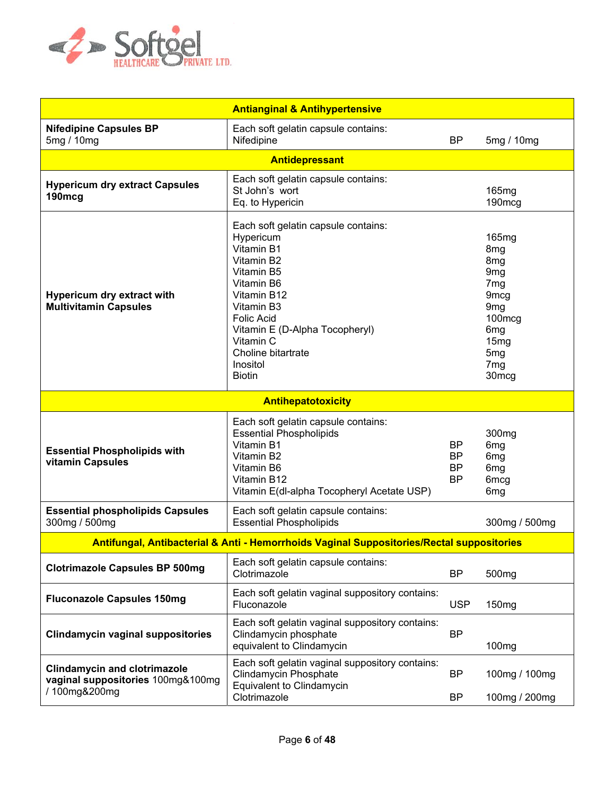

| <b>Antianginal &amp; Antihypertensive</b>                                                |                                                                                                                                                                                                                                                              |                                    |                                                                                                                                                                                                                                      |
|------------------------------------------------------------------------------------------|--------------------------------------------------------------------------------------------------------------------------------------------------------------------------------------------------------------------------------------------------------------|------------------------------------|--------------------------------------------------------------------------------------------------------------------------------------------------------------------------------------------------------------------------------------|
| <b>Nifedipine Capsules BP</b><br>5mg / 10mg                                              | Each soft gelatin capsule contains:<br>Nifedipine                                                                                                                                                                                                            | <b>BP</b>                          | 5mg / 10mg                                                                                                                                                                                                                           |
|                                                                                          | <b>Antidepressant</b>                                                                                                                                                                                                                                        |                                    |                                                                                                                                                                                                                                      |
| <b>Hypericum dry extract Capsules</b><br>190mcg                                          | Each soft gelatin capsule contains:<br>St John's wort<br>Eq. to Hypericin                                                                                                                                                                                    |                                    | 165 <sub>mg</sub><br>190mcg                                                                                                                                                                                                          |
| Hypericum dry extract with<br><b>Multivitamin Capsules</b>                               | Each soft gelatin capsule contains:<br>Hypericum<br>Vitamin B1<br>Vitamin B2<br>Vitamin B5<br>Vitamin B6<br>Vitamin B12<br>Vitamin B3<br><b>Folic Acid</b><br>Vitamin E (D-Alpha Tocopheryl)<br>Vitamin C<br>Choline bitartrate<br>Inositol<br><b>Biotin</b> |                                    | 165 <sub>mg</sub><br>8 <sub>mg</sub><br>8 <sub>mg</sub><br>9 <sub>mg</sub><br>7 <sub>mg</sub><br>9 <sub>mcg</sub><br>9 <sub>mg</sub><br>100mcg<br>6 <sub>mg</sub><br>15mg<br>5 <sub>mg</sub><br>7 <sub>mg</sub><br>30 <sub>mcg</sub> |
|                                                                                          | Antihepatotoxicity                                                                                                                                                                                                                                           |                                    |                                                                                                                                                                                                                                      |
| <b>Essential Phospholipids with</b><br>vitamin Capsules                                  | Each soft gelatin capsule contains:<br><b>Essential Phospholipids</b><br>Vitamin B1<br>Vitamin B2<br>Vitamin B6<br>Vitamin B12<br>Vitamin E(dl-alpha Tocopheryl Acetate USP)                                                                                 | <b>BP</b><br>BP<br>BP<br><b>BP</b> | 300 <sub>mg</sub><br>6 <sub>mg</sub><br>6 <sub>mg</sub><br>6 <sub>mg</sub><br>6 <sub>mcg</sub><br>6 <sub>mg</sub>                                                                                                                    |
| <b>Essential phospholipids Capsules</b><br>300mg / 500mg                                 | Each soft gelatin capsule contains:<br><b>Essential Phospholipids</b>                                                                                                                                                                                        |                                    | 300mg / 500mg                                                                                                                                                                                                                        |
|                                                                                          | Antifungal, Antibacterial & Anti - Hemorrhoids Vaginal Suppositories/Rectal suppositories                                                                                                                                                                    |                                    |                                                                                                                                                                                                                                      |
| <b>Clotrimazole Capsules BP 500mg</b>                                                    | Each soft gelatin capsule contains:<br>Clotrimazole                                                                                                                                                                                                          | <b>BP</b>                          | 500 <sub>mg</sub>                                                                                                                                                                                                                    |
| <b>Fluconazole Capsules 150mg</b>                                                        | Each soft gelatin vaginal suppository contains:<br>Fluconazole                                                                                                                                                                                               | <b>USP</b>                         | 150 <sub>mg</sub>                                                                                                                                                                                                                    |
| <b>Clindamycin vaginal suppositories</b>                                                 | Each soft gelatin vaginal suppository contains:<br>Clindamycin phosphate<br>equivalent to Clindamycin                                                                                                                                                        | <b>BP</b>                          | 100 <sub>mg</sub>                                                                                                                                                                                                                    |
| <b>Clindamycin and clotrimazole</b><br>vaginal suppositories 100mg&100mg<br>/100mg&200mg | Each soft gelatin vaginal suppository contains:<br>Clindamycin Phosphate<br>Equivalent to Clindamycin                                                                                                                                                        | <b>BP</b><br><b>BP</b>             | 100mg / 100mg                                                                                                                                                                                                                        |
|                                                                                          | Clotrimazole                                                                                                                                                                                                                                                 |                                    | 100mg / 200mg                                                                                                                                                                                                                        |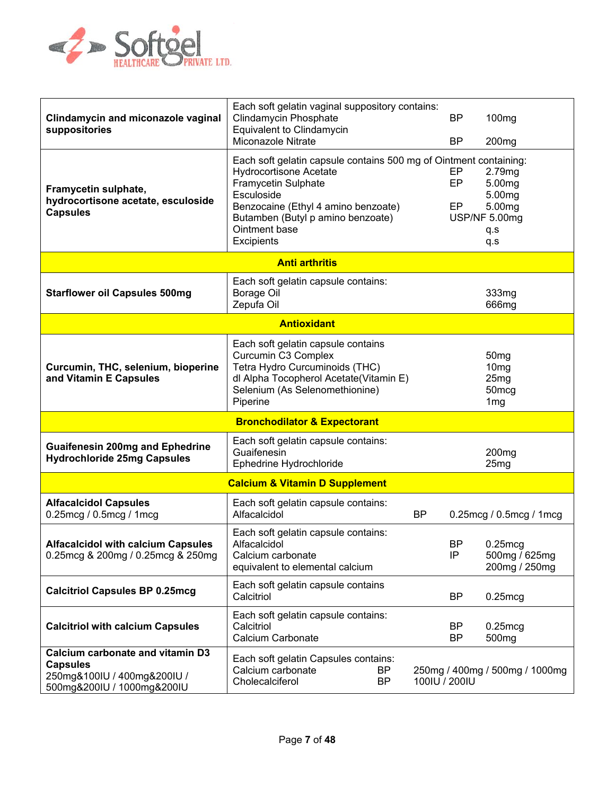

| Clindamycin and miconazole vaginal<br>suppositories                                                              | Each soft gelatin vaginal suppository contains:<br><b>Clindamycin Phosphate</b><br>Equivalent to Clindamycin<br>Miconazole Nitrate                                                                                                                 |               | <b>BP</b><br><b>BP</b> | 100mg<br>200 <sub>mg</sub>                                                           |
|------------------------------------------------------------------------------------------------------------------|----------------------------------------------------------------------------------------------------------------------------------------------------------------------------------------------------------------------------------------------------|---------------|------------------------|--------------------------------------------------------------------------------------|
| Framycetin sulphate,<br>hydrocortisone acetate, esculoside<br><b>Capsules</b>                                    | Each soft gelatin capsule contains 500 mg of Ointment containing:<br><b>Hydrocortisone Acetate</b><br>Framycetin Sulphate<br>Esculoside<br>Benzocaine (Ethyl 4 amino benzoate)<br>Butamben (Butyl p amino benzoate)<br>Ointment base<br>Excipients |               | EP<br>EP<br>EP         | 2.79mg<br>5.00mg<br>5.00mg<br>5.00mg<br>USP/NF 5.00mg<br>q.s<br>q.s                  |
|                                                                                                                  | <b>Anti arthritis</b>                                                                                                                                                                                                                              |               |                        |                                                                                      |
| <b>Starflower oil Capsules 500mg</b>                                                                             | Each soft gelatin capsule contains:<br><b>Borage Oil</b><br>Zepufa Oil                                                                                                                                                                             |               |                        | 333mg<br>666mg                                                                       |
|                                                                                                                  | <b>Antioxidant</b>                                                                                                                                                                                                                                 |               |                        |                                                                                      |
| Curcumin, THC, selenium, bioperine<br>and Vitamin E Capsules                                                     | Each soft gelatin capsule contains<br>Curcumin C3 Complex<br>Tetra Hydro Curcuminoids (THC)<br>dl Alpha Tocopherol Acetate(Vitamin E)<br>Selenium (As Selenomethionine)<br>Piperine                                                                |               |                        | 50 <sub>mg</sub><br>10 <sub>mg</sub><br>25mg<br>50 <sub>mcg</sub><br>1 <sub>mg</sub> |
|                                                                                                                  | <b>Bronchodilator &amp; Expectorant</b>                                                                                                                                                                                                            |               |                        |                                                                                      |
| <b>Guaifenesin 200mg and Ephedrine</b><br><b>Hydrochloride 25mg Capsules</b>                                     | Each soft gelatin capsule contains:<br>Guaifenesin<br>Ephedrine Hydrochloride                                                                                                                                                                      |               |                        | 200 <sub>mg</sub><br>25 <sub>mg</sub>                                                |
|                                                                                                                  | <b>Calcium &amp; Vitamin D Supplement</b>                                                                                                                                                                                                          |               |                        |                                                                                      |
| <b>Alfacalcidol Capsules</b><br>0.25mcg / 0.5mcg / 1mcg                                                          | Each soft gelatin capsule contains:<br>Alfacalcidol                                                                                                                                                                                                | <b>BP</b>     |                        | 0.25mcg / 0.5mcg / 1mcg                                                              |
| <b>Alfacalcidol with calcium Capsules</b><br>0.25mcg & 200mg / 0.25mcg & 250mg                                   | Each soft gelatin capsule contains:<br>Alfacalcidol<br>Calcium carbonate<br>equivalent to elemental calcium                                                                                                                                        |               | <b>BP</b><br>IP        | $0.25$ mcg<br>500mg / 625mg<br>200mg / 250mg                                         |
| <b>Calcitriol Capsules BP 0.25mcg</b>                                                                            | Each soft gelatin capsule contains<br>Calcitriol                                                                                                                                                                                                   |               | BP                     | $0.25$ mcg                                                                           |
| <b>Calcitriol with calcium Capsules</b>                                                                          | Each soft gelatin capsule contains:<br>Calcitriol<br>Calcium Carbonate                                                                                                                                                                             |               | ΒP<br><b>BP</b>        | $0.25$ mcg<br>500 <sub>mg</sub>                                                      |
| Calcium carbonate and vitamin D3<br><b>Capsules</b><br>250mg&100IU / 400mg&200IU /<br>500mg&200IU / 1000mg&200IU | Each soft gelatin Capsules contains:<br>Calcium carbonate<br>BP.<br>Cholecalciferol<br><b>BP</b>                                                                                                                                                   | 100IU / 200IU |                        | 250mg / 400mg / 500mg / 1000mg                                                       |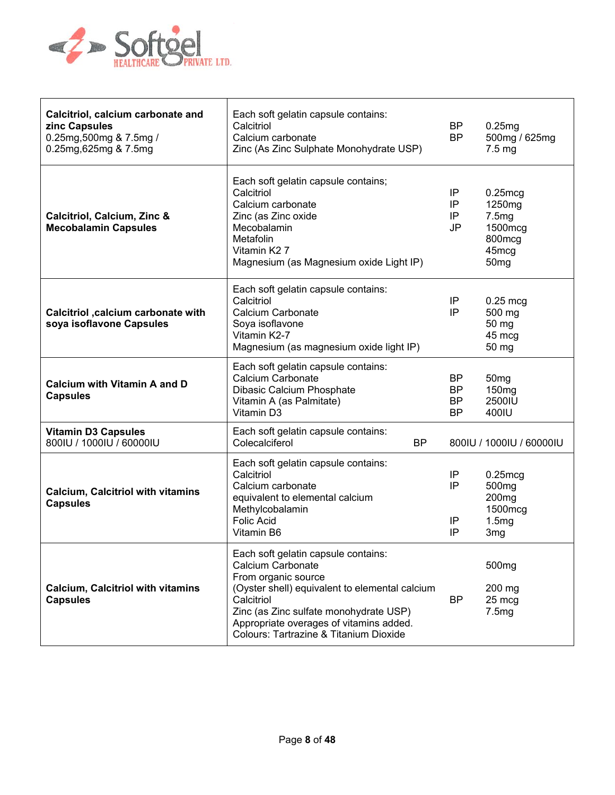

| Calcitriol, calcium carbonate and<br>zinc Capsules<br>0.25mg,500mg & 7.5mg /<br>0.25mg, 625mg & 7.5mg | Each soft gelatin capsule contains:<br>Calcitriol<br>Calcium carbonate<br>Zinc (As Zinc Sulphate Monohydrate USP)                                                                                                                                                              | BP<br><b>BP</b>                    | 0.25mg<br>500mg / 625mg<br>$7.5 \text{ mg}$                                                        |
|-------------------------------------------------------------------------------------------------------|--------------------------------------------------------------------------------------------------------------------------------------------------------------------------------------------------------------------------------------------------------------------------------|------------------------------------|----------------------------------------------------------------------------------------------------|
| Calcitriol, Calcium, Zinc &<br><b>Mecobalamin Capsules</b>                                            | Each soft gelatin capsule contains;<br>Calcitriol<br>Calcium carbonate<br>Zinc (as Zinc oxide<br>Mecobalamin<br>Metafolin<br>Vitamin K <sub>2</sub> 7<br>Magnesium (as Magnesium oxide Light IP)                                                                               | IP<br>IP<br>IP<br>JP               | $0.25 \text{mcg}$<br>1250mg<br>7.5mg<br>1500mcg<br>800mcg<br>45 <sub>mcg</sub><br>50 <sub>mg</sub> |
| Calcitriol , calcium carbonate with<br>soya isoflavone Capsules                                       | Each soft gelatin capsule contains:<br>Calcitriol<br>Calcium Carbonate<br>Soya isoflavone<br>Vitamin K2-7<br>Magnesium (as magnesium oxide light IP)                                                                                                                           | ΙP<br>IP                           | $0.25$ mcg<br>500 mg<br>50 mg<br>45 mcg<br>50 mg                                                   |
| <b>Calcium with Vitamin A and D</b><br><b>Capsules</b>                                                | Each soft gelatin capsule contains:<br>Calcium Carbonate<br>Dibasic Calcium Phosphate<br>Vitamin A (as Palmitate)<br>Vitamin D3                                                                                                                                                | <b>BP</b><br>BP<br>BP<br><b>BP</b> | 50 <sub>mg</sub><br>150 <sub>mg</sub><br>2500IU<br>400IU                                           |
| <b>Vitamin D3 Capsules</b><br>800IU / 1000IU / 60000IU                                                | Each soft gelatin capsule contains:<br>Colecalciferol<br><b>BP</b>                                                                                                                                                                                                             |                                    | 8001U / 10001U / 600001U                                                                           |
| <b>Calcium, Calcitriol with vitamins</b><br><b>Capsules</b>                                           | Each soft gelatin capsule contains:<br>Calcitriol<br>Calcium carbonate<br>equivalent to elemental calcium<br>Methylcobalamin<br><b>Folic Acid</b><br>Vitamin B6                                                                                                                | ΙP<br>IP<br>IP<br>IP               | $0.25$ mcg<br>500 <sub>mg</sub><br>200 <sub>mg</sub><br>1500mcg<br>1.5mg<br>3 <sub>mg</sub>        |
| <b>Calcium, Calcitriol with vitamins</b><br><b>Capsules</b>                                           | Each soft gelatin capsule contains:<br>Calcium Carbonate<br>From organic source<br>(Oyster shell) equivalent to elemental calcium<br>Calcitriol<br>Zinc (as Zinc sulfate monohydrate USP)<br>Appropriate overages of vitamins added.<br>Colours: Tartrazine & Titanium Dioxide | <b>BP</b>                          | 500 <sub>mg</sub><br>200 mg<br>25 mcg<br>7.5mg                                                     |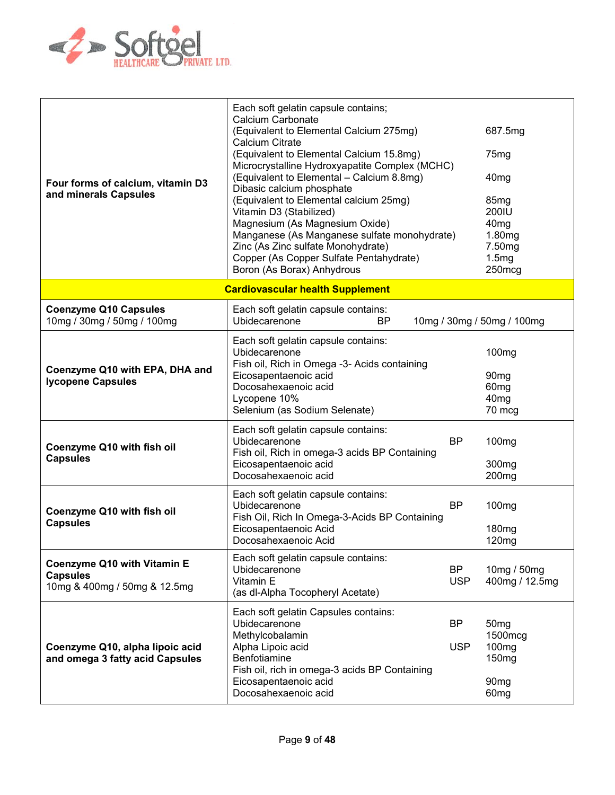

| Four forms of calcium, vitamin D3<br>and minerals Capsules                            | Each soft gelatin capsule contains;<br>Calcium Carbonate<br>(Equivalent to Elemental Calcium 275mg)<br>Calcium Citrate<br>(Equivalent to Elemental Calcium 15.8mg)<br>Microcrystalline Hydroxyapatite Complex (MCHC)<br>(Equivalent to Elemental - Calcium 8.8mg)<br>Dibasic calcium phosphate<br>(Equivalent to Elemental calcium 25mg)<br>Vitamin D3 (Stabilized)<br>Magnesium (As Magnesium Oxide)<br>Manganese (As Manganese sulfate monohydrate)<br>Zinc (As Zinc sulfate Monohydrate)<br>Copper (As Copper Sulfate Pentahydrate)<br>Boron (As Borax) Anhydrous |                         | 687.5mg<br>75 <sub>mg</sub><br>40 <sub>mg</sub><br>85 <sub>mg</sub><br>200IU<br>40 <sub>mg</sub><br>1.80mg<br>7.50 <sub>mg</sub><br>1.5mg<br>250mcg |
|---------------------------------------------------------------------------------------|----------------------------------------------------------------------------------------------------------------------------------------------------------------------------------------------------------------------------------------------------------------------------------------------------------------------------------------------------------------------------------------------------------------------------------------------------------------------------------------------------------------------------------------------------------------------|-------------------------|-----------------------------------------------------------------------------------------------------------------------------------------------------|
|                                                                                       | <b>Cardiovascular health Supplement</b>                                                                                                                                                                                                                                                                                                                                                                                                                                                                                                                              |                         |                                                                                                                                                     |
| <b>Coenzyme Q10 Capsules</b><br>10mg / 30mg / 50mg / 100mg                            | Each soft gelatin capsule contains:<br>Ubidecarenone<br>BP                                                                                                                                                                                                                                                                                                                                                                                                                                                                                                           |                         | 10mg / 30mg / 50mg / 100mg                                                                                                                          |
| Coenzyme Q10 with EPA, DHA and<br><b>Iycopene Capsules</b>                            | Each soft gelatin capsule contains:<br>Ubidecarenone<br>Fish oil, Rich in Omega -3- Acids containing<br>Eicosapentaenoic acid<br>Docosahexaenoic acid<br>Lycopene 10%<br>Selenium (as Sodium Selenate)                                                                                                                                                                                                                                                                                                                                                               |                         | 100 <sub>mg</sub><br>90 <sub>mg</sub><br>60 <sub>mg</sub><br>40 <sub>mg</sub><br>70 mcg                                                             |
| Coenzyme Q10 with fish oil<br><b>Capsules</b>                                         | Each soft gelatin capsule contains:<br>Ubidecarenone<br>Fish oil, Rich in omega-3 acids BP Containing<br>Eicosapentaenoic acid<br>Docosahexaenoic acid                                                                                                                                                                                                                                                                                                                                                                                                               | <b>BP</b>               | 100 <sub>mg</sub><br>300 <sub>mg</sub><br>200 <sub>mg</sub>                                                                                         |
| Coenzyme Q10 with fish oil<br><b>Capsules</b>                                         | Each soft gelatin capsule contains:<br>Ubidecarenone<br>Fish Oil, Rich In Omega-3-Acids BP Containing<br>Eicosapentaenoic Acid<br>Docosahexaenoic Acid                                                                                                                                                                                                                                                                                                                                                                                                               | <b>BP</b>               | 100 <sub>mg</sub><br>180 <sub>mg</sub><br>120mg                                                                                                     |
| <b>Coenzyme Q10 with Vitamin E</b><br><b>Capsules</b><br>10mg & 400mg / 50mg & 12.5mg | Each soft gelatin capsule contains:<br>Ubidecarenone<br>Vitamin E<br>(as dl-Alpha Tocopheryl Acetate)                                                                                                                                                                                                                                                                                                                                                                                                                                                                | <b>BP</b><br><b>USP</b> | 10mg / 50mg<br>400mg / 12.5mg                                                                                                                       |
| Coenzyme Q10, alpha lipoic acid<br>and omega 3 fatty acid Capsules                    | Each soft gelatin Capsules contains:<br>Ubidecarenone<br>Methylcobalamin<br>Alpha Lipoic acid<br>Benfotiamine<br>Fish oil, rich in omega-3 acids BP Containing<br>Eicosapentaenoic acid<br>Docosahexaenoic acid                                                                                                                                                                                                                                                                                                                                                      | <b>BP</b><br><b>USP</b> | 50 <sub>mg</sub><br>1500mcg<br>100 <sub>mg</sub><br>150 <sub>mg</sub><br>90 <sub>mg</sub><br>60 <sub>mg</sub>                                       |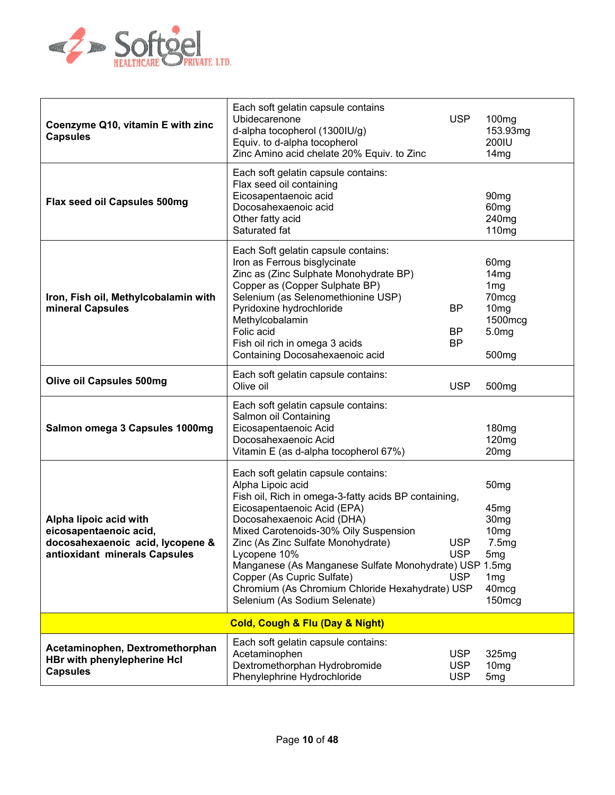

| Coenzyme Q10, vitamin E with zinc<br><b>Capsules</b>                                                                  | Each soft gelatin capsule contains<br>Ubidecarenone<br>d-alpha tocopherol (1300IU/g)<br>Equiv. to d-alpha tocopherol<br>Zinc Amino acid chelate 20% Equiv. to Zinc                                                                                                                                                                                                                                                                                       | <b>USP</b>                             | 100mg<br>153.93mg<br>200IU<br>14mg                                                                                                                                     |
|-----------------------------------------------------------------------------------------------------------------------|----------------------------------------------------------------------------------------------------------------------------------------------------------------------------------------------------------------------------------------------------------------------------------------------------------------------------------------------------------------------------------------------------------------------------------------------------------|----------------------------------------|------------------------------------------------------------------------------------------------------------------------------------------------------------------------|
| Flax seed oil Capsules 500mg                                                                                          | Each soft gelatin capsule contains:<br>Flax seed oil containing<br>Eicosapentaenoic acid<br>Docosahexaenoic acid<br>Other fatty acid<br>Saturated fat                                                                                                                                                                                                                                                                                                    |                                        | 90 <sub>mg</sub><br>60 <sub>mg</sub><br>240 <sub>mg</sub><br>110 <sub>mg</sub>                                                                                         |
| Iron, Fish oil, Methylcobalamin with<br>mineral Capsules                                                              | Each Soft gelatin capsule contains:<br>Iron as Ferrous bisglycinate<br>Zinc as (Zinc Sulphate Monohydrate BP)<br>Copper as (Copper Sulphate BP)<br>Selenium (as Selenomethionine USP)<br>Pyridoxine hydrochloride<br>Methylcobalamin<br>Folic acid<br>Fish oil rich in omega 3 acids<br>Containing Docosahexaenoic acid                                                                                                                                  | <b>BP</b><br><b>BP</b><br><b>BP</b>    | 60 <sub>mg</sub><br>14mg<br>1 <sub>mg</sub><br>70mcg<br>10 <sub>mg</sub><br>1500mcg<br>5.0 <sub>mg</sub><br>500 <sub>mg</sub>                                          |
| <b>Olive oil Capsules 500mg</b>                                                                                       | Each soft gelatin capsule contains:<br>Olive oil                                                                                                                                                                                                                                                                                                                                                                                                         | <b>USP</b>                             | 500 <sub>mg</sub>                                                                                                                                                      |
| Salmon omega 3 Capsules 1000mg                                                                                        | Each soft gelatin capsule contains:<br>Salmon oil Containing<br>Eicosapentaenoic Acid<br>Docosahexaenoic Acid<br>Vitamin E (as d-alpha tocopherol 67%)                                                                                                                                                                                                                                                                                                   |                                        | 180mg<br>120 <sub>mg</sub><br>20 <sub>mg</sub>                                                                                                                         |
| Alpha lipoic acid with<br>eicosapentaenoic acid,<br>docosahexaenoic acid, lycopene &<br>antioxidant minerals Capsules | Each soft gelatin capsule contains:<br>Alpha Lipoic acid<br>Fish oil, Rich in omega-3-fatty acids BP containing,<br>Eicosapentaenoic Acid (EPA)<br>Docosahexaenoic Acid (DHA)<br>Mixed Carotenoids-30% Oily Suspension<br>Zinc (As Zinc Sulfate Monohydrate)<br>Lycopene 10%<br>Manganese (As Manganese Sulfate Monohydrate) USP 1.5mg<br>Copper (As Cupric Sulfate)<br>Chromium (As Chromium Chloride Hexahydrate) USP<br>Selenium (As Sodium Selenate) | <b>USP</b><br><b>USP</b><br><b>USP</b> | 50 <sub>mg</sub><br>45 <sub>mg</sub><br>30 <sub>mg</sub><br>10 <sub>mg</sub><br>7.5mg<br>5 <sub>mg</sub><br>1 <sub>mg</sub><br>40 <sub>mcg</sub><br>150 <sub>mcg</sub> |
|                                                                                                                       | <b>Cold, Cough &amp; Flu (Day &amp; Night)</b>                                                                                                                                                                                                                                                                                                                                                                                                           |                                        |                                                                                                                                                                        |
| Acetaminophen, Dextromethorphan<br><b>HBr with phenylepherine Hcl</b><br><b>Capsules</b>                              | Each soft gelatin capsule contains:<br>Acetaminophen<br>Dextromethorphan Hydrobromide<br>Phenylephrine Hydrochloride                                                                                                                                                                                                                                                                                                                                     | <b>USP</b><br><b>USP</b><br><b>USP</b> | 325mg<br>10 <sub>mg</sub><br>5 <sub>mg</sub>                                                                                                                           |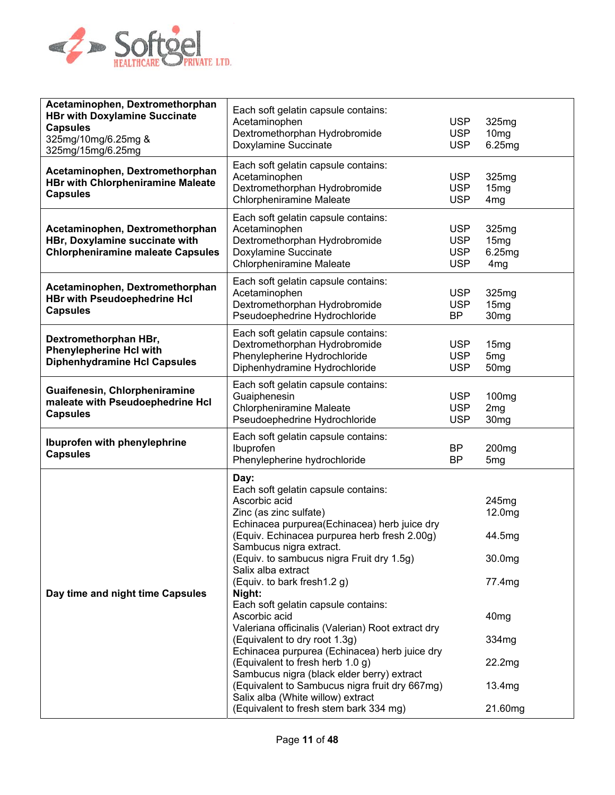

| Acetaminophen, Dextromethorphan<br><b>HBr with Doxylamine Succinate</b><br><b>Capsules</b><br>325mg/10mg/6.25mg &<br>325mg/15mg/6.25mg | Each soft gelatin capsule contains:<br>Acetaminophen<br>Dextromethorphan Hydrobromide<br>Doxylamine Succinate                                                                                                                                                                                                                                                                                                                                                                                                                                                                                                                                                                                                                                   | <b>USP</b><br><b>USP</b><br><b>USP</b>               | 325mg<br>10 <sub>mg</sub><br>6.25mg                                                                       |
|----------------------------------------------------------------------------------------------------------------------------------------|-------------------------------------------------------------------------------------------------------------------------------------------------------------------------------------------------------------------------------------------------------------------------------------------------------------------------------------------------------------------------------------------------------------------------------------------------------------------------------------------------------------------------------------------------------------------------------------------------------------------------------------------------------------------------------------------------------------------------------------------------|------------------------------------------------------|-----------------------------------------------------------------------------------------------------------|
| Acetaminophen, Dextromethorphan<br><b>HBr with Chlorpheniramine Maleate</b><br><b>Capsules</b>                                         | Each soft gelatin capsule contains:<br>Acetaminophen<br>Dextromethorphan Hydrobromide<br><b>Chlorpheniramine Maleate</b>                                                                                                                                                                                                                                                                                                                                                                                                                                                                                                                                                                                                                        | <b>USP</b><br><b>USP</b><br><b>USP</b>               | 325mg<br>15mg<br>4mg                                                                                      |
| Acetaminophen, Dextromethorphan<br>HBr, Doxylamine succinate with<br><b>Chlorpheniramine maleate Capsules</b>                          | Each soft gelatin capsule contains:<br>Acetaminophen<br>Dextromethorphan Hydrobromide<br>Doxylamine Succinate<br><b>Chlorpheniramine Maleate</b>                                                                                                                                                                                                                                                                                                                                                                                                                                                                                                                                                                                                | <b>USP</b><br><b>USP</b><br><b>USP</b><br><b>USP</b> | 325mg<br>15mg<br>6.25mg<br>4 <sub>mg</sub>                                                                |
| Acetaminophen, Dextromethorphan<br><b>HBr with Pseudoephedrine Hcl</b><br><b>Capsules</b>                                              | Each soft gelatin capsule contains:<br>Acetaminophen<br>Dextromethorphan Hydrobromide<br>Pseudoephedrine Hydrochloride                                                                                                                                                                                                                                                                                                                                                                                                                                                                                                                                                                                                                          | <b>USP</b><br><b>USP</b><br><b>BP</b>                | 325mg<br>15mg<br>30 <sub>mg</sub>                                                                         |
| Dextromethorphan HBr,<br><b>Phenylepherine Hcl with</b><br><b>Diphenhydramine Hcl Capsules</b>                                         | Each soft gelatin capsule contains:<br>Dextromethorphan Hydrobromide<br>Phenylepherine Hydrochloride<br>Diphenhydramine Hydrochloride                                                                                                                                                                                                                                                                                                                                                                                                                                                                                                                                                                                                           | <b>USP</b><br><b>USP</b><br><b>USP</b>               | 15mg<br>5 <sub>mg</sub><br>50 <sub>mg</sub>                                                               |
| Guaifenesin, Chlorpheniramine<br>maleate with Pseudoephedrine Hcl<br><b>Capsules</b>                                                   | Each soft gelatin capsule contains:<br>Guaiphenesin<br><b>Chlorpheniramine Maleate</b><br>Pseudoephedrine Hydrochloride                                                                                                                                                                                                                                                                                                                                                                                                                                                                                                                                                                                                                         | <b>USP</b><br><b>USP</b><br><b>USP</b>               | 100mg<br>2mg<br>30 <sub>mg</sub>                                                                          |
| Ibuprofen with phenylephrine<br><b>Capsules</b>                                                                                        | Each soft gelatin capsule contains:<br>Ibuprofen<br>Phenylepherine hydrochloride                                                                                                                                                                                                                                                                                                                                                                                                                                                                                                                                                                                                                                                                | <b>BP</b><br><b>BP</b>                               | 200 <sub>mg</sub><br>5 <sub>mg</sub>                                                                      |
| Day time and night time Capsules                                                                                                       | Day:<br>Each soft gelatin capsule contains:<br>Ascorbic acid<br>Zinc (as zinc sulfate)<br>Echinacea purpurea(Echinacea) herb juice dry<br>(Equiv. Echinacea purpurea herb fresh 2.00g)<br>Sambucus nigra extract.<br>(Equiv. to sambucus nigra Fruit dry 1.5g)<br>Salix alba extract<br>(Equiv. to bark fresh1.2 g)<br>Night:<br>Each soft gelatin capsule contains:<br>Ascorbic acid<br>Valeriana officinalis (Valerian) Root extract dry<br>(Equivalent to dry root 1.3g)<br>Echinacea purpurea (Echinacea) herb juice dry<br>(Equivalent to fresh herb 1.0 g)<br>Sambucus nigra (black elder berry) extract<br>(Equivalent to Sambucus nigra fruit dry 667mg)<br>Salix alba (White willow) extract<br>(Equivalent to fresh stem bark 334 mg) |                                                      | 245mg<br>12.0mg<br>44.5mg<br>30.0mg<br>77.4mg<br>40 <sub>mg</sub><br>334mg<br>22.2mg<br>13.4mg<br>21.60mg |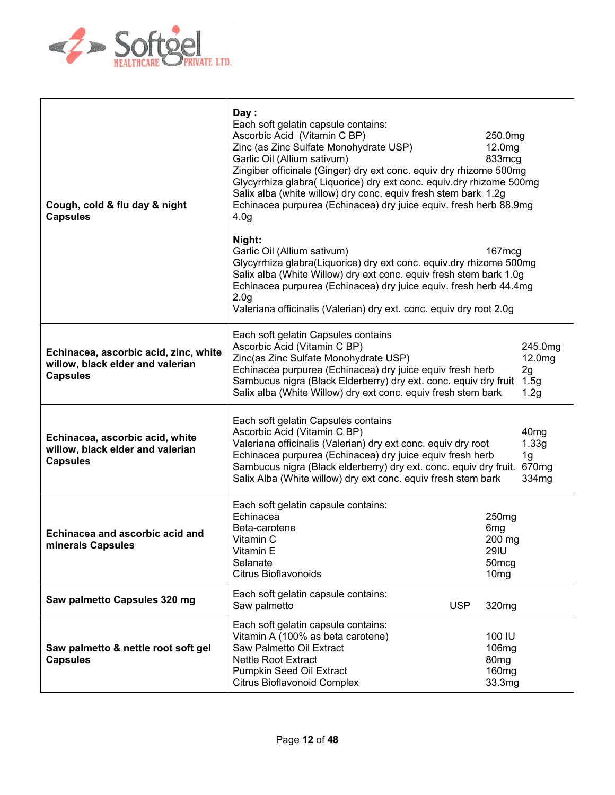

| Cough, cold & flu day & night<br><b>Capsules</b>                                             | Day:<br>Each soft gelatin capsule contains:<br>Ascorbic Acid (Vitamin C BP)<br>Zinc (as Zinc Sulfate Monohydrate USP)<br>Garlic Oil (Allium sativum)<br>Zingiber officinale (Ginger) dry ext conc. equiv dry rhizome 500mg<br>Glycyrrhiza glabra(Liquorice) dry ext conc. equiv.dry rhizome 500mg<br>Salix alba (white willow) dry conc. equiv fresh stem bark 1.2g<br>Echinacea purpurea (Echinacea) dry juice equiv. fresh herb 88.9mg<br>4.0 <sub>q</sub><br>Night:<br>Garlic Oil (Allium sativum)<br>Glycyrrhiza glabra(Liquorice) dry ext conc. equiv.dry rhizome 500mg<br>Salix alba (White Willow) dry ext conc. equiv fresh stem bark 1.0g<br>Echinacea purpurea (Echinacea) dry juice equiv. fresh herb 44.4mg<br>2.0 <sub>g</sub><br>Valeriana officinalis (Valerian) dry ext. conc. equiv dry root 2.0g | 250.0mg<br>12.0mg<br>833mcg<br>$167 \text{mcg}$                                                        |  |
|----------------------------------------------------------------------------------------------|--------------------------------------------------------------------------------------------------------------------------------------------------------------------------------------------------------------------------------------------------------------------------------------------------------------------------------------------------------------------------------------------------------------------------------------------------------------------------------------------------------------------------------------------------------------------------------------------------------------------------------------------------------------------------------------------------------------------------------------------------------------------------------------------------------------------|--------------------------------------------------------------------------------------------------------|--|
| Echinacea, ascorbic acid, zinc, white<br>willow, black elder and valerian<br><b>Capsules</b> | Each soft gelatin Capsules contains<br>Ascorbic Acid (Vitamin C BP)<br>Zinc(as Zinc Sulfate Monohydrate USP)<br>Echinacea purpurea (Echinacea) dry juice equiv fresh herb<br>Sambucus nigra (Black Elderberry) dry ext. conc. equiv dry fruit<br>Salix alba (White Willow) dry ext conc. equiv fresh stem bark                                                                                                                                                                                                                                                                                                                                                                                                                                                                                                     | 245.0mg<br>12.0mg<br>2g<br>1.5g<br>1.2g                                                                |  |
| Echinacea, ascorbic acid, white<br>willow, black elder and valerian<br><b>Capsules</b>       | Each soft gelatin Capsules contains<br>Ascorbic Acid (Vitamin C BP)<br>40 <sub>mg</sub><br>Valeriana officinalis (Valerian) dry ext conc. equiv dry root<br>1.33g<br>Echinacea purpurea (Echinacea) dry juice equiv fresh herb<br>1 <sub>g</sub><br>Sambucus nigra (Black elderberry) dry ext. conc. equiv dry fruit.<br>670mg<br>Salix Alba (White willow) dry ext conc. equiv fresh stem bark<br>334mg                                                                                                                                                                                                                                                                                                                                                                                                           |                                                                                                        |  |
| Echinacea and ascorbic acid and<br>minerals Capsules                                         | Each soft gelatin capsule contains:<br>Echinacea<br>Beta-carotene<br>Vitamin C<br>Vitamin E<br>Selanate<br><b>Citrus Bioflavonoids</b>                                                                                                                                                                                                                                                                                                                                                                                                                                                                                                                                                                                                                                                                             | 250 <sub>mg</sub><br>6 <sub>mg</sub><br>200 mg<br><b>29IU</b><br>50 <sub>mcg</sub><br>10 <sub>mg</sub> |  |
| Saw palmetto Capsules 320 mg                                                                 | Each soft gelatin capsule contains:<br>Saw palmetto<br><b>USP</b>                                                                                                                                                                                                                                                                                                                                                                                                                                                                                                                                                                                                                                                                                                                                                  | 320mg                                                                                                  |  |
| Saw palmetto & nettle root soft gel<br><b>Capsules</b>                                       | Each soft gelatin capsule contains:<br>Vitamin A (100% as beta carotene)<br>Saw Palmetto Oil Extract<br><b>Nettle Root Extract</b><br>Pumpkin Seed Oil Extract<br>Citrus Bioflavonoid Complex                                                                                                                                                                                                                                                                                                                                                                                                                                                                                                                                                                                                                      | 100 IU<br>106 <sub>mg</sub><br>80 <sub>mg</sub><br>160 <sub>mg</sub><br>33.3mg                         |  |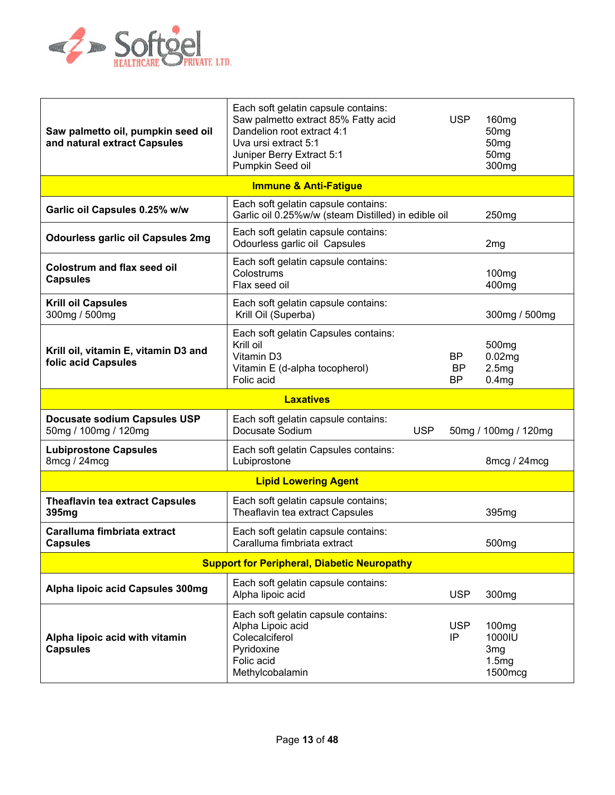

| Saw palmetto oil, pumpkin seed oil<br>and natural extract Capsules | Each soft gelatin capsule contains:<br>Saw palmetto extract 85% Fatty acid<br>Dandelion root extract 4:1<br>Uva ursi extract 5:1<br>Juniper Berry Extract 5:1<br>Pumpkin Seed oil |            | <b>USP</b>     | 160 <sub>mg</sub><br>50 <sub>mg</sub><br>50 <sub>mg</sub><br>50 <sub>mg</sub><br>300 <sub>mg</sub> |
|--------------------------------------------------------------------|-----------------------------------------------------------------------------------------------------------------------------------------------------------------------------------|------------|----------------|----------------------------------------------------------------------------------------------------|
|                                                                    | <b>Immune &amp; Anti-Fatigue</b>                                                                                                                                                  |            |                |                                                                                                    |
| Garlic oil Capsules 0.25% w/w                                      | Each soft gelatin capsule contains:<br>Garlic oil 0.25%w/w (steam Distilled) in edible oil                                                                                        |            |                | 250 <sub>mg</sub>                                                                                  |
| <b>Odourless garlic oil Capsules 2mg</b>                           | Each soft gelatin capsule contains:<br>Odourless garlic oil Capsules                                                                                                              |            |                | 2 <sub>mg</sub>                                                                                    |
| <b>Colostrum and flax seed oil</b><br><b>Capsules</b>              | Each soft gelatin capsule contains:<br>Colostrums<br>Flax seed oil                                                                                                                |            |                | 100 <sub>mg</sub><br>400 <sub>mg</sub>                                                             |
| <b>Krill oil Capsules</b><br>300mg / 500mg                         | Each soft gelatin capsule contains:<br>Krill Oil (Superba)                                                                                                                        |            |                | 300mg / 500mg                                                                                      |
| Krill oil, vitamin E, vitamin D3 and<br>folic acid Capsules        | Each soft gelatin Capsules contains:<br>Krill oil<br>Vitamin D3<br>Vitamin E (d-alpha tocopherol)<br>Folic acid                                                                   |            | ΒP<br>BP<br>ΒP | 500 <sub>mg</sub><br>0.02mg<br>2.5mg<br>0.4 <sub>mg</sub>                                          |
|                                                                    | <b>Laxatives</b>                                                                                                                                                                  |            |                |                                                                                                    |
| Docusate sodium Capsules USP<br>50mg / 100mg / 120mg               | Each soft gelatin capsule contains:<br>Docusate Sodium                                                                                                                            | <b>USP</b> |                | 50mg / 100mg / 120mg                                                                               |
| <b>Lubiprostone Capsules</b>                                       |                                                                                                                                                                                   |            |                |                                                                                                    |
| 8mcg / 24mcg                                                       | Each soft gelatin Capsules contains:<br>Lubiprostone                                                                                                                              |            |                | 8mcg / 24mcg                                                                                       |
|                                                                    | <b>Lipid Lowering Agent</b>                                                                                                                                                       |            |                |                                                                                                    |
| <b>Theaflavin tea extract Capsules</b><br>395mg                    | Each soft gelatin capsule contains;<br>Theaflavin tea extract Capsules                                                                                                            |            |                | 395mg                                                                                              |
| Caralluma fimbriata extract<br><b>Capsules</b>                     | Each soft gelatin capsule contains:<br>Caralluma fimbriata extract                                                                                                                |            |                | 500 <sub>mg</sub>                                                                                  |
|                                                                    | <b>Support for Peripheral, Diabetic Neuropathy</b>                                                                                                                                |            |                |                                                                                                    |
| Alpha lipoic acid Capsules 300mg                                   | Each soft gelatin capsule contains:<br>Alpha lipoic acid                                                                                                                          |            | <b>USP</b>     | 300 <sub>mg</sub>                                                                                  |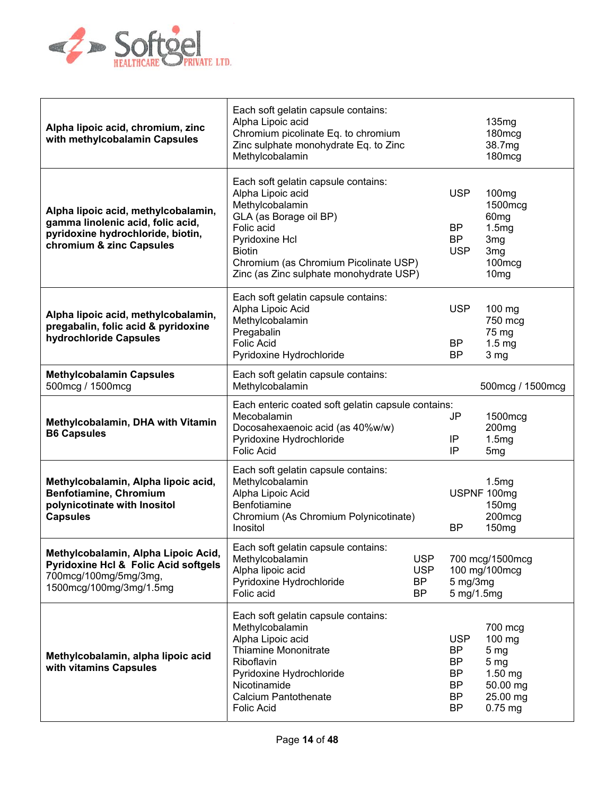

| Alpha lipoic acid, chromium, zinc<br>with methylcobalamin Capsules                                                                         | Each soft gelatin capsule contains:<br>Alpha Lipoic acid<br>Chromium picolinate Eq. to chromium<br>Zinc sulphate monohydrate Eq. to Zinc<br>Methylcobalamin                                                                                |                                              |                                                                                          | 135 <sub>mg</sub><br>180mcg<br>38.7mg<br>180mcg                                                           |  |                                                    |                                                                                                       |
|--------------------------------------------------------------------------------------------------------------------------------------------|--------------------------------------------------------------------------------------------------------------------------------------------------------------------------------------------------------------------------------------------|----------------------------------------------|------------------------------------------------------------------------------------------|-----------------------------------------------------------------------------------------------------------|--|----------------------------------------------------|-------------------------------------------------------------------------------------------------------|
| Alpha lipoic acid, methylcobalamin,<br>gamma linolenic acid, folic acid,<br>pyridoxine hydrochloride, biotin,<br>chromium & zinc Capsules  | Each soft gelatin capsule contains:<br>Alpha Lipoic acid<br>Methylcobalamin<br>GLA (as Borage oil BP)<br>Folic acid<br>Pyridoxine Hcl<br><b>Biotin</b><br>Chromium (as Chromium Picolinate USP)<br>Zinc (as Zinc sulphate monohydrate USP) |                                              |                                                                                          |                                                                                                           |  | <b>USP</b><br><b>BP</b><br><b>BP</b><br><b>USP</b> | 100 <sub>mg</sub><br>1500mcg<br>60 <sub>mg</sub><br>1.5mg<br>3mg<br>3 <sub>mg</sub><br>100mcg<br>10mg |
| Alpha lipoic acid, methylcobalamin,<br>pregabalin, folic acid & pyridoxine<br>hydrochloride Capsules                                       | Each soft gelatin capsule contains:<br>Alpha Lipoic Acid<br>Methylcobalamin<br>Pregabalin<br><b>Folic Acid</b><br>Pyridoxine Hydrochloride                                                                                                 |                                              | <b>USP</b><br>BP<br>BP                                                                   | 100 mg<br>750 mcg<br>75 mg<br>1.5 <sub>mg</sub><br>3 mg                                                   |  |                                                    |                                                                                                       |
| <b>Methylcobalamin Capsules</b><br>500mcg / 1500mcg                                                                                        | Each soft gelatin capsule contains:<br>Methylcobalamin                                                                                                                                                                                     |                                              |                                                                                          | 500mcg / 1500mcg                                                                                          |  |                                                    |                                                                                                       |
| Methylcobalamin, DHA with Vitamin<br><b>B6 Capsules</b>                                                                                    | Each enteric coated soft gelatin capsule contains:<br>Mecobalamin<br>Docosahexaenoic acid (as 40%w/w)<br>Pyridoxine Hydrochloride<br><b>Folic Acid</b>                                                                                     |                                              | JP<br>IP<br>IP                                                                           | 1500mcg<br>200 <sub>mg</sub><br>1.5mg<br>5 <sub>mg</sub>                                                  |  |                                                    |                                                                                                       |
| Methylcobalamin, Alpha lipoic acid,<br>Benfotiamine, Chromium<br>polynicotinate with Inositol<br><b>Capsules</b>                           | Each soft gelatin capsule contains:<br>Methylcobalamin<br>Alpha Lipoic Acid<br>Benfotiamine<br>Chromium (As Chromium Polynicotinate)<br>Inositol                                                                                           |                                              | <b>BP</b>                                                                                | 1.5mg<br>USPNF 100mg<br>150 <sub>mg</sub><br>200mcg<br>150 <sub>mg</sub>                                  |  |                                                    |                                                                                                       |
| Methylcobalamin, Alpha Lipoic Acid,<br><b>Pyridoxine Hcl &amp; Folic Acid softgels</b><br>700mcg/100mg/5mg/3mg,<br>1500mcg/100mg/3mg/1.5mg | Each soft gelatin capsule contains:<br>Methylcobalamin<br>Alpha lipoic acid<br>Pyridoxine Hydrochloride<br>Folic acid                                                                                                                      | <b>USP</b><br><b>USP</b><br><b>BP</b><br>BP. | 700 mcg/1500mcg<br>100 mg/100mcg<br>$5$ mg/ $3$ mg<br>5 mg/1.5mg                         |                                                                                                           |  |                                                    |                                                                                                       |
| Methylcobalamin, alpha lipoic acid<br>with vitamins Capsules                                                                               | Each soft gelatin capsule contains:<br>Methylcobalamin<br>Alpha Lipoic acid<br>Thiamine Mononitrate<br>Riboflavin<br>Pyridoxine Hydrochloride<br>Nicotinamide<br><b>Calcium Pantothenate</b><br><b>Folic Acid</b>                          |                                              | <b>USP</b><br><b>BP</b><br><b>BP</b><br><b>BP</b><br><b>BP</b><br><b>BP</b><br><b>BP</b> | 700 mcg<br>100 mg<br>5 <sub>mg</sub><br>5 <sub>mg</sub><br>$1.50$ mg<br>50.00 mg<br>25.00 mg<br>$0.75$ mg |  |                                                    |                                                                                                       |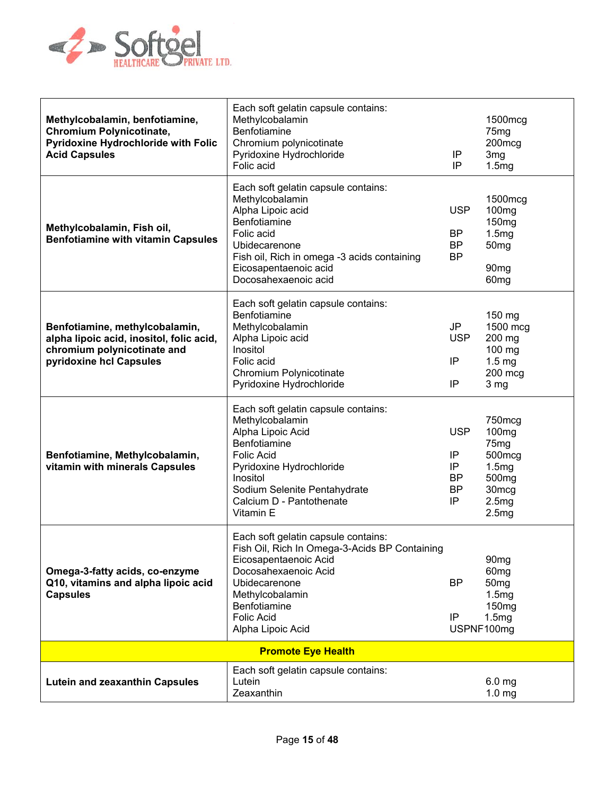

| Methylcobalamin, benfotiamine,<br><b>Chromium Polynicotinate,</b><br><b>Pyridoxine Hydrochloride with Folic</b><br><b>Acid Capsules</b> | Each soft gelatin capsule contains:<br>Methylcobalamin<br>Benfotiamine<br>Chromium polynicotinate<br>Pyridoxine Hydrochloride<br>Folic acid                                                                                         | ΙP<br>IP                                               | 1500mcg<br>75 <sub>mg</sub><br>200mcg<br>3 <sub>mg</sub><br>1.5mg                                                              |
|-----------------------------------------------------------------------------------------------------------------------------------------|-------------------------------------------------------------------------------------------------------------------------------------------------------------------------------------------------------------------------------------|--------------------------------------------------------|--------------------------------------------------------------------------------------------------------------------------------|
| Methylcobalamin, Fish oil,<br><b>Benfotiamine with vitamin Capsules</b>                                                                 | Each soft gelatin capsule contains:<br>Methylcobalamin<br>Alpha Lipoic acid<br>Benfotiamine<br>Folic acid<br>Ubidecarenone<br>Fish oil, Rich in omega -3 acids containing<br>Eicosapentaenoic acid<br>Docosahexaenoic acid          | <b>USP</b><br><b>BP</b><br><b>BP</b><br><b>BP</b>      | 1500mcg<br>100 <sub>mg</sub><br>150 <sub>mg</sub><br>1.5mg<br>50 <sub>mg</sub><br>90 <sub>mg</sub><br>60 <sub>mg</sub>         |
| Benfotiamine, methylcobalamin,<br>alpha lipoic acid, inositol, folic acid,<br>chromium polynicotinate and<br>pyridoxine hcl Capsules    | Each soft gelatin capsule contains:<br>Benfotiamine<br>Methylcobalamin<br>Alpha Lipoic acid<br>Inositol<br>Folic acid<br>Chromium Polynicotinate<br>Pyridoxine Hydrochloride                                                        | <b>JP</b><br><b>USP</b><br>ΙP<br>IP                    | 150 mg<br>1500 mcg<br>200 mg<br>100 mg<br>1.5 <sub>mg</sub><br>200 mcg<br>3 mg                                                 |
| Benfotiamine, Methylcobalamin,<br>vitamin with minerals Capsules                                                                        | Each soft gelatin capsule contains:<br>Methylcobalamin<br>Alpha Lipoic Acid<br>Benfotiamine<br><b>Folic Acid</b><br>Pyridoxine Hydrochloride<br>Inositol<br>Sodium Selenite Pentahydrate<br>Calcium D - Pantothenate<br>Vitamin E   | <b>USP</b><br>ΙP<br>ΙP<br><b>BP</b><br><b>BP</b><br>IP | 750mcg<br>100 <sub>mg</sub><br>75 <sub>mg</sub><br>500mcg<br>1.5mg<br>500 <sub>mg</sub><br>30 <sub>mcg</sub><br>2.5mg<br>2.5mg |
| Omega-3-fatty acids, co-enzyme<br>Q10, vitamins and alpha lipoic acid<br><b>Capsules</b>                                                | Each soft gelatin capsule contains:<br>Fish Oil, Rich In Omega-3-Acids BP Containing<br>Eicosapentaenoic Acid<br>Docosahexaenoic Acid<br>Ubidecarenone<br>Methylcobalamin<br>Benfotiamine<br><b>Folic Acid</b><br>Alpha Lipoic Acid | <b>BP</b><br>ΙP                                        | 90 <sub>mg</sub><br>60 <sub>mg</sub><br>50 <sub>mg</sub><br>1.5mg<br>150 <sub>mg</sub><br>1.5mg<br>USPNF100mg                  |
|                                                                                                                                         | <b>Promote Eye Health</b>                                                                                                                                                                                                           |                                                        |                                                                                                                                |
| <b>Lutein and zeaxanthin Capsules</b>                                                                                                   | Each soft gelatin capsule contains:<br>Lutein<br>Zeaxanthin                                                                                                                                                                         |                                                        | 6.0 mg<br>1.0 <sub>mg</sub>                                                                                                    |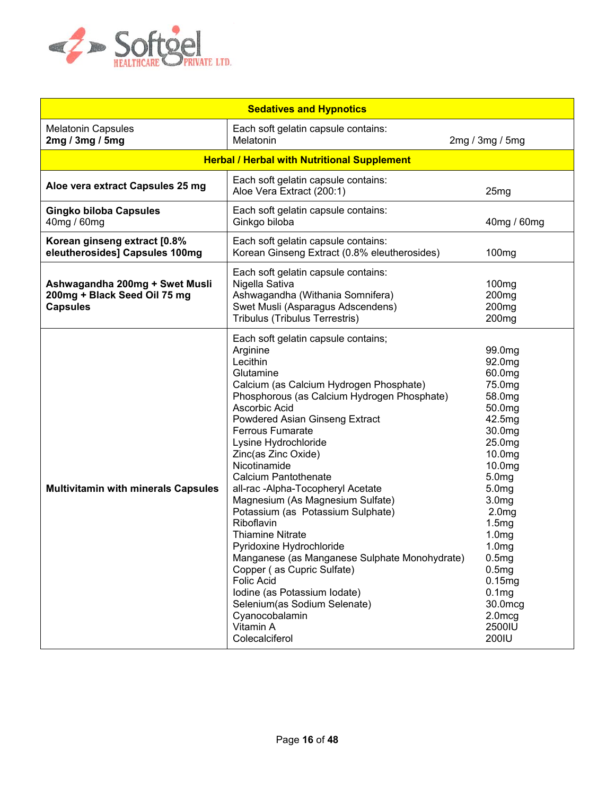

| <b>Sedatives and Hypnotics</b>                                                    |                                                                                                                                                                                                                                                                                                                                                                                                                                                                                                                                                                                                                                                                                                                                                        |                                                                                                                                                                                                                                                                                                                                            |  |
|-----------------------------------------------------------------------------------|--------------------------------------------------------------------------------------------------------------------------------------------------------------------------------------------------------------------------------------------------------------------------------------------------------------------------------------------------------------------------------------------------------------------------------------------------------------------------------------------------------------------------------------------------------------------------------------------------------------------------------------------------------------------------------------------------------------------------------------------------------|--------------------------------------------------------------------------------------------------------------------------------------------------------------------------------------------------------------------------------------------------------------------------------------------------------------------------------------------|--|
| <b>Melatonin Capsules</b><br>2mg / 3mg / 5mg                                      | Each soft gelatin capsule contains:<br>Melatonin                                                                                                                                                                                                                                                                                                                                                                                                                                                                                                                                                                                                                                                                                                       | 2mg / 3mg / 5mg                                                                                                                                                                                                                                                                                                                            |  |
|                                                                                   | <b>Herbal / Herbal with Nutritional Supplement</b>                                                                                                                                                                                                                                                                                                                                                                                                                                                                                                                                                                                                                                                                                                     |                                                                                                                                                                                                                                                                                                                                            |  |
| Aloe vera extract Capsules 25 mg                                                  | Each soft gelatin capsule contains:<br>Aloe Vera Extract (200:1)                                                                                                                                                                                                                                                                                                                                                                                                                                                                                                                                                                                                                                                                                       | 25mg                                                                                                                                                                                                                                                                                                                                       |  |
| <b>Gingko biloba Capsules</b><br>40mg / 60mg                                      | Each soft gelatin capsule contains:<br>Ginkgo biloba                                                                                                                                                                                                                                                                                                                                                                                                                                                                                                                                                                                                                                                                                                   | 40mg / 60mg                                                                                                                                                                                                                                                                                                                                |  |
| Korean ginseng extract [0.8%<br>eleutherosides] Capsules 100mg                    | Each soft gelatin capsule contains:<br>Korean Ginseng Extract (0.8% eleutherosides)                                                                                                                                                                                                                                                                                                                                                                                                                                                                                                                                                                                                                                                                    | 100mg                                                                                                                                                                                                                                                                                                                                      |  |
| Ashwagandha 200mg + Swet Musli<br>200mg + Black Seed Oil 75 mg<br><b>Capsules</b> | Each soft gelatin capsule contains:<br>Nigella Sativa<br>Ashwagandha (Withania Somnifera)<br>Swet Musli (Asparagus Adscendens)<br>Tribulus (Tribulus Terrestris)                                                                                                                                                                                                                                                                                                                                                                                                                                                                                                                                                                                       | 100 <sub>mg</sub><br>200 <sub>mg</sub><br>200 <sub>mg</sub><br>200 <sub>mg</sub>                                                                                                                                                                                                                                                           |  |
| <b>Multivitamin with minerals Capsules</b>                                        | Each soft gelatin capsule contains;<br>Arginine<br>Lecithin<br>Glutamine<br>Calcium (as Calcium Hydrogen Phosphate)<br>Phosphorous (as Calcium Hydrogen Phosphate)<br>Ascorbic Acid<br>Powdered Asian Ginseng Extract<br><b>Ferrous Fumarate</b><br>Lysine Hydrochloride<br>Zinc(as Zinc Oxide)<br>Nicotinamide<br><b>Calcium Pantothenate</b><br>all-rac -Alpha-Tocopheryl Acetate<br>Magnesium (As Magnesium Sulfate)<br>Potassium (as Potassium Sulphate)<br>Riboflavin<br><b>Thiamine Nitrate</b><br>Pyridoxine Hydrochloride<br>Manganese (as Manganese Sulphate Monohydrate)<br>Copper (as Cupric Sulfate)<br><b>Folic Acid</b><br>Iodine (as Potassium Iodate)<br>Selenium(as Sodium Selenate)<br>Cyanocobalamin<br>Vitamin A<br>Colecalciferol | 99.0mg<br>92.0mg<br>60.0mg<br>75.0mg<br>58.0mg<br>50.0mg<br>42.5mg<br>30.0mg<br>25.0mg<br>10.0mg<br>10.0mg<br>5.0 <sub>mg</sub><br>5.0 <sub>mg</sub><br>3.0 <sub>mg</sub><br>2.0 <sub>mg</sub><br>1.5mg<br>1.0 <sub>mg</sub><br>1.0 <sub>mg</sub><br>0.5mg<br>0.5mg<br>0.15mg<br>0.1 <sub>mg</sub><br>30.0mcg<br>2.0mcg<br>2500IU<br>200IU |  |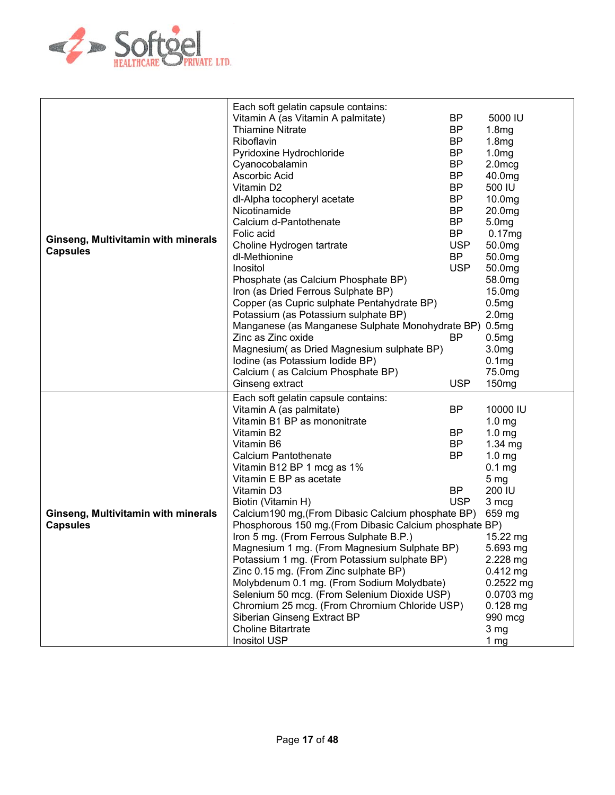

| Ginseng, Multivitamin with minerals<br><b>Capsules</b> | Each soft gelatin capsule contains:<br>Vitamin A (as Vitamin A palmitate)<br><b>Thiamine Nitrate</b><br>Riboflavin<br>Pyridoxine Hydrochloride<br>Cyanocobalamin<br>Ascorbic Acid<br>Vitamin D2<br>dl-Alpha tocopheryl acetate<br>Nicotinamide<br>Calcium d-Pantothenate<br>Folic acid<br>Choline Hydrogen tartrate<br>dl-Methionine<br>Inositol<br>Phosphate (as Calcium Phosphate BP)<br>Iron (as Dried Ferrous Sulphate BP)<br>Copper (as Cupric sulphate Pentahydrate BP)<br>Potassium (as Potassium sulphate BP)<br>Manganese (as Manganese Sulphate Monohydrate BP)<br>Zinc as Zinc oxide<br>Magnesium (as Dried Magnesium sulphate BP)<br>Iodine (as Potassium Iodide BP)<br>Calcium (as Calcium Phosphate BP)<br>Ginseng extract                                                       | <b>BP</b><br><b>BP</b><br><b>BP</b><br><b>BP</b><br><b>BP</b><br><b>BP</b><br><b>BP</b><br><b>BP</b><br><b>BP</b><br><b>BP</b><br><b>BP</b><br><b>USP</b><br><b>BP</b><br><b>USP</b><br>BP<br><b>USP</b> | 5000 IU<br>1.8mg<br>1.8mg<br>1.0 <sub>mg</sub><br>2.0mcg<br>40.0mg<br>500 IU<br>10.0mg<br>20.0mg<br>5.0 <sub>mg</sub><br>0.17mg<br>50.0mg<br>50.0mg<br>50.0mg<br>58.0mg<br>15.0mg<br>0.5mg<br>2.0 <sub>mg</sub><br>0.5mg<br>0.5mg<br>3.0 <sub>mg</sub><br>0.1 <sub>mg</sub><br>75.0mg<br>150 <sub>mg</sub> |
|--------------------------------------------------------|------------------------------------------------------------------------------------------------------------------------------------------------------------------------------------------------------------------------------------------------------------------------------------------------------------------------------------------------------------------------------------------------------------------------------------------------------------------------------------------------------------------------------------------------------------------------------------------------------------------------------------------------------------------------------------------------------------------------------------------------------------------------------------------------|----------------------------------------------------------------------------------------------------------------------------------------------------------------------------------------------------------|------------------------------------------------------------------------------------------------------------------------------------------------------------------------------------------------------------------------------------------------------------------------------------------------------------|
| Ginseng, Multivitamin with minerals<br><b>Capsules</b> | Each soft gelatin capsule contains:<br>Vitamin A (as palmitate)<br>Vitamin B1 BP as mononitrate<br>Vitamin B2<br>Vitamin B6<br><b>Calcium Pantothenate</b><br>Vitamin B12 BP 1 mcg as 1%<br>Vitamin E BP as acetate<br>Vitamin D3<br>Biotin (Vitamin H)<br>Calcium190 mg, (From Dibasic Calcium phosphate BP)<br>Phosphorous 150 mg. (From Dibasic Calcium phosphate BP)<br>Iron 5 mg. (From Ferrous Sulphate B.P.)<br>Magnesium 1 mg. (From Magnesium Sulphate BP)<br>Potassium 1 mg. (From Potassium sulphate BP)<br>Zinc 0.15 mg. (From Zinc sulphate BP)<br>Molybdenum 0.1 mg. (From Sodium Molydbate)<br>Selenium 50 mcg. (From Selenium Dioxide USP)<br>Chromium 25 mcg. (From Chromium Chloride USP)<br>Siberian Ginseng Extract BP<br><b>Choline Bitartrate</b><br><b>Inositol USP</b> | <b>BP</b><br>BP<br>BP<br><b>BP</b><br><b>BP</b><br><b>USP</b>                                                                                                                                            | 10000 IU<br>1.0 <sub>mg</sub><br>1.0 <sub>mg</sub><br>$1.34$ mg<br>1.0 <sub>mg</sub><br>0.1 <sub>mg</sub><br>5 <sub>mg</sub><br>200 IU<br>3 mcg<br>659 mg<br>15.22 mg<br>5.693 mg<br>2.228 mg<br>$0.412$ mg<br>0.2522 mg<br>0.0703 mg<br>$0.128$ mg<br>990 mcg<br>3 mg<br>1 <sub>mg</sub>                  |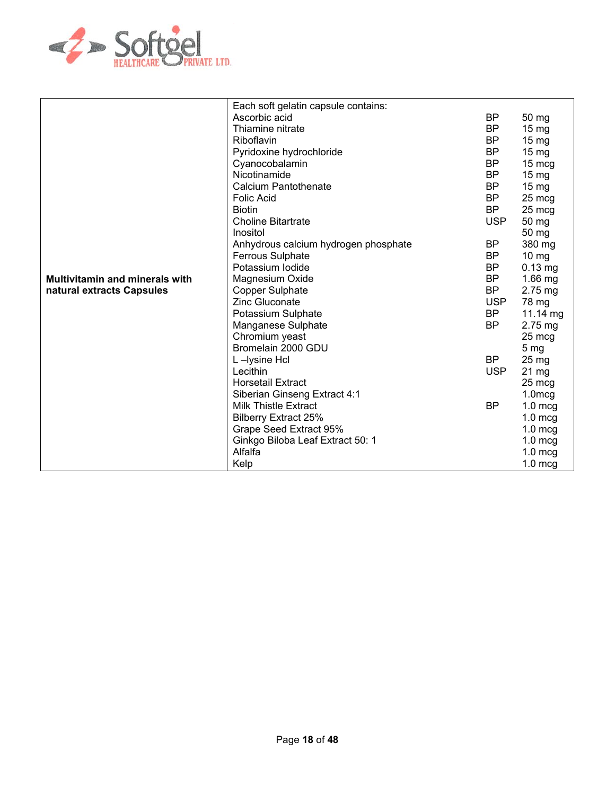

|                                       | Each soft gelatin capsule contains:  |            |                  |
|---------------------------------------|--------------------------------------|------------|------------------|
|                                       | Ascorbic acid                        | BP         | 50 mg            |
|                                       | Thiamine nitrate                     | BP         | $15 \text{ mg}$  |
|                                       | Riboflavin                           | BP         | $15 \text{ mg}$  |
|                                       | Pyridoxine hydrochloride             | <b>BP</b>  | 15 mg            |
|                                       | Cyanocobalamin                       | <b>BP</b>  | 15 mcg           |
|                                       | Nicotinamide                         | <b>BP</b>  | $15 \text{ mg}$  |
|                                       | Calcium Pantothenate                 | <b>BP</b>  | 15 <sub>mg</sub> |
|                                       | <b>Folic Acid</b>                    | BP         | 25 mcg           |
|                                       | <b>Biotin</b>                        | <b>BP</b>  | 25 mcg           |
|                                       | <b>Choline Bitartrate</b>            | <b>USP</b> | 50 mg            |
|                                       | Inositol                             |            | 50 mg            |
|                                       | Anhydrous calcium hydrogen phosphate | BP         | 380 mg           |
|                                       | <b>Ferrous Sulphate</b>              | <b>BP</b>  | $10 \, mg$       |
|                                       | Potassium Iodide                     | <b>BP</b>  | $0.13$ mg        |
| <b>Multivitamin and minerals with</b> | Magnesium Oxide                      | <b>BP</b>  | $1.66$ mg        |
| natural extracts Capsules             | <b>Copper Sulphate</b>               | <b>BP</b>  | $2.75$ mg        |
|                                       | Zinc Gluconate                       | <b>USP</b> | 78 mg            |
|                                       | Potassium Sulphate                   | <b>BP</b>  | 11.14 mg         |
|                                       | Manganese Sulphate                   | BP         | $2.75$ mg        |
|                                       | Chromium yeast                       |            | 25 mcg           |
|                                       | Bromelain 2000 GDU                   |            | 5 <sub>mg</sub>  |
|                                       | L-Iysine Hcl                         | <b>BP</b>  | 25 mg            |
|                                       | Lecithin                             | <b>USP</b> | 21 mg            |
|                                       | <b>Horsetail Extract</b>             |            | 25 mcg           |
|                                       | Siberian Ginseng Extract 4:1         |            | $1.0$ mcg        |
|                                       | Milk Thistle Extract                 | BP         | $1.0$ mcg        |
|                                       | <b>Bilberry Extract 25%</b>          |            | $1.0$ mcg        |
|                                       | Grape Seed Extract 95%               |            | $1.0$ mcg        |
|                                       | Ginkgo Biloba Leaf Extract 50: 1     |            | $1.0$ mcg        |
|                                       | Alfalfa                              |            | $1.0$ mcg        |
|                                       | Kelp                                 |            | $1.0$ mcg        |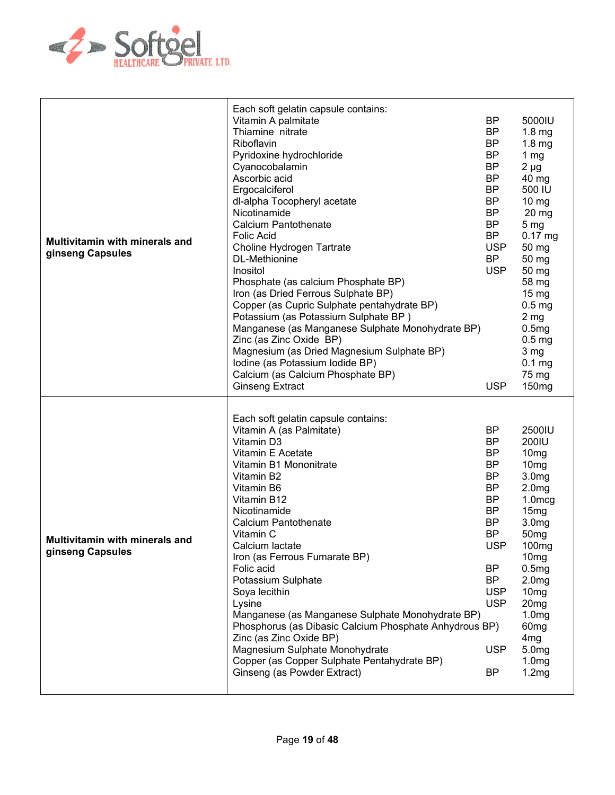

| <b>Multivitamin with minerals and</b><br>ginseng Capsules | Each soft gelatin capsule contains:<br>Vitamin A palmitate<br>Thiamine nitrate<br>Riboflavin<br>Pyridoxine hydrochloride<br>Cyanocobalamin<br>Ascorbic acid<br>Ergocalciferol<br>dl-alpha Tocopheryl acetate<br>Nicotinamide<br><b>Calcium Pantothenate</b><br><b>Folic Acid</b><br>Choline Hydrogen Tartrate<br>DL-Methionine<br>Inositol<br>Phosphate (as calcium Phosphate BP)<br>Iron (as Dried Ferrous Sulphate BP)<br>Copper (as Cupric Sulphate pentahydrate BP)<br>Potassium (as Potassium Sulphate BP)<br>Manganese (as Manganese Sulphate Monohydrate BP)<br>Zinc (as Zinc Oxide BP)<br>Magnesium (as Dried Magnesium Sulphate BP)<br>Iodine (as Potassium Iodide BP)<br>Calcium (as Calcium Phosphate BP)<br><b>Ginseng Extract</b> | BP<br><b>BP</b><br><b>BP</b><br><b>BP</b><br><b>BP</b><br><b>BP</b><br><b>BP</b><br><b>BP</b><br><b>BP</b><br><b>BP</b><br><b>BP</b><br><b>USP</b><br><b>BP</b><br><b>USP</b><br><b>USP</b>                                   | 5000IU<br>1.8 <sub>mg</sub><br>1.8 <sub>mg</sub><br>1 $mg$<br>$2 \mu g$<br>40 mg<br>500 IU<br>$10 \, mg$<br>20 mg<br>5 <sub>mg</sub><br>$0.17$ mg<br>50 mg<br>50 mg<br>50 mg<br>58 mg<br>$15 \text{ mg}$<br>0.5 <sub>mg</sub><br>2 <sub>mg</sub><br>0.5mg<br>0.5 <sub>mg</sub><br>3 mg<br>0.1 <sub>mg</sub><br>75 mg<br>150 <sub>mg</sub>                 |
|-----------------------------------------------------------|------------------------------------------------------------------------------------------------------------------------------------------------------------------------------------------------------------------------------------------------------------------------------------------------------------------------------------------------------------------------------------------------------------------------------------------------------------------------------------------------------------------------------------------------------------------------------------------------------------------------------------------------------------------------------------------------------------------------------------------------|-------------------------------------------------------------------------------------------------------------------------------------------------------------------------------------------------------------------------------|-----------------------------------------------------------------------------------------------------------------------------------------------------------------------------------------------------------------------------------------------------------------------------------------------------------------------------------------------------------|
| <b>Multivitamin with minerals and</b><br>ginseng Capsules | Each soft gelatin capsule contains:<br>Vitamin A (as Palmitate)<br>Vitamin D3<br>Vitamin E Acetate<br>Vitamin B1 Mononitrate<br>Vitamin B2<br>Vitamin B6<br>Vitamin B12<br>Nicotinamide<br><b>Calcium Pantothenate</b><br>Vitamin C<br>Calcium lactate<br>Iron (as Ferrous Fumarate BP)<br>Folic acid<br>Potassium Sulphate<br>Soya lecithin<br>Lysine<br>Manganese (as Manganese Sulphate Monohydrate BP)<br>Phosphorus (as Dibasic Calcium Phosphate Anhydrous BP)<br>Zinc (as Zinc Oxide BP)<br>Magnesium Sulphate Monohydrate<br>Copper (as Copper Sulphate Pentahydrate BP)<br>Ginseng (as Powder Extract)                                                                                                                                | <b>BP</b><br><b>BP</b><br><b>BP</b><br><b>BP</b><br><b>BP</b><br><b>BP</b><br><b>BP</b><br><b>BP</b><br><b>BP</b><br><b>BP</b><br><b>USP</b><br><b>BP</b><br><b>BP</b><br><b>USP</b><br><b>USP</b><br><b>USP</b><br><b>BP</b> | 2500IU<br>200IU<br>10 <sub>mg</sub><br>10 <sub>mg</sub><br>3.0mg<br>2.0 <sub>mg</sub><br>$1.0$ mcg<br>15mg<br>3.0 <sub>mg</sub><br>50 <sub>mg</sub><br>100mg<br>10 <sub>mg</sub><br>0.5mg<br>2.0 <sub>mg</sub><br>10 <sub>mg</sub><br>20 <sub>mg</sub><br>1.0 <sub>mg</sub><br>60 <sub>mg</sub><br>4 <sub>mg</sub><br>5.0mg<br>1.0 <sub>mg</sub><br>1.2mg |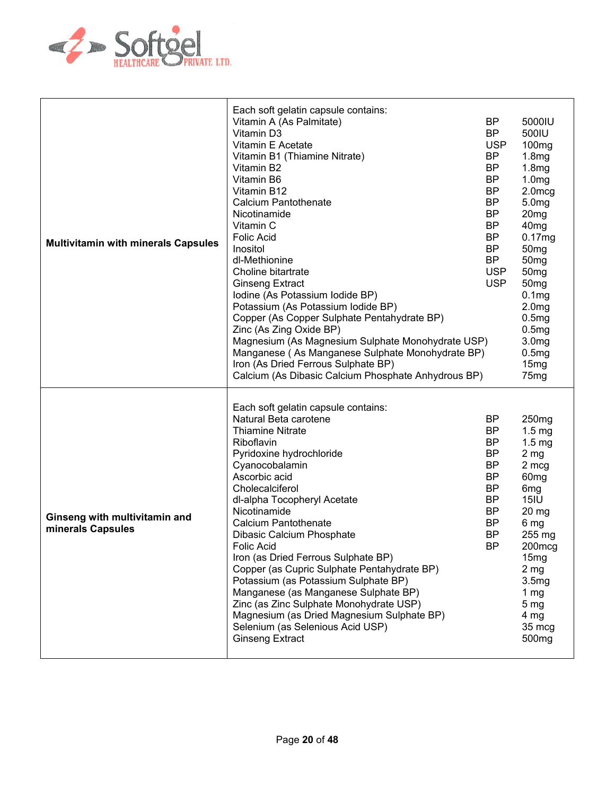

| <b>Multivitamin with minerals Capsules</b>         | Each soft gelatin capsule contains:<br>Vitamin A (As Palmitate)<br>Vitamin D3<br>Vitamin E Acetate<br>Vitamin B1 (Thiamine Nitrate)<br>Vitamin B2<br>Vitamin B6<br>Vitamin B12<br><b>Calcium Pantothenate</b><br>Nicotinamide<br>Vitamin C<br><b>Folic Acid</b><br>Inositol<br>dl-Methionine<br>Choline bitartrate<br><b>Ginseng Extract</b><br>Iodine (As Potassium Iodide BP)<br>Potassium (As Potassium Iodide BP)<br>Copper (As Copper Sulphate Pentahydrate BP)<br>Zinc (As Zing Oxide BP)<br>Magnesium (As Magnesium Sulphate Monohydrate USP)<br>Manganese (As Manganese Sulphate Monohydrate BP)<br>Iron (As Dried Ferrous Sulphate BP)<br>Calcium (As Dibasic Calcium Phosphate Anhydrous BP) | BP<br><b>BP</b><br><b>USP</b><br><b>BP</b><br><b>BP</b><br><b>BP</b><br><b>BP</b><br><b>BP</b><br>BP<br><b>BP</b><br><b>BP</b><br><b>BP</b><br><b>BP</b><br><b>USP</b><br><b>USP</b> | 5000IU<br>500IU<br>100 <sub>mg</sub><br>1.8 <sub>mg</sub><br>1.8mg<br>1.0 <sub>mg</sub><br>2.0mcg<br>5.0 <sub>mg</sub><br>20 <sub>mg</sub><br>40 <sub>mg</sub><br>0.17mg<br>50 <sub>mg</sub><br>50 <sub>mg</sub><br>50 <sub>mg</sub><br>50 <sub>mg</sub><br>0.1 <sub>mg</sub><br>2.0 <sub>mg</sub><br>0.5mg<br>0.5mg<br>3.0 <sub>mg</sub><br>0.5mg<br>15mg<br>75 <sub>mg</sub> |
|----------------------------------------------------|--------------------------------------------------------------------------------------------------------------------------------------------------------------------------------------------------------------------------------------------------------------------------------------------------------------------------------------------------------------------------------------------------------------------------------------------------------------------------------------------------------------------------------------------------------------------------------------------------------------------------------------------------------------------------------------------------------|--------------------------------------------------------------------------------------------------------------------------------------------------------------------------------------|--------------------------------------------------------------------------------------------------------------------------------------------------------------------------------------------------------------------------------------------------------------------------------------------------------------------------------------------------------------------------------|
| Ginseng with multivitamin and<br>minerals Capsules | Each soft gelatin capsule contains:<br>Natural Beta carotene<br><b>Thiamine Nitrate</b><br>Riboflavin<br>Pyridoxine hydrochloride<br>Cyanocobalamin<br>Ascorbic acid<br>Cholecalciferol<br>dl-alpha Tocopheryl Acetate<br>Nicotinamide<br><b>Calcium Pantothenate</b><br>Dibasic Calcium Phosphate<br>Folic Acid<br>Iron (as Dried Ferrous Sulphate BP)<br>Copper (as Cupric Sulphate Pentahydrate BP)<br>Potassium (as Potassium Sulphate BP)<br>Manganese (as Manganese Sulphate BP)<br>Zinc (as Zinc Sulphate Monohydrate USP)<br>Magnesium (as Dried Magnesium Sulphate BP)<br>Selenium (as Selenious Acid USP)<br><b>Ginseng Extract</b>                                                          | <b>BP</b><br>BP<br><b>BP</b><br><b>BP</b><br><b>BP</b><br><b>BP</b><br><b>BP</b><br><b>BP</b><br><b>BP</b><br><b>BP</b><br><b>BP</b><br><b>BP</b>                                    | 250 <sub>mg</sub><br>$1.5 \text{ mg}$<br>1.5 <sub>mg</sub><br>2 <sub>mg</sub><br>2 mcg<br>60 <sub>mg</sub><br>6 <sub>mg</sub><br>15IU<br>20 mg<br>6 mg<br>255 mg<br>200mcg<br>15 <sub>mg</sub><br>2 <sub>mg</sub><br>3.5 <sub>mg</sub><br>1 mg<br>5 <sub>mg</sub><br>4 mg<br>35 mcg<br>500 <sub>mg</sub>                                                                       |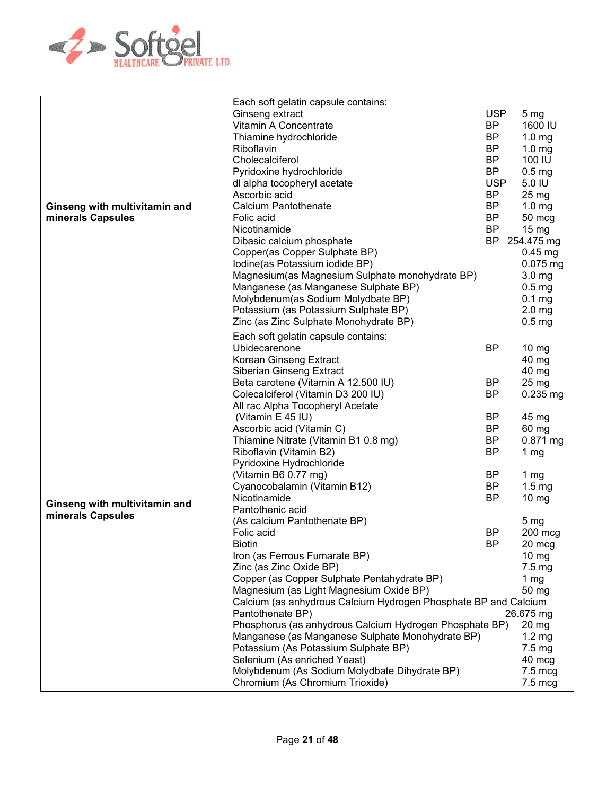

|                               | Each soft gelatin capsule contains:                             |            |                   |
|-------------------------------|-----------------------------------------------------------------|------------|-------------------|
|                               | Ginseng extract                                                 | <b>USP</b> | 5 <sub>mg</sub>   |
|                               | Vitamin A Concentrate                                           | <b>BP</b>  | 1600 IU           |
|                               |                                                                 |            |                   |
|                               | Thiamine hydrochloride                                          | <b>BP</b>  | 1.0 <sub>mg</sub> |
|                               | Riboflavin                                                      | <b>BP</b>  | 1.0 <sub>mg</sub> |
|                               | Cholecalciferol                                                 | <b>BP</b>  | 100 IU            |
|                               | Pyridoxine hydrochloride                                        | <b>BP</b>  | 0.5 <sub>mg</sub> |
|                               | dl alpha tocopheryl acetate                                     | <b>USP</b> | 5.0 IU            |
|                               | Ascorbic acid                                                   | <b>BP</b>  | $25 \text{ mg}$   |
| Ginseng with multivitamin and | Calcium Pantothenate                                            | <b>BP</b>  | 1.0 <sub>mg</sub> |
| minerals Capsules             | Folic acid                                                      | <b>BP</b>  | 50 mcg            |
|                               | Nicotinamide                                                    | <b>BP</b>  | $15 \text{ mg}$   |
|                               |                                                                 |            |                   |
|                               | Dibasic calcium phosphate                                       | BP         | 254.475 mg        |
|                               | Copper(as Copper Sulphate BP)                                   |            | $0.45$ mg         |
|                               | Iodine(as Potassium iodide BP)                                  |            | $0.075$ mg        |
|                               | Magnesium(as Magnesium Sulphate monohydrate BP)                 |            | 3.0 <sub>mg</sub> |
|                               | Manganese (as Manganese Sulphate BP)                            |            | 0.5 <sub>mg</sub> |
|                               | Molybdenum(as Sodium Molydbate BP)                              |            | 0.1 <sub>mg</sub> |
|                               | Potassium (as Potassium Sulphate BP)                            |            | 2.0 <sub>mg</sub> |
|                               | Zinc (as Zinc Sulphate Monohydrate BP)                          |            | 0.5 <sub>mg</sub> |
|                               | Each soft gelatin capsule contains:                             |            |                   |
|                               | Ubidecarenone                                                   | <b>BP</b>  |                   |
|                               |                                                                 |            | $10 \, mg$        |
|                               | Korean Ginseng Extract                                          |            | 40 mg             |
|                               | Siberian Ginseng Extract                                        |            | 40 mg             |
|                               | Beta carotene (Vitamin A 12.500 IU)                             | <b>BP</b>  | 25 mg             |
|                               | Colecalciferol (Vitamin D3 200 IU)                              | <b>BP</b>  | $0.235$ mg        |
|                               | All rac Alpha Tocopheryl Acetate                                |            |                   |
|                               | (Vitamin E 45 IU)                                               | <b>BP</b>  | 45 mg             |
|                               | Ascorbic acid (Vitamin C)                                       | <b>BP</b>  | 60 mg             |
|                               | Thiamine Nitrate (Vitamin B1 0.8 mg)                            | BP         | 0.871 mg          |
|                               | Riboflavin (Vitamin B2)                                         | <b>BP</b>  | 1 <sub>mg</sub>   |
|                               | Pyridoxine Hydrochloride                                        |            |                   |
|                               | (Vitamin B6 0.77 mg)                                            | <b>BP</b>  | 1 $mg$            |
|                               | Cyanocobalamin (Vitamin B12)                                    | <b>BP</b>  | 1.5 <sub>mg</sub> |
|                               | Nicotinamide                                                    | <b>BP</b>  | $10 \, mg$        |
| Ginseng with multivitamin and |                                                                 |            |                   |
| minerals Capsules             | Pantothenic acid                                                |            |                   |
|                               | (As calcium Pantothenate BP)                                    |            | 5 <sub>mg</sub>   |
|                               | Folic acid                                                      | <b>BP</b>  | 200 mcg           |
|                               | <b>Biotin</b>                                                   | <b>BP</b>  | 20 mcg            |
|                               | Iron (as Ferrous Fumarate BP)                                   |            | $10 \, mg$        |
|                               | Zinc (as Zinc Oxide BP)                                         |            | $7.5 \text{ mg}$  |
|                               | Copper (as Copper Sulphate Pentahydrate BP)                     |            | 1 $mg$            |
|                               | Magnesium (as Light Magnesium Oxide BP)                         |            | 50 mg             |
|                               | Calcium (as anhydrous Calcium Hydrogen Phosphate BP and Calcium |            |                   |
|                               | Pantothenate BP)                                                |            | 26.675 mg         |
|                               | Phosphorus (as anhydrous Calcium Hydrogen Phosphate BP)         |            | 20 mg             |
|                               | Manganese (as Manganese Sulphate Monohydrate BP)                |            | $1.2 \text{ mg}$  |
|                               | Potassium (As Potassium Sulphate BP)                            |            | $7.5 \text{ mg}$  |
|                               | Selenium (As enriched Yeast)                                    |            | 40 mcg            |
|                               | Molybdenum (As Sodium Molydbate Dihydrate BP)                   |            | 7.5 mcg           |
|                               | Chromium (As Chromium Trioxide)                                 |            |                   |
|                               |                                                                 |            | 7.5 mcg           |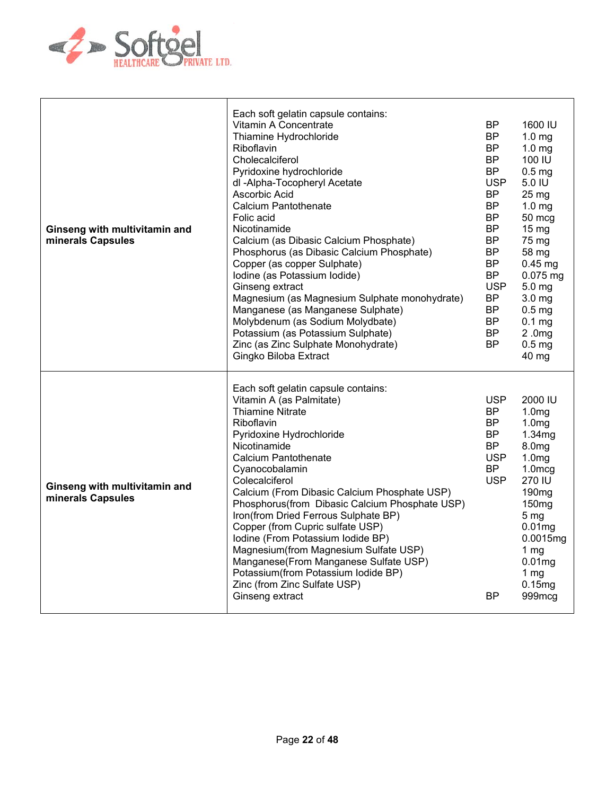

| Ginseng with multivitamin and<br>minerals Capsules | Each soft gelatin capsule contains:<br>Vitamin A Concentrate<br>Thiamine Hydrochloride<br>Riboflavin<br>Cholecalciferol<br>Pyridoxine hydrochloride<br>dl -Alpha-Tocopheryl Acetate<br>Ascorbic Acid<br>Calcium Pantothenate<br>Folic acid<br>Nicotinamide<br>Calcium (as Dibasic Calcium Phosphate)<br>Phosphorus (as Dibasic Calcium Phosphate)<br>Copper (as copper Sulphate)<br>Iodine (as Potassium Iodide)<br>Ginseng extract<br>Magnesium (as Magnesium Sulphate monohydrate)<br>Manganese (as Manganese Sulphate)<br>Molybdenum (as Sodium Molydbate)<br>Potassium (as Potassium Sulphate)<br>Zinc (as Zinc Sulphate Monohydrate)<br>Gingko Biloba Extract | <b>BP</b><br><b>BP</b><br><b>BP</b><br><b>BP</b><br><b>BP</b><br><b>USP</b><br><b>BP</b><br><b>BP</b><br><b>BP</b><br><b>BP</b><br><b>BP</b><br><b>BP</b><br><b>BP</b><br><b>BP</b><br><b>USP</b><br><b>BP</b><br><b>BP</b><br><b>BP</b><br><b>BP</b><br><b>BP</b> | 1600 IU<br>1.0 <sub>mg</sub><br>1.0 <sub>mg</sub><br>100 IU<br>0.5 <sub>mg</sub><br>5.0 IU<br>25 mg<br>1.0 <sub>mg</sub><br>50 mcg<br>$15 \text{ mg}$<br>75 mg<br>58 mg<br>$0.45$ mg<br>$0.075$ mg<br>5.0 <sub>mg</sub><br>3.0 <sub>mg</sub><br>0.5 <sub>mg</sub><br>$0.1$ mg<br>2.0mg<br>0.5 <sub>mg</sub><br>40 mg |
|----------------------------------------------------|--------------------------------------------------------------------------------------------------------------------------------------------------------------------------------------------------------------------------------------------------------------------------------------------------------------------------------------------------------------------------------------------------------------------------------------------------------------------------------------------------------------------------------------------------------------------------------------------------------------------------------------------------------------------|--------------------------------------------------------------------------------------------------------------------------------------------------------------------------------------------------------------------------------------------------------------------|----------------------------------------------------------------------------------------------------------------------------------------------------------------------------------------------------------------------------------------------------------------------------------------------------------------------|
| Ginseng with multivitamin and<br>minerals Capsules | Each soft gelatin capsule contains:<br>Vitamin A (as Palmitate)<br><b>Thiamine Nitrate</b><br>Riboflavin<br>Pyridoxine Hydrochloride<br>Nicotinamide<br><b>Calcium Pantothenate</b><br>Cyanocobalamin<br>Colecalciferol<br>Calcium (From Dibasic Calcium Phosphate USP)<br>Phosphorus(from Dibasic Calcium Phosphate USP)<br>Iron(from Dried Ferrous Sulphate BP)<br>Copper (from Cupric sulfate USP)<br>Iodine (From Potassium Iodide BP)<br>Magnesium(from Magnesium Sulfate USP)<br>Manganese(From Manganese Sulfate USP)<br>Potassium(from Potassium Iodide BP)<br>Zinc (from Zinc Sulfate USP)<br>Ginseng extract                                             | <b>USP</b><br><b>BP</b><br><b>BP</b><br><b>BP</b><br><b>BP</b><br><b>USP</b><br><b>BP</b><br><b>USP</b><br><b>BP</b>                                                                                                                                               | 2000 IU<br>1.0 <sub>mg</sub><br>1.0 <sub>mg</sub><br>1.34mg<br>8.0 <sub>mg</sub><br>1.0 <sub>mg</sub><br>$1.0$ mcg<br>270 IU<br>190 <sub>mg</sub><br>150 <sub>mg</sub><br>5 <sub>mg</sub><br>0.01mg<br>0.0015mg<br>1 $mg$<br>0.01mg<br>1 <sub>mg</sub><br>0.15mg<br>999mcg                                           |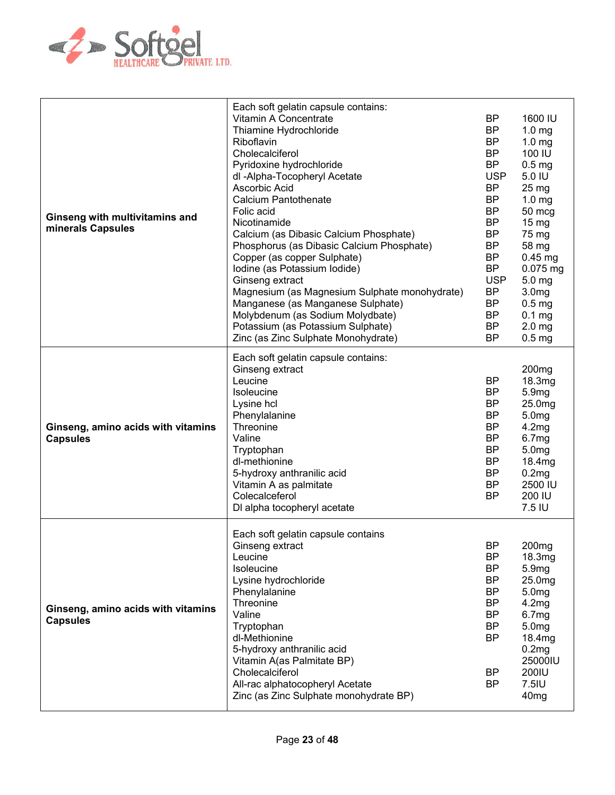

| Ginseng with multivitamins and<br>minerals Capsules   | Each soft gelatin capsule contains:<br>Vitamin A Concentrate<br>Thiamine Hydrochloride<br>Riboflavin<br>Cholecalciferol<br>Pyridoxine hydrochloride<br>dl -Alpha-Tocopheryl Acetate<br>Ascorbic Acid<br><b>Calcium Pantothenate</b><br>Folic acid<br>Nicotinamide<br>Calcium (as Dibasic Calcium Phosphate)<br>Phosphorus (as Dibasic Calcium Phosphate)<br>Copper (as copper Sulphate)<br>Iodine (as Potassium Iodide)<br>Ginseng extract<br>Magnesium (as Magnesium Sulphate monohydrate)<br>Manganese (as Manganese Sulphate)<br>Molybdenum (as Sodium Molydbate)<br>Potassium (as Potassium Sulphate)<br>Zinc (as Zinc Sulphate Monohydrate) | <b>BP</b><br><b>BP</b><br><b>BP</b><br><b>BP</b><br><b>BP</b><br><b>USP</b><br><b>BP</b><br><b>BP</b><br><b>BP</b><br><b>BP</b><br><b>BP</b><br><b>BP</b><br><b>BP</b><br><b>BP</b><br><b>USP</b><br><b>BP</b><br><b>BP</b><br><b>BP</b><br><b>BP</b><br><b>BP</b> | 1600 IU<br>1.0 <sub>mg</sub><br>1.0 <sub>mg</sub><br>100 IU<br>$0.5$ mg<br>5.0 IU<br>$25 \text{ mg}$<br>1.0 <sub>mg</sub><br>50 mcg<br>15 <sub>mg</sub><br>75 mg<br>58 mg<br>$0.45$ mg<br>$0.075$ mg<br>5.0 mg<br>3.0 <sub>mg</sub><br>0.5 <sub>mg</sub><br>0.1 <sub>mg</sub><br>2.0 <sub>mg</sub><br>0.5 <sub>mg</sub> |
|-------------------------------------------------------|--------------------------------------------------------------------------------------------------------------------------------------------------------------------------------------------------------------------------------------------------------------------------------------------------------------------------------------------------------------------------------------------------------------------------------------------------------------------------------------------------------------------------------------------------------------------------------------------------------------------------------------------------|--------------------------------------------------------------------------------------------------------------------------------------------------------------------------------------------------------------------------------------------------------------------|-------------------------------------------------------------------------------------------------------------------------------------------------------------------------------------------------------------------------------------------------------------------------------------------------------------------------|
| Ginseng, amino acids with vitamins<br><b>Capsules</b> | Each soft gelatin capsule contains:<br>Ginseng extract<br>Leucine<br>Isoleucine<br>Lysine hcl<br>Phenylalanine<br>Threonine<br>Valine<br>Tryptophan<br>dl-methionine<br>5-hydroxy anthranilic acid<br>Vitamin A as palmitate<br>Colecalceferol<br>DI alpha tocopheryl acetate                                                                                                                                                                                                                                                                                                                                                                    | <b>BP</b><br><b>BP</b><br><b>BP</b><br><b>BP</b><br><b>BP</b><br><b>BP</b><br><b>BP</b><br><b>BP</b><br><b>BP</b><br><b>BP</b><br><b>BP</b>                                                                                                                        | 200 <sub>mg</sub><br>18.3mg<br>5.9mg<br>25.0mg<br>5.0mg<br>4.2mg<br>6.7mg<br>5.0 <sub>mg</sub><br>18.4mg<br>0.2mg<br>2500 IU<br>200 IU<br>7.5 IU                                                                                                                                                                        |
| Ginseng, amino acids with vitamins<br><b>Capsules</b> | Each soft gelatin capsule contains<br>Ginseng extract<br>Leucine<br>Isoleucine<br>Lysine hydrochloride<br>Phenylalanine<br>Threonine<br>Valine<br>Tryptophan<br>dl-Methionine<br>5-hydroxy anthranilic acid<br>Vitamin A(as Palmitate BP)<br>Cholecalciferol<br>All-rac alphatocopheryl Acetate<br>Zinc (as Zinc Sulphate monohydrate BP)                                                                                                                                                                                                                                                                                                        | <b>BP</b><br>BP<br><b>BP</b><br>BP<br>BP<br><b>BP</b><br><b>BP</b><br><b>BP</b><br><b>BP</b><br><b>BP</b><br><b>BP</b>                                                                                                                                             | 200 <sub>mg</sub><br>18.3mg<br>5.9mg<br>25.0mg<br>5.0 <sub>mg</sub><br>4.2mg<br>6.7mg<br>5.0 <sub>mg</sub><br>18.4mg<br>0.2mg<br>25000IU<br>200IU<br>$7.5$ IU<br>40 <sub>mg</sub>                                                                                                                                       |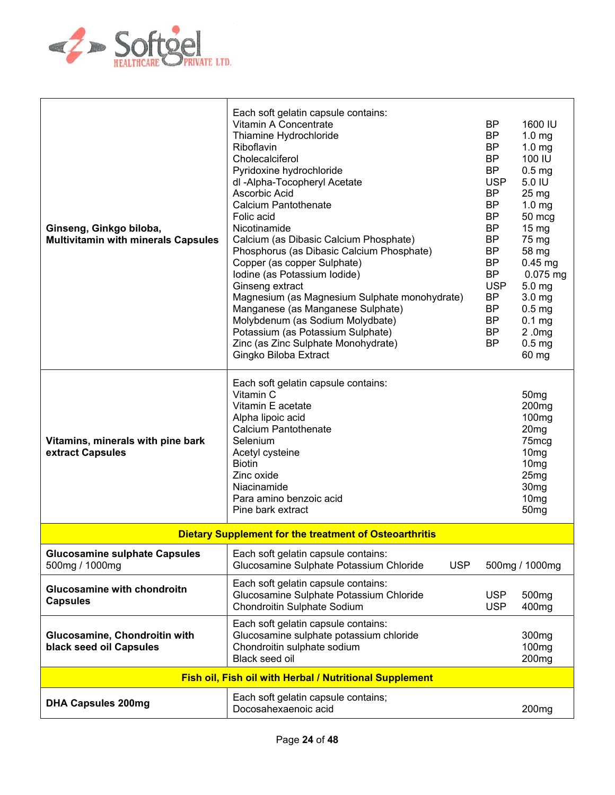

| Ginseng, Ginkgo biloba,<br><b>Multivitamin with minerals Capsules</b> | Each soft gelatin capsule contains:<br>Vitamin A Concentrate<br>Thiamine Hydrochloride<br>Riboflavin<br>Cholecalciferol<br>Pyridoxine hydrochloride<br>dl -Alpha-Tocopheryl Acetate<br>Ascorbic Acid<br><b>Calcium Pantothenate</b><br>Folic acid<br>Nicotinamide<br>Calcium (as Dibasic Calcium Phosphate)<br>Phosphorus (as Dibasic Calcium Phosphate)<br>Copper (as copper Sulphate)<br>Iodine (as Potassium Iodide)<br>Ginseng extract<br>Magnesium (as Magnesium Sulphate monohydrate)<br>Manganese (as Manganese Sulphate)<br>Molybdenum (as Sodium Molydbate)<br>Potassium (as Potassium Sulphate)<br>Zinc (as Zinc Sulphate Monohydrate)<br>Gingko Biloba Extract | <b>BP</b><br><b>BP</b><br>BP<br><b>BP</b><br><b>BP</b><br><b>USP</b><br><b>BP</b><br><b>BP</b><br><b>BP</b><br><b>BP</b><br>BP<br>BP<br><b>BP</b><br><b>BP</b><br><b>USP</b><br><b>BP</b><br><b>BP</b><br><b>BP</b><br><b>BP</b><br><b>BP</b> | 1600 IU<br>1.0 <sub>mg</sub><br>1.0 <sub>mg</sub><br>100 IU<br>0.5 <sub>mg</sub><br>5.0 IU<br>25 <sub>mg</sub><br>1.0 <sub>mg</sub><br>50 mcg<br>$15 \text{ mg}$<br>75 mg<br>58 mg<br>$0.45$ mg<br>0.075 mg<br>$5.0$ mg<br>3.0 <sub>mg</sub><br>0.5 <sub>mg</sub><br>$0.1$ mg<br>2.0mg<br>0.5 <sub>mg</sub><br>60 mg |
|-----------------------------------------------------------------------|---------------------------------------------------------------------------------------------------------------------------------------------------------------------------------------------------------------------------------------------------------------------------------------------------------------------------------------------------------------------------------------------------------------------------------------------------------------------------------------------------------------------------------------------------------------------------------------------------------------------------------------------------------------------------|-----------------------------------------------------------------------------------------------------------------------------------------------------------------------------------------------------------------------------------------------|----------------------------------------------------------------------------------------------------------------------------------------------------------------------------------------------------------------------------------------------------------------------------------------------------------------------|
| Vitamins, minerals with pine bark<br>extract Capsules                 | Each soft gelatin capsule contains:<br>Vitamin C<br>Vitamin E acetate<br>Alpha lipoic acid<br><b>Calcium Pantothenate</b><br>Selenium<br>Acetyl cysteine<br><b>Biotin</b><br>Zinc oxide<br>Niacinamide<br>Para amino benzoic acid<br>Pine bark extract                                                                                                                                                                                                                                                                                                                                                                                                                    |                                                                                                                                                                                                                                               | 50 <sub>mg</sub><br>200 <sub>mg</sub><br>100 <sub>mg</sub><br>20 <sub>mg</sub><br>75mcg<br>10 <sub>mg</sub><br>10 <sub>mg</sub><br>25mg<br>30 <sub>mg</sub><br>10 <sub>mg</sub><br>50 <sub>mg</sub>                                                                                                                  |
|                                                                       | <b>Dietary Supplement for the treatment of Osteoarthritis</b>                                                                                                                                                                                                                                                                                                                                                                                                                                                                                                                                                                                                             |                                                                                                                                                                                                                                               |                                                                                                                                                                                                                                                                                                                      |
| <b>Glucosamine sulphate Capsules</b><br>500mg / 1000mg                | Each soft gelatin capsule contains:<br>Glucosamine Sulphate Potassium Chloride<br><b>USP</b>                                                                                                                                                                                                                                                                                                                                                                                                                                                                                                                                                                              |                                                                                                                                                                                                                                               | 500mg / 1000mg                                                                                                                                                                                                                                                                                                       |
| Glucosamine with chondroitn<br><b>Capsules</b>                        | Each soft gelatin capsule contains:<br>Glucosamine Sulphate Potassium Chloride<br>Chondroitin Sulphate Sodium                                                                                                                                                                                                                                                                                                                                                                                                                                                                                                                                                             | <b>USP</b><br><b>USP</b>                                                                                                                                                                                                                      | 500 <sub>mg</sub><br>400 <sub>mg</sub>                                                                                                                                                                                                                                                                               |
| Glucosamine, Chondroitin with<br>black seed oil Capsules              | Each soft gelatin capsule contains:<br>Glucosamine sulphate potassium chloride<br>Chondroitin sulphate sodium<br>Black seed oil                                                                                                                                                                                                                                                                                                                                                                                                                                                                                                                                           |                                                                                                                                                                                                                                               | 300 <sub>mg</sub><br>100 <sub>mg</sub><br>200 <sub>mg</sub>                                                                                                                                                                                                                                                          |
|                                                                       | <b>Fish oil, Fish oil with Herbal / Nutritional Supplement</b>                                                                                                                                                                                                                                                                                                                                                                                                                                                                                                                                                                                                            |                                                                                                                                                                                                                                               |                                                                                                                                                                                                                                                                                                                      |
| <b>DHA Capsules 200mg</b>                                             | Each soft gelatin capsule contains;<br>Docosahexaenoic acid                                                                                                                                                                                                                                                                                                                                                                                                                                                                                                                                                                                                               |                                                                                                                                                                                                                                               | 200 <sub>mg</sub>                                                                                                                                                                                                                                                                                                    |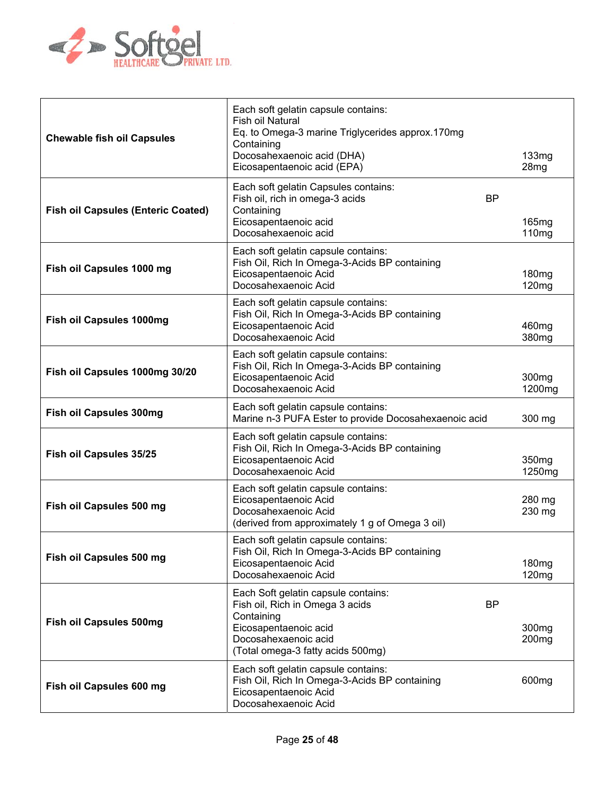

| <b>Chewable fish oil Capsules</b>         | Each soft gelatin capsule contains:<br>Fish oil Natural<br>Eq. to Omega-3 marine Triglycerides approx.170mg<br>Containing<br>Docosahexaenoic acid (DHA)<br>Eicosapentaenoic acid (EPA)  | 133mg<br>28mg                          |
|-------------------------------------------|-----------------------------------------------------------------------------------------------------------------------------------------------------------------------------------------|----------------------------------------|
| <b>Fish oil Capsules (Enteric Coated)</b> | Each soft gelatin Capsules contains:<br><b>BP</b><br>Fish oil, rich in omega-3 acids<br>Containing<br>Eicosapentaenoic acid<br>Docosahexaenoic acid                                     | 165mg<br>110mg                         |
| Fish oil Capsules 1000 mg                 | Each soft gelatin capsule contains:<br>Fish Oil, Rich In Omega-3-Acids BP containing<br>Eicosapentaenoic Acid<br>Docosahexaenoic Acid                                                   | 180 <sub>mg</sub><br>120mg             |
| <b>Fish oil Capsules 1000mg</b>           | Each soft gelatin capsule contains:<br>Fish Oil, Rich In Omega-3-Acids BP containing<br>Eicosapentaenoic Acid<br>Docosahexaenoic Acid                                                   | 460mg<br>380mg                         |
| Fish oil Capsules 1000mg 30/20            | Each soft gelatin capsule contains:<br>Fish Oil, Rich In Omega-3-Acids BP containing<br>Eicosapentaenoic Acid<br>Docosahexaenoic Acid                                                   | 300 <sub>mg</sub><br>1200mg            |
| <b>Fish oil Capsules 300mg</b>            | Each soft gelatin capsule contains:<br>Marine n-3 PUFA Ester to provide Docosahexaenoic acid                                                                                            | 300 mg                                 |
| Fish oil Capsules 35/25                   | Each soft gelatin capsule contains:<br>Fish Oil, Rich In Omega-3-Acids BP containing<br>Eicosapentaenoic Acid<br>Docosahexaenoic Acid                                                   | 350 <sub>mg</sub><br>1250mg            |
| Fish oil Capsules 500 mg                  | Each soft gelatin capsule contains:<br>Eicosapentaenoic Acid<br>Docosahexaenoic Acid<br>(derived from approximately 1 g of Omega 3 oil)                                                 | 280 mg<br>230 mg                       |
| Fish oil Capsules 500 mg                  | Each soft gelatin capsule contains:<br>Fish Oil, Rich In Omega-3-Acids BP containing<br>Eicosapentaenoic Acid<br>Docosahexaenoic Acid                                                   | 180 <sub>mg</sub><br>120mg             |
| <b>Fish oil Capsules 500mg</b>            | Each Soft gelatin capsule contains:<br><b>BP</b><br>Fish oil, Rich in Omega 3 acids<br>Containing<br>Eicosapentaenoic acid<br>Docosahexaenoic acid<br>(Total omega-3 fatty acids 500mg) | 300 <sub>mg</sub><br>200 <sub>mg</sub> |
| Fish oil Capsules 600 mg                  | Each soft gelatin capsule contains:<br>Fish Oil, Rich In Omega-3-Acids BP containing<br>Eicosapentaenoic Acid<br>Docosahexaenoic Acid                                                   | 600 <sub>mg</sub>                      |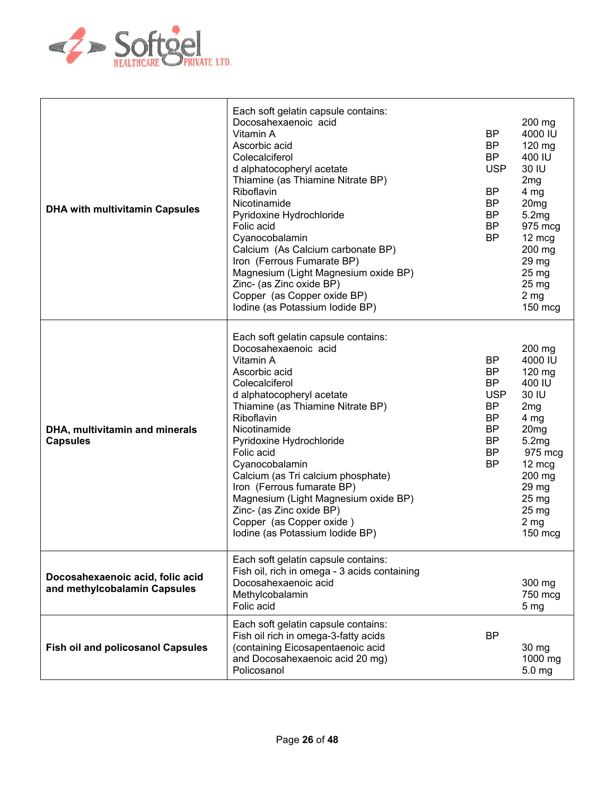

| <b>DHA with multivitamin Capsules</b>                            | Each soft gelatin capsule contains:<br>Docosahexaenoic acid<br>Vitamin A<br>Ascorbic acid<br>Colecalciferol<br>d alphatocopheryl acetate<br>Thiamine (as Thiamine Nitrate BP)<br>Riboflavin<br>Nicotinamide<br>Pyridoxine Hydrochloride<br>Folic acid<br>Cyanocobalamin<br>Calcium (As Calcium carbonate BP)<br>Iron (Ferrous Fumarate BP)<br>Magnesium (Light Magnesium oxide BP)<br>Zinc- (as Zinc oxide BP)<br>Copper (as Copper oxide BP)<br>Iodine (as Potassium Iodide BP) | <b>BP</b><br><b>BP</b><br><b>BP</b><br><b>USP</b><br>BP<br><b>BP</b><br><b>BP</b><br>BP.<br><b>BP</b>              | 200 mg<br>4000 IU<br>120 mg<br>400 IU<br>30 IU<br>2 <sub>mg</sub><br>4 mg<br>20 <sub>mg</sub><br>5.2mg<br>975 mcg<br>12 mcg<br>200 mg<br>29 mg<br>$25 \text{ mg}$<br>25 mg<br>2 <sub>mg</sub><br>150 mcg |
|------------------------------------------------------------------|----------------------------------------------------------------------------------------------------------------------------------------------------------------------------------------------------------------------------------------------------------------------------------------------------------------------------------------------------------------------------------------------------------------------------------------------------------------------------------|--------------------------------------------------------------------------------------------------------------------|----------------------------------------------------------------------------------------------------------------------------------------------------------------------------------------------------------|
| DHA, multivitamin and minerals<br><b>Capsules</b>                | Each soft gelatin capsule contains:<br>Docosahexaenoic acid<br>Vitamin A<br>Ascorbic acid<br>Colecalciferol<br>d alphatocopheryl acetate<br>Thiamine (as Thiamine Nitrate BP)<br>Riboflavin<br>Nicotinamide<br>Pyridoxine Hydrochloride<br>Folic acid<br>Cyanocobalamin<br>Calcium (as Tri calcium phosphate)<br>Iron (Ferrous fumarate BP)<br>Magnesium (Light Magnesium oxide BP)<br>Zinc- (as Zinc oxide BP)<br>Copper (as Copper oxide)<br>Iodine (as Potassium Iodide BP)   | BP<br>BP.<br><b>BP</b><br><b>USP</b><br><b>BP</b><br><b>BP</b><br><b>BP</b><br><b>BP</b><br><b>BP</b><br><b>BP</b> | 200 mg<br>4000 IU<br>120 mg<br>400 IU<br>30 IU<br>2mg<br>4 <sub>mg</sub><br>20 <sub>mg</sub><br>5.2mg<br>975 mcg<br>12 mcg<br>200 mg<br>29 mg<br>25 mg<br>25 <sub>mg</sub><br>2 <sub>mg</sub><br>150 mcg |
| Docosahexaenoic acid, folic acid<br>and methylcobalamin Capsules | Each soft gelatin capsule contains:<br>Fish oil, rich in omega - 3 acids containing<br>Docosahexaenoic acid<br>Methylcobalamin<br>Folic acid                                                                                                                                                                                                                                                                                                                                     |                                                                                                                    | 300 mg<br>750 mcg<br>5 <sub>mg</sub>                                                                                                                                                                     |
| <b>Fish oil and policosanol Capsules</b>                         | Each soft gelatin capsule contains:<br>Fish oil rich in omega-3-fatty acids<br>(containing Eicosapentaenoic acid<br>and Docosahexaenoic acid 20 mg)<br>Policosanol                                                                                                                                                                                                                                                                                                               | BP                                                                                                                 | 30 mg<br>1000 mg<br>5.0 mg                                                                                                                                                                               |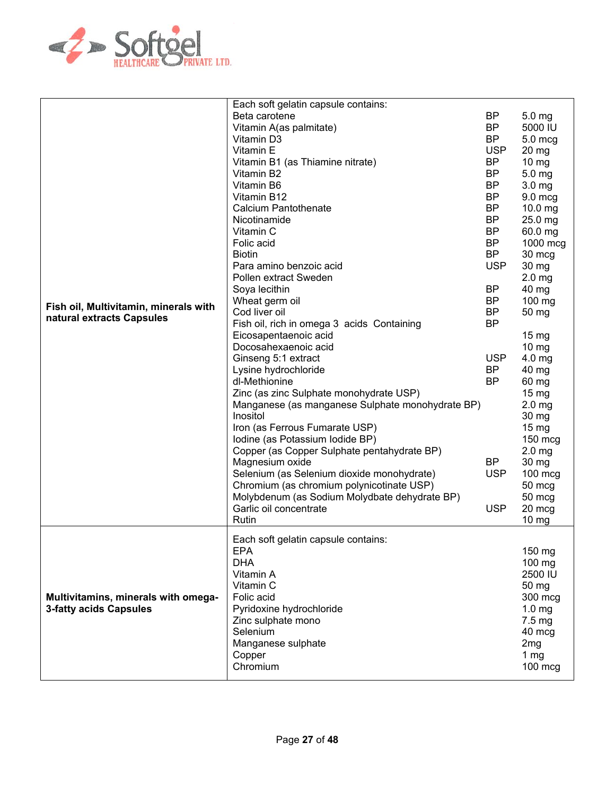

| Fish oil, Multivitamin, minerals with<br>natural extracts Capsules   | Each soft gelatin capsule contains:<br>Beta carotene<br>Vitamin A(as palmitate)<br>Vitamin D3<br>Vitamin E<br>Vitamin B1 (as Thiamine nitrate)<br>Vitamin B2<br>Vitamin B6<br>Vitamin B12<br><b>Calcium Pantothenate</b><br>Nicotinamide<br>Vitamin C<br>Folic acid<br><b>Biotin</b><br>Para amino benzoic acid<br>Pollen extract Sweden<br>Soya lecithin<br>Wheat germ oil<br>Cod liver oil<br>Fish oil, rich in omega 3 acids Containing<br>Eicosapentaenoic acid<br>Docosahexaenoic acid<br>Ginseng 5:1 extract<br>Lysine hydrochloride<br>dl-Methionine<br>Zinc (as zinc Sulphate monohydrate USP)<br>Manganese (as manganese Sulphate monohydrate BP)<br>Inositol<br>Iron (as Ferrous Fumarate USP)<br>Iodine (as Potassium Iodide BP)<br>Copper (as Copper Sulphate pentahydrate BP)<br>Magnesium oxide<br>Selenium (as Selenium dioxide monohydrate)<br>Chromium (as chromium polynicotinate USP)<br>Molybdenum (as Sodium Molydbate dehydrate BP)<br>Garlic oil concentrate<br>Rutin | <b>BP</b><br><b>BP</b><br><b>BP</b><br><b>USP</b><br>BP<br><b>BP</b><br><b>BP</b><br><b>BP</b><br><b>BP</b><br><b>BP</b><br><b>BP</b><br><b>BP</b><br><b>BP</b><br><b>USP</b><br><b>BP</b><br><b>BP</b><br><b>BP</b><br><b>BP</b><br><b>USP</b><br><b>BP</b><br><b>BP</b><br><b>BP</b><br><b>USP</b><br><b>USP</b> | 5.0 <sub>mg</sub><br>5000 IU<br>5.0 mcg<br>$20$ mg<br>$10 \text{ mg}$<br>5.0 mg<br>3.0 <sub>mg</sub><br>9.0 mcg<br>10.0 mg<br>25.0 mg<br>60.0 mg<br>1000 mcg<br>30 mcg<br>30 mg<br>2.0 <sub>mg</sub><br>40 mg<br>100 mg<br>50 mg<br>$15 \text{ mg}$<br>10 mg<br>$4.0$ mg<br>40 mg<br>60 mg<br>$15 \text{ mg}$<br>2.0 <sub>mg</sub><br>30 mg<br>15 <sub>mg</sub><br>150 mcg<br>2.0 <sub>mg</sub><br>30 mg<br>100 mcg<br>50 mcg<br>50 mcg<br>20 mcg<br>10 mg |
|----------------------------------------------------------------------|----------------------------------------------------------------------------------------------------------------------------------------------------------------------------------------------------------------------------------------------------------------------------------------------------------------------------------------------------------------------------------------------------------------------------------------------------------------------------------------------------------------------------------------------------------------------------------------------------------------------------------------------------------------------------------------------------------------------------------------------------------------------------------------------------------------------------------------------------------------------------------------------------------------------------------------------------------------------------------------------|--------------------------------------------------------------------------------------------------------------------------------------------------------------------------------------------------------------------------------------------------------------------------------------------------------------------|------------------------------------------------------------------------------------------------------------------------------------------------------------------------------------------------------------------------------------------------------------------------------------------------------------------------------------------------------------------------------------------------------------------------------------------------------------|
| Multivitamins, minerals with omega-<br><b>3-fatty acids Capsules</b> | Each soft gelatin capsule contains:<br><b>EPA</b><br><b>DHA</b><br>Vitamin A<br>Vitamin C<br>Folic acid<br>Pyridoxine hydrochloride<br>Zinc sulphate mono<br>Selenium<br>Manganese sulphate<br>Copper<br>Chromium                                                                                                                                                                                                                                                                                                                                                                                                                                                                                                                                                                                                                                                                                                                                                                            |                                                                                                                                                                                                                                                                                                                    | 150 mg<br>100 mg<br>2500 IU<br>50 mg<br>300 mcg<br>1.0 <sub>mg</sub><br>7.5 mg<br>40 mcg<br>2 <sub>mg</sub><br>1 mg<br>$100$ mcg                                                                                                                                                                                                                                                                                                                           |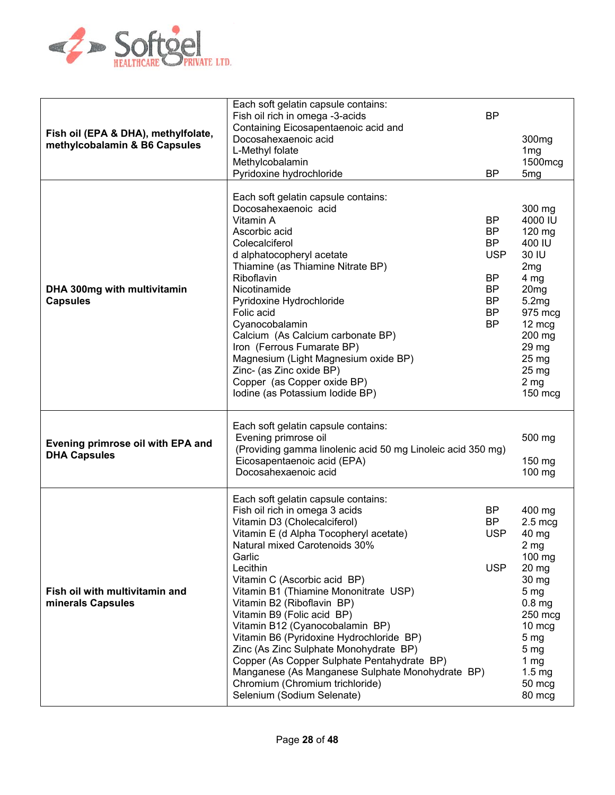

| Fish oil (EPA & DHA), methylfolate,<br>methylcobalamin & B6 Capsules | Each soft gelatin capsule contains:<br>Fish oil rich in omega -3-acids<br>Containing Eicosapentaenoic acid and<br>Docosahexaenoic acid<br>L-Methyl folate<br>Methylcobalamin                                                                                                                                                                                                                                                                                                                                                                                                                                                             | <b>BP</b>                                                                                            | 300 <sub>mg</sub><br>1 <sub>mg</sub><br>1500mcg                                                                                                                                                                                           |
|----------------------------------------------------------------------|------------------------------------------------------------------------------------------------------------------------------------------------------------------------------------------------------------------------------------------------------------------------------------------------------------------------------------------------------------------------------------------------------------------------------------------------------------------------------------------------------------------------------------------------------------------------------------------------------------------------------------------|------------------------------------------------------------------------------------------------------|-------------------------------------------------------------------------------------------------------------------------------------------------------------------------------------------------------------------------------------------|
|                                                                      | Pyridoxine hydrochloride                                                                                                                                                                                                                                                                                                                                                                                                                                                                                                                                                                                                                 | <b>BP</b>                                                                                            | 5 <sub>mg</sub>                                                                                                                                                                                                                           |
| DHA 300mg with multivitamin<br><b>Capsules</b>                       | Each soft gelatin capsule contains:<br>Docosahexaenoic acid<br>Vitamin A<br>Ascorbic acid<br>Colecalciferol<br>d alphatocopheryl acetate<br>Thiamine (as Thiamine Nitrate BP)<br>Riboflavin<br>Nicotinamide<br>Pyridoxine Hydrochloride<br>Folic acid<br>Cyanocobalamin<br>Calcium (As Calcium carbonate BP)<br>Iron (Ferrous Fumarate BP)<br>Magnesium (Light Magnesium oxide BP)<br>Zinc- (as Zinc oxide BP)<br>Copper (as Copper oxide BP)<br>Iodine (as Potassium Iodide BP)                                                                                                                                                         | BP<br><b>BP</b><br><b>BP</b><br><b>USP</b><br><b>BP</b><br>BP<br><b>BP</b><br><b>BP</b><br><b>BP</b> | 300 mg<br>4000 IU<br>120 mg<br>400 IU<br>30 IU<br>2 <sub>mg</sub><br>4 <sub>mg</sub><br>20 <sub>mg</sub><br>5.2mg<br>975 mcg<br>12 mcg<br>200 mg<br>29 mg<br>25 mg<br>25 mg<br>2 <sub>mg</sub><br>150 mcg                                 |
| Evening primrose oil with EPA and<br><b>DHA Capsules</b>             | Each soft gelatin capsule contains:<br>Evening primrose oil<br>(Providing gamma linolenic acid 50 mg Linoleic acid 350 mg)<br>Eicosapentaenoic acid (EPA)<br>Docosahexaenoic acid                                                                                                                                                                                                                                                                                                                                                                                                                                                        |                                                                                                      | 500 mg<br>150 mg<br>100 mg                                                                                                                                                                                                                |
| Fish oil with multivitamin and<br>minerals Capsules                  | Each soft gelatin capsule contains:<br>Fish oil rich in omega 3 acids<br>Vitamin D3 (Cholecalciferol)<br>Vitamin E (d Alpha Tocopheryl acetate)<br>Natural mixed Carotenoids 30%<br>Garlic<br>Lecithin<br>Vitamin C (Ascorbic acid BP)<br>Vitamin B1 (Thiamine Mononitrate USP)<br>Vitamin B2 (Riboflavin BP)<br>Vitamin B9 (Folic acid BP)<br>Vitamin B12 (Cyanocobalamin BP)<br>Vitamin B6 (Pyridoxine Hydrochloride BP)<br>Zinc (As Zinc Sulphate Monohydrate BP)<br>Copper (As Copper Sulphate Pentahydrate BP)<br>Manganese (As Manganese Sulphate Monohydrate BP)<br>Chromium (Chromium trichloride)<br>Selenium (Sodium Selenate) | BP<br><b>BP</b><br><b>USP</b><br><b>USP</b>                                                          | 400 mg<br>$2.5 \text{ mcg}$<br>40 mg<br>2 <sub>mg</sub><br>100 mg<br>20 mg<br>30 mg<br>5 <sub>mg</sub><br>$0.8$ mg<br>250 mcg<br>10 mcg<br>5 <sub>mg</sub><br>5 <sub>mg</sub><br>1 <sub>mg</sub><br>1.5 <sub>mg</sub><br>50 mcg<br>80 mcg |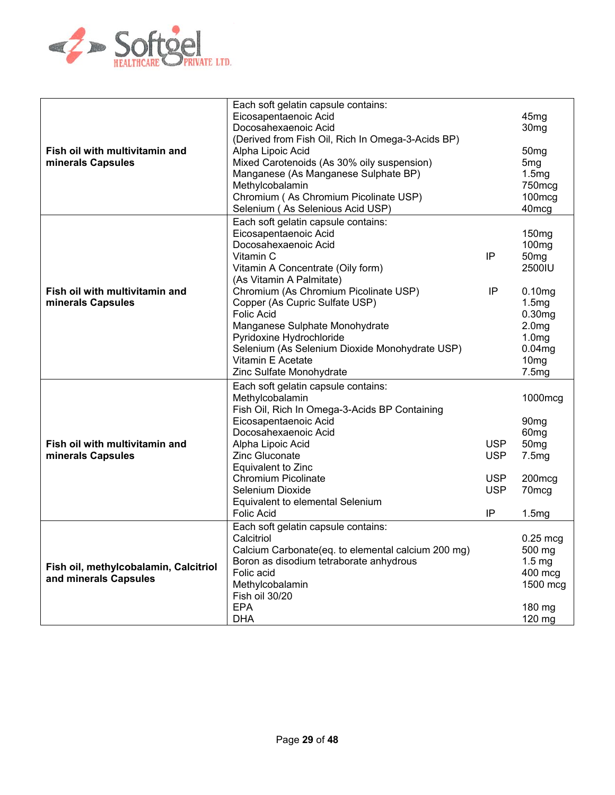

| Fish oil with multivitamin and<br>minerals Capsules            | Each soft gelatin capsule contains:<br>Eicosapentaenoic Acid<br>Docosahexaenoic Acid<br>(Derived from Fish Oil, Rich In Omega-3-Acids BP)<br>Alpha Lipoic Acid<br>Mixed Carotenoids (As 30% oily suspension)<br>Manganese (As Manganese Sulphate BP)<br>Methylcobalamin<br>Chromium (As Chromium Picolinate USP)<br>Selenium (As Selenious Acid USP) |                                                            | 45 <sub>mg</sub><br>30 <sub>mg</sub><br>50 <sub>mg</sub><br>5 <sub>mg</sub><br>1.5mg<br>750mcg<br>100mcg<br>40 <sub>mcg</sub> |
|----------------------------------------------------------------|------------------------------------------------------------------------------------------------------------------------------------------------------------------------------------------------------------------------------------------------------------------------------------------------------------------------------------------------------|------------------------------------------------------------|-------------------------------------------------------------------------------------------------------------------------------|
| Fish oil with multivitamin and<br>minerals Capsules            | Each soft gelatin capsule contains:<br>Eicosapentaenoic Acid<br>Docosahexaenoic Acid<br>Vitamin C<br>Vitamin A Concentrate (Oily form)<br>(As Vitamin A Palmitate)<br>Chromium (As Chromium Picolinate USP)                                                                                                                                          | IP<br>IP                                                   | 150 <sub>mg</sub><br>100 <sub>mg</sub><br>50 <sub>mg</sub><br>2500IU<br>0.10mg                                                |
|                                                                | Copper (As Cupric Sulfate USP)<br><b>Folic Acid</b><br>Manganese Sulphate Monohydrate<br>Pyridoxine Hydrochloride<br>Selenium (As Selenium Dioxide Monohydrate USP)<br>Vitamin E Acetate<br>Zinc Sulfate Monohydrate                                                                                                                                 |                                                            | 1.5mg<br>0.30mg<br>2.0 <sub>mg</sub><br>1.0 <sub>mg</sub><br>0.04mg<br>10 <sub>mg</sub><br>7.5mg                              |
| Fish oil with multivitamin and<br>minerals Capsules            | Each soft gelatin capsule contains:<br>Methylcobalamin<br>Fish Oil, Rich In Omega-3-Acids BP Containing<br>Eicosapentaenoic Acid<br>Docosahexaenoic Acid<br>Alpha Lipoic Acid<br><b>Zinc Gluconate</b><br>Equivalent to Zinc<br><b>Chromium Picolinate</b><br>Selenium Dioxide<br>Equivalent to elemental Selenium<br>Folic Acid                     | <b>USP</b><br><b>USP</b><br><b>USP</b><br><b>USP</b><br>IP | 1000mcg<br>90 <sub>mg</sub><br>60 <sub>mg</sub><br>50 <sub>mg</sub><br>7.5mg<br>200mcg<br>70mcg<br>1.5mg                      |
| Fish oil, methylcobalamin, Calcitriol<br>and minerals Capsules | Each soft gelatin capsule contains:<br>Calcitriol<br>Calcium Carbonate(eq. to elemental calcium 200 mg)<br>Boron as disodium tetraborate anhydrous<br>Folic acid<br>Methylcobalamin<br>Fish oil 30/20<br><b>EPA</b><br><b>DHA</b>                                                                                                                    |                                                            | $0.25$ mcg<br>500 mg<br>$1.5 \text{ mg}$<br>400 mcg<br>1500 mcg<br>180 mg<br>120 mg                                           |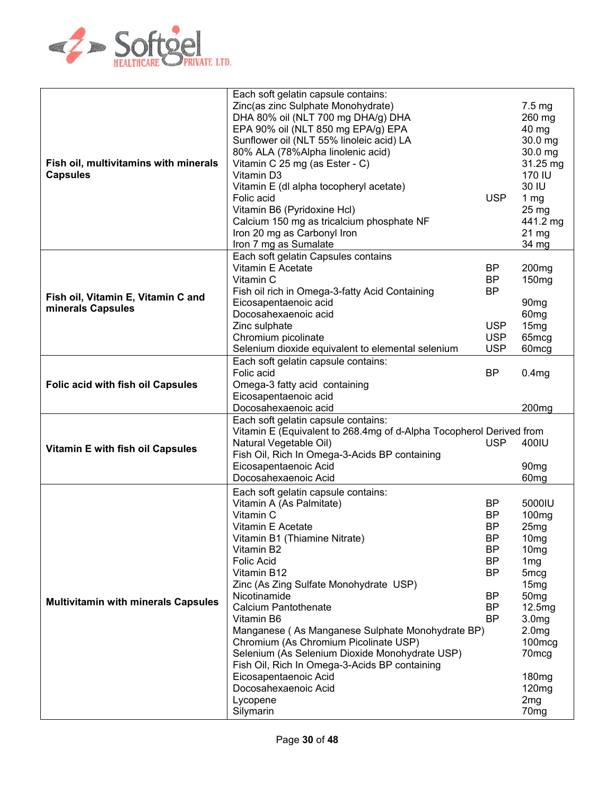

|                                            | Each soft gelatin capsule contains:                                 |            |                                     |
|--------------------------------------------|---------------------------------------------------------------------|------------|-------------------------------------|
|                                            |                                                                     |            |                                     |
|                                            | Zinc(as zinc Sulphate Monohydrate)                                  |            | $7.5 \text{ mg}$                    |
|                                            | DHA 80% oil (NLT 700 mg DHA/g) DHA                                  |            | 260 mg                              |
|                                            | EPA 90% oil (NLT 850 mg EPA/g) EPA                                  |            | 40 mg                               |
|                                            | Sunflower oil (NLT 55% linoleic acid) LA                            |            | 30.0 mg                             |
|                                            | 80% ALA (78%Alpha linolenic acid)                                   |            | 30.0 mg                             |
|                                            |                                                                     |            |                                     |
| Fish oil, multivitamins with minerals      | Vitamin C 25 mg (as Ester - C)                                      |            | 31.25 mg                            |
| <b>Capsules</b>                            | Vitamin D3                                                          |            | 170 IU                              |
|                                            | Vitamin E (dl alpha tocopheryl acetate)                             |            | 30 IU                               |
|                                            | Folic acid                                                          | <b>USP</b> | 1 $mg$                              |
|                                            | Vitamin B6 (Pyridoxine Hcl)                                         |            | $25 \text{ mg}$                     |
|                                            |                                                                     |            |                                     |
|                                            | Calcium 150 mg as tricalcium phosphate NF                           |            | 441.2 mg                            |
|                                            | Iron 20 mg as Carbonyl Iron                                         |            | $21 \text{ mg}$                     |
|                                            | Iron 7 mg as Sumalate                                               |            | 34 mg                               |
|                                            | Each soft gelatin Capsules contains                                 |            |                                     |
|                                            | Vitamin E Acetate                                                   | <b>BP</b>  | 200 <sub>mg</sub>                   |
|                                            | Vitamin C                                                           | BP         | 150 <sub>mg</sub>                   |
|                                            |                                                                     |            |                                     |
| Fish oil, Vitamin E, Vitamin C and         | Fish oil rich in Omega-3-fatty Acid Containing                      | BP         |                                     |
| minerals Capsules                          | Eicosapentaenoic acid                                               |            | 90 <sub>mg</sub>                    |
|                                            | Docosahexaenoic acid                                                |            | 60 <sub>mg</sub>                    |
|                                            | Zinc sulphate                                                       | <b>USP</b> | 15mg                                |
|                                            | Chromium picolinate                                                 | <b>USP</b> | 65 <sub>mcg</sub>                   |
|                                            | Selenium dioxide equivalent to elemental selenium                   | <b>USP</b> | 60 <sub>mcg</sub>                   |
|                                            |                                                                     |            |                                     |
|                                            | Each soft gelatin capsule contains:                                 |            |                                     |
|                                            | Folic acid                                                          | <b>BP</b>  | 0.4 <sub>mg</sub>                   |
| <b>Folic acid with fish oil Capsules</b>   | Omega-3 fatty acid containing                                       |            |                                     |
|                                            | Eicosapentaenoic acid                                               |            |                                     |
|                                            | Docosahexaenoic acid                                                |            |                                     |
|                                            |                                                                     |            |                                     |
|                                            |                                                                     |            | 200 <sub>mg</sub>                   |
|                                            | Each soft gelatin capsule contains:                                 |            |                                     |
|                                            | Vitamin E (Equivalent to 268.4mg of d-Alpha Tocopherol Derived from |            |                                     |
|                                            | Natural Vegetable Oil)                                              | <b>USP</b> | 400IU                               |
| Vitamin E with fish oil Capsules           | Fish Oil, Rich In Omega-3-Acids BP containing                       |            |                                     |
|                                            | Eicosapentaenoic Acid                                               |            | 90 <sub>mg</sub>                    |
|                                            | Docosahexaenoic Acid                                                |            |                                     |
|                                            |                                                                     |            | 60 <sub>mg</sub>                    |
|                                            | Each soft gelatin capsule contains:                                 |            |                                     |
|                                            | Vitamin A (As Palmitate)                                            | BP         | 5000IU                              |
|                                            | Vitamin C                                                           | <b>BP</b>  | 100 <sub>mg</sub>                   |
|                                            | Vitamin E Acetate                                                   | <b>BP</b>  | 25mg                                |
|                                            | Vitamin B1 (Thiamine Nitrate)                                       | ΒP         |                                     |
|                                            |                                                                     |            | 10mg                                |
|                                            | Vitamin B2                                                          | <b>BP</b>  | 10 <sub>mg</sub>                    |
|                                            | Folic Acid                                                          | <b>BP</b>  | 1 <sub>mg</sub>                     |
|                                            | Vitamin B12                                                         | <b>BP</b>  | 5 <sub>mcg</sub>                    |
|                                            | Zinc (As Zing Sulfate Monohydrate USP)                              |            | 15mg                                |
|                                            | Nicotinamide                                                        | BP         | 50 <sub>mg</sub>                    |
| <b>Multivitamin with minerals Capsules</b> | <b>Calcium Pantothenate</b>                                         | BP         | 12.5mg                              |
|                                            | Vitamin B6                                                          | <b>BP</b>  | 3.0 <sub>mg</sub>                   |
|                                            |                                                                     |            |                                     |
|                                            | Manganese (As Manganese Sulphate Monohydrate BP)                    |            | 2.0 <sub>mg</sub>                   |
|                                            | Chromium (As Chromium Picolinate USP)                               |            | 100mcg                              |
|                                            | Selenium (As Selenium Dioxide Monohydrate USP)                      |            | 70 <sub>mcg</sub>                   |
|                                            | Fish Oil, Rich In Omega-3-Acids BP containing                       |            |                                     |
|                                            | Eicosapentaenoic Acid                                               |            | 180 <sub>mg</sub>                   |
|                                            | Docosahexaenoic Acid                                                |            | 120mg                               |
|                                            |                                                                     |            |                                     |
|                                            | Lycopene<br>Silymarin                                               |            | 2 <sub>mg</sub><br>70 <sub>mg</sub> |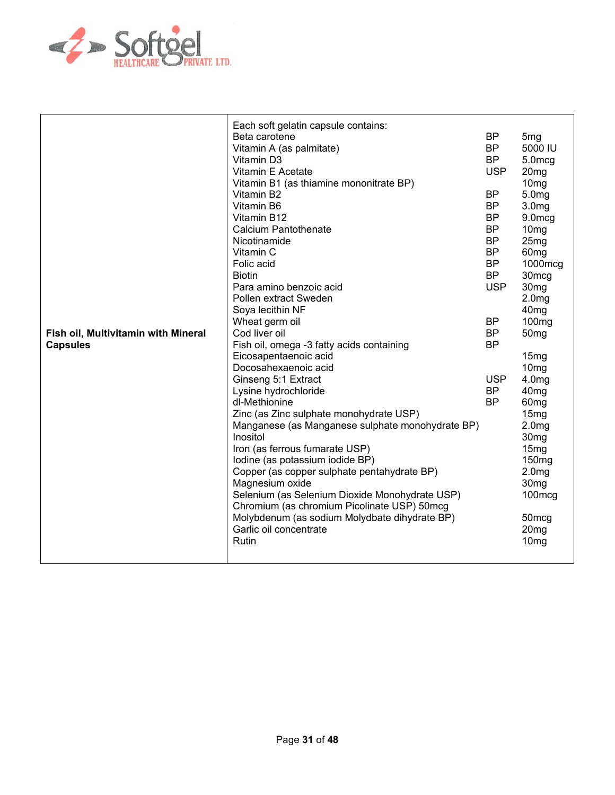

| Fish oil, Multivitamin with Mineral<br><b>Capsules</b> | Each soft gelatin capsule contains:<br>Beta carotene<br>Vitamin A (as palmitate)<br>Vitamin D3<br>Vitamin E Acetate<br>Vitamin B1 (as thiamine mononitrate BP)<br>Vitamin B2<br>Vitamin B6<br>Vitamin B12<br><b>Calcium Pantothenate</b><br>Nicotinamide<br>Vitamin C<br>Folic acid<br><b>Biotin</b><br>Para amino benzoic acid<br>Pollen extract Sweden<br>Soya lecithin NF<br>Wheat germ oil<br>Cod liver oil<br>Fish oil, omega -3 fatty acids containing<br>Eicosapentaenoic acid<br>Docosahexaenoic acid<br>Ginseng 5:1 Extract<br>Lysine hydrochloride<br>dl-Methionine<br>Zinc (as Zinc sulphate monohydrate USP)<br>Manganese (as Manganese sulphate monohydrate BP)<br>Inositol<br>Iron (as ferrous fumarate USP)<br>Iodine (as potassium iodide BP)<br>Copper (as copper sulphate pentahydrate BP)<br>Magnesium oxide<br>Selenium (as Selenium Dioxide Monohydrate USP)<br>Chromium (as chromium Picolinate USP) 50mcg<br>Molybdenum (as sodium Molydbate dihydrate BP)<br>Garlic oil concentrate<br>Rutin | <b>BP</b><br><b>BP</b><br><b>BP</b><br><b>USP</b><br><b>BP</b><br><b>BP</b><br><b>BP</b><br><b>BP</b><br><b>BP</b><br><b>BP</b><br><b>BP</b><br><b>BP</b><br><b>USP</b><br><b>BP</b><br><b>BP</b><br><b>BP</b><br><b>USP</b><br><b>BP</b><br><b>BP</b> | 5 <sub>mg</sub><br>5000 IU<br>5.0mcg<br>20mg<br>10 <sub>mg</sub><br>5.0mg<br>3.0 <sub>mg</sub><br>9.0mcg<br>10 <sub>mg</sub><br>25 <sub>mg</sub><br>60 <sub>mg</sub><br>1000mcg<br>30 <sub>mcg</sub><br>30 <sub>mg</sub><br>2.0 <sub>mg</sub><br>40 <sub>mg</sub><br>100 <sub>mg</sub><br>50 <sub>mg</sub><br>15mg<br>10 <sub>mg</sub><br>4.0 <sub>mg</sub><br>40 <sub>mg</sub><br>60 <sub>mg</sub><br>15 <sub>mg</sub><br>2.0 <sub>mg</sub><br>30 <sub>mg</sub><br>15mg<br>150 <sub>mg</sub><br>2.0 <sub>mg</sub><br>30 <sub>mg</sub><br>$100 \text{mcg}$<br>50 <sub>mcg</sub><br>20 <sub>mg</sub><br>10 <sub>mg</sub> |
|--------------------------------------------------------|----------------------------------------------------------------------------------------------------------------------------------------------------------------------------------------------------------------------------------------------------------------------------------------------------------------------------------------------------------------------------------------------------------------------------------------------------------------------------------------------------------------------------------------------------------------------------------------------------------------------------------------------------------------------------------------------------------------------------------------------------------------------------------------------------------------------------------------------------------------------------------------------------------------------------------------------------------------------------------------------------------------------|--------------------------------------------------------------------------------------------------------------------------------------------------------------------------------------------------------------------------------------------------------|-------------------------------------------------------------------------------------------------------------------------------------------------------------------------------------------------------------------------------------------------------------------------------------------------------------------------------------------------------------------------------------------------------------------------------------------------------------------------------------------------------------------------------------------------------------------------------------------------------------------------|
|                                                        |                                                                                                                                                                                                                                                                                                                                                                                                                                                                                                                                                                                                                                                                                                                                                                                                                                                                                                                                                                                                                      |                                                                                                                                                                                                                                                        |                                                                                                                                                                                                                                                                                                                                                                                                                                                                                                                                                                                                                         |
|                                                        |                                                                                                                                                                                                                                                                                                                                                                                                                                                                                                                                                                                                                                                                                                                                                                                                                                                                                                                                                                                                                      |                                                                                                                                                                                                                                                        |                                                                                                                                                                                                                                                                                                                                                                                                                                                                                                                                                                                                                         |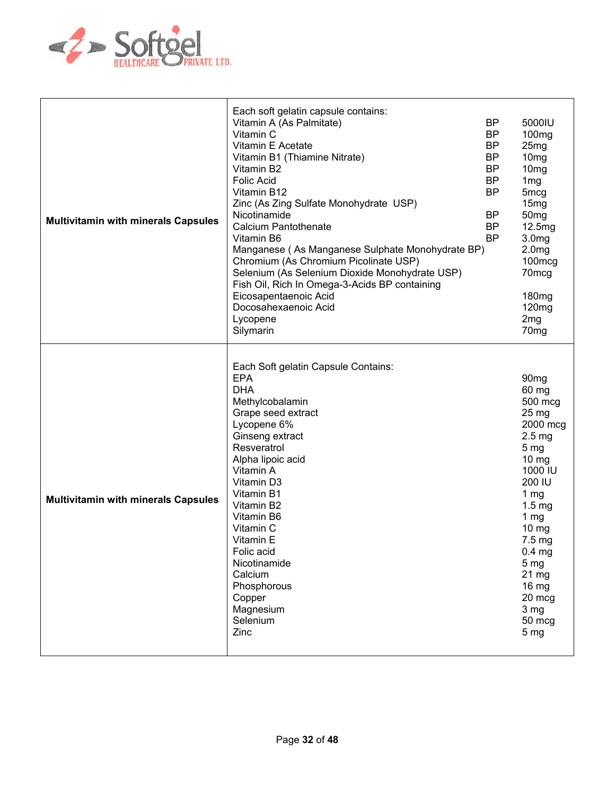

| <b>Multivitamin with minerals Capsules</b> | Each soft gelatin capsule contains:<br><b>BP</b><br>Vitamin A (As Palmitate)<br><b>BP</b><br>Vitamin C<br>Vitamin E Acetate<br><b>BP</b><br><b>BP</b><br>Vitamin B1 (Thiamine Nitrate)<br><b>BP</b><br>Vitamin B2<br><b>BP</b><br><b>Folic Acid</b><br><b>BP</b><br>Vitamin B12<br>Zinc (As Zing Sulfate Monohydrate USP)<br>Nicotinamide<br>BP<br><b>Calcium Pantothenate</b><br><b>BP</b><br><b>BP</b><br>Vitamin B6<br>Manganese (As Manganese Sulphate Monohydrate BP)<br>Chromium (As Chromium Picolinate USP)<br>Selenium (As Selenium Dioxide Monohydrate USP)<br>Fish Oil, Rich In Omega-3-Acids BP containing<br>Eicosapentaenoic Acid<br>Docosahexaenoic Acid<br>Lycopene<br>Silymarin | 5000IU<br>100 <sub>mg</sub><br>25 <sub>mg</sub><br>10 <sub>mg</sub><br>10 <sub>mg</sub><br>1 <sub>mg</sub><br>5 <sub>mcg</sub><br>15 <sub>mg</sub><br>50 <sub>mg</sub><br>12.5mg<br>3.0 <sub>mg</sub><br>2.0 <sub>mg</sub><br>100mcg<br>70mcg<br>180 <sub>mg</sub><br>120mg<br>2 <sub>mg</sub><br>70 <sub>mg</sub>             |
|--------------------------------------------|--------------------------------------------------------------------------------------------------------------------------------------------------------------------------------------------------------------------------------------------------------------------------------------------------------------------------------------------------------------------------------------------------------------------------------------------------------------------------------------------------------------------------------------------------------------------------------------------------------------------------------------------------------------------------------------------------|--------------------------------------------------------------------------------------------------------------------------------------------------------------------------------------------------------------------------------------------------------------------------------------------------------------------------------|
| <b>Multivitamin with minerals Capsules</b> | Each Soft gelatin Capsule Contains:<br><b>EPA</b><br><b>DHA</b><br>Methylcobalamin<br>Grape seed extract<br>Lycopene 6%<br>Ginseng extract<br>Resveratrol<br>Alpha lipoic acid<br>Vitamin A<br>Vitamin D3<br>Vitamin B1<br>Vitamin B2<br>Vitamin B6<br>Vitamin C<br>Vitamin E<br>Folic acid<br>Nicotinamide<br>Calcium<br>Phosphorous<br>Copper<br>Magnesium<br>Selenium<br>Zinc                                                                                                                                                                                                                                                                                                                 | 90 <sub>mg</sub><br>60 mg<br>500 mcg<br>$25 \,\mathrm{mg}$<br>2000 mcg<br>2.5 <sub>mg</sub><br>5 <sub>mg</sub><br>10 mg<br>1000 IU<br>200 IU<br>1 $mg$<br>$1.5 \text{ mg}$<br>1 <sub>mg</sub><br>$10 \, mg$<br>7.5 mg<br>0.4 <sub>mg</sub><br>5 <sub>mg</sub><br>21 mg<br>16 mg<br>20 mcg<br>3 mg<br>50 mcg<br>5 <sub>mg</sub> |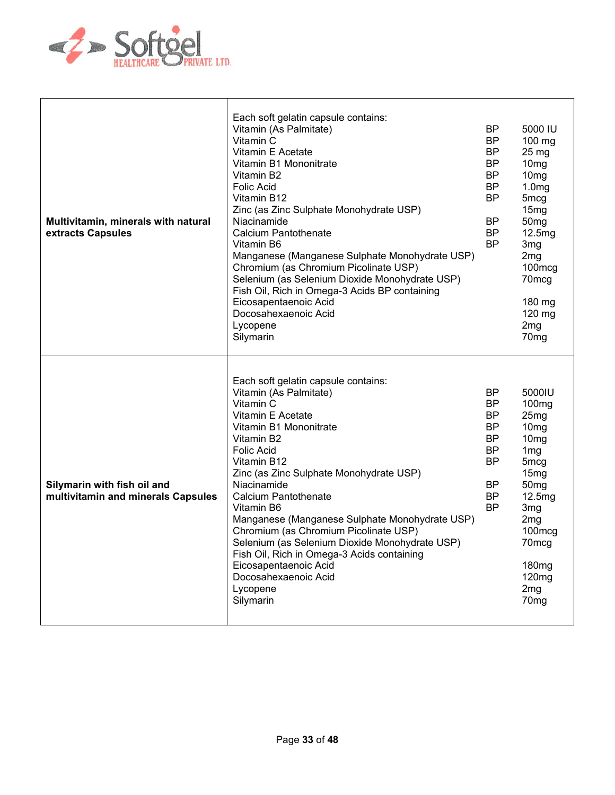

| Multivitamin, minerals with natural<br>extracts Capsules          | Each soft gelatin capsule contains:<br>Vitamin (As Palmitate)<br>Vitamin C<br>Vitamin E Acetate<br>Vitamin B1 Mononitrate<br>Vitamin B2<br><b>Folic Acid</b><br>Vitamin B12<br>Zinc (as Zinc Sulphate Monohydrate USP)<br>Niacinamide<br><b>Calcium Pantothenate</b><br>Vitamin B6<br>Manganese (Manganese Sulphate Monohydrate USP)<br>Chromium (as Chromium Picolinate USP)<br>Selenium (as Selenium Dioxide Monohydrate USP)<br>Fish Oil, Rich in Omega-3 Acids BP containing<br>Eicosapentaenoic Acid<br>Docosahexaenoic Acid<br>Lycopene<br>Silymarin | BP.<br><b>BP</b><br><b>BP</b><br>BP.<br><b>BP</b><br>BP.<br><b>BP</b><br>BP.<br><b>BP</b><br><b>BP</b> | 5000 IU<br>100 mg<br>25 <sub>mg</sub><br>10 <sub>mg</sub><br>10 <sub>mg</sub><br>1.0 <sub>mg</sub><br>5 <sub>mcg</sub><br>15mg<br>50 <sub>mg</sub><br>12.5mg<br>3mg<br>2 <sub>mg</sub><br>100mcg<br>70 <sub>mcg</sub><br>180 mg<br>120 mg<br>2 <sub>mg</sub><br>70 <sub>mg</sub> |
|-------------------------------------------------------------------|------------------------------------------------------------------------------------------------------------------------------------------------------------------------------------------------------------------------------------------------------------------------------------------------------------------------------------------------------------------------------------------------------------------------------------------------------------------------------------------------------------------------------------------------------------|--------------------------------------------------------------------------------------------------------|----------------------------------------------------------------------------------------------------------------------------------------------------------------------------------------------------------------------------------------------------------------------------------|
| Silymarin with fish oil and<br>multivitamin and minerals Capsules | Each soft gelatin capsule contains:<br>Vitamin (As Palmitate)<br>Vitamin C<br>Vitamin E Acetate<br>Vitamin B1 Mononitrate<br>Vitamin B2<br><b>Folic Acid</b><br>Vitamin B12<br>Zinc (as Zinc Sulphate Monohydrate USP)<br>Niacinamide<br>Calcium Pantothenate<br>Vitamin B6<br>Manganese (Manganese Sulphate Monohydrate USP)<br>Chromium (as Chromium Picolinate USP)<br>Selenium (as Selenium Dioxide Monohydrate USP)<br>Fish Oil, Rich in Omega-3 Acids containing<br>Eicosapentaenoic Acid<br>Docosahexaenoic Acid<br>Lycopene<br>Silymarin           | ΒP<br>BP.<br><b>BP</b><br><b>BP</b><br>BP.<br><b>BP</b><br><b>BP</b><br>BP.<br><b>BP</b><br><b>BP</b>  | 5000IU<br>100 <sub>mg</sub><br>25mg<br>10 <sub>mg</sub><br>10 <sub>mg</sub><br>1 <sub>mg</sub><br>5 <sub>mcg</sub><br>15mg<br>50 <sub>mg</sub><br>12.5mg<br>3 <sub>mg</sub><br>2mg<br>100mcg<br>70mcg<br>180 <sub>mg</sub><br>120 <sub>mg</sub><br>2mg<br>70 <sub>mg</sub>       |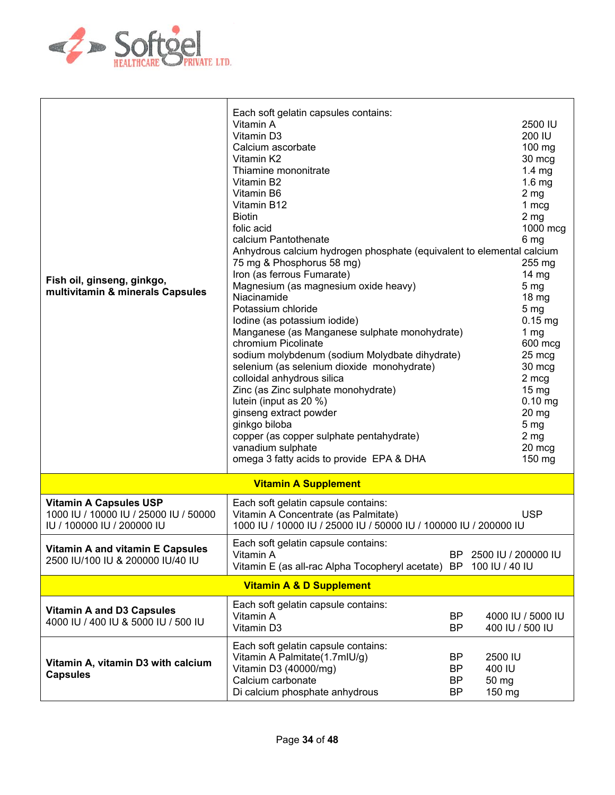

| Fish oil, ginseng, ginkgo,<br>multivitamin & minerals Capsules                                       | Each soft gelatin capsules contains:<br>Vitamin A<br>Vitamin D3<br>Calcium ascorbate<br>Vitamin K2<br>Thiamine mononitrate<br>Vitamin B2<br>Vitamin B6<br>Vitamin B12<br><b>Biotin</b><br>folic acid<br>calcium Pantothenate<br>Anhydrous calcium hydrogen phosphate (equivalent to elemental calcium<br>75 mg & Phosphorus 58 mg)<br>Iron (as ferrous Fumarate)<br>Magnesium (as magnesium oxide heavy)<br>Niacinamide<br>Potassium chloride<br>Iodine (as potassium iodide)<br>Manganese (as Manganese sulphate monohydrate)<br>chromium Picolinate<br>sodium molybdenum (sodium Molydbate dihydrate)<br>selenium (as selenium dioxide monohydrate)<br>colloidal anhydrous silica<br>Zinc (as Zinc sulphate monohydrate)<br>lutein (input as 20 %)<br>ginseng extract powder<br>ginkgo biloba<br>copper (as copper sulphate pentahydrate)<br>vanadium sulphate<br>omega 3 fatty acids to provide EPA & DHA |                             | 2500 IU<br>200 IU<br>$100$ mg<br>30 mcg<br>$1.4 \text{ mg}$<br>1.6 <sub>mg</sub><br>2 <sub>mg</sub><br>1 mcg<br>2 <sub>mg</sub><br>1000 mcg<br>6 mg<br>$255 \text{ mg}$<br>$14 \text{ mg}$<br>5 <sub>mg</sub><br>18 <sub>mg</sub><br>5 <sub>mg</sub><br>$0.15$ mg<br>1 $mg$<br>600 mcg<br>25 mcg<br>30 mcg<br>2 mcg<br>$15 \text{ mg}$<br>$0.10$ mg<br>$20 \, mg$<br>5 <sub>mg</sub><br>2 <sub>mg</sub><br>20 mcg<br>150 mg |
|------------------------------------------------------------------------------------------------------|--------------------------------------------------------------------------------------------------------------------------------------------------------------------------------------------------------------------------------------------------------------------------------------------------------------------------------------------------------------------------------------------------------------------------------------------------------------------------------------------------------------------------------------------------------------------------------------------------------------------------------------------------------------------------------------------------------------------------------------------------------------------------------------------------------------------------------------------------------------------------------------------------------------|-----------------------------|-----------------------------------------------------------------------------------------------------------------------------------------------------------------------------------------------------------------------------------------------------------------------------------------------------------------------------------------------------------------------------------------------------------------------------|
|                                                                                                      | <b>Vitamin A Supplement</b>                                                                                                                                                                                                                                                                                                                                                                                                                                                                                                                                                                                                                                                                                                                                                                                                                                                                                  |                             |                                                                                                                                                                                                                                                                                                                                                                                                                             |
| <b>Vitamin A Capsules USP</b><br>1000 IU / 10000 IU / 25000 IU / 50000<br>IU / 100000 IU / 200000 IU | Each soft gelatin capsule contains:<br>Vitamin A Concentrate (as Palmitate)<br>1000 IU / 10000 IU / 25000 IU / 50000 IU / 100000 IU / 200000 IU                                                                                                                                                                                                                                                                                                                                                                                                                                                                                                                                                                                                                                                                                                                                                              |                             | <b>USP</b>                                                                                                                                                                                                                                                                                                                                                                                                                  |
| Vitamin A and vitamin E Capsules<br>2500 IU/100 IU & 200000 IU/40 IU                                 | Each soft gelatin capsule contains:<br>Vitamin A<br>Vitamin E (as all-rac Alpha Tocopheryl acetate)                                                                                                                                                                                                                                                                                                                                                                                                                                                                                                                                                                                                                                                                                                                                                                                                          | BP.<br>BP                   | 2500 IU / 200000 IU<br>100 IU / 40 IU                                                                                                                                                                                                                                                                                                                                                                                       |
|                                                                                                      | <b>Vitamin A &amp; D Supplement</b>                                                                                                                                                                                                                                                                                                                                                                                                                                                                                                                                                                                                                                                                                                                                                                                                                                                                          |                             |                                                                                                                                                                                                                                                                                                                                                                                                                             |
| <b>Vitamin A and D3 Capsules</b><br>4000 IU / 400 IU & 5000 IU / 500 IU                              | Each soft gelatin capsule contains:<br>Vitamin A<br>Vitamin D3                                                                                                                                                                                                                                                                                                                                                                                                                                                                                                                                                                                                                                                                                                                                                                                                                                               | BP<br><b>BP</b>             | 4000 IU / 5000 IU<br>400 IU / 500 IU                                                                                                                                                                                                                                                                                                                                                                                        |
| Vitamin A, vitamin D3 with calcium<br><b>Capsules</b>                                                | Each soft gelatin capsule contains:<br>Vitamin A Palmitate(1.7mlU/g)<br>Vitamin D3 (40000/mg)<br>Calcium carbonate<br>Di calcium phosphate anhydrous                                                                                                                                                                                                                                                                                                                                                                                                                                                                                                                                                                                                                                                                                                                                                         | BP<br>BP<br>ΒP<br><b>BP</b> | 2500 IU<br>400 IU<br>50 mg<br>150 mg                                                                                                                                                                                                                                                                                                                                                                                        |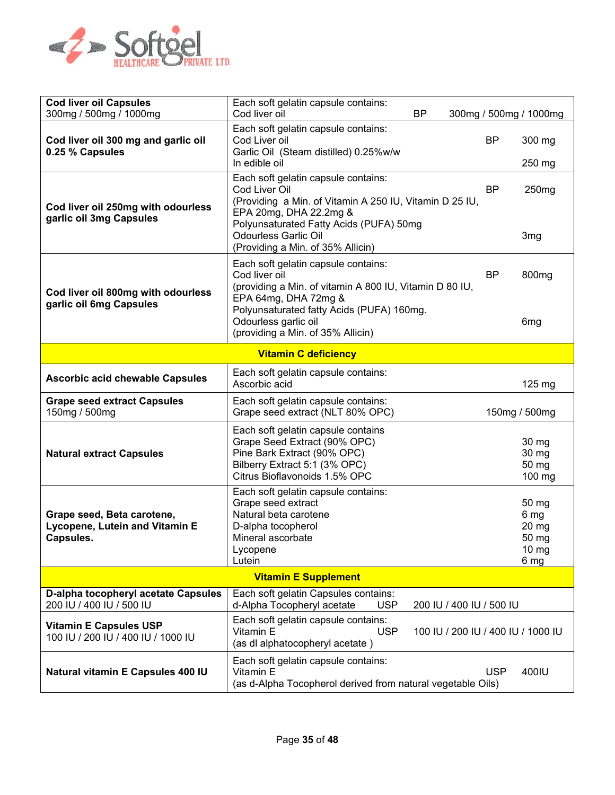

| <b>Cod liver oil Capsules</b><br>300mg / 500mg / 1000mg                   | Each soft gelatin capsule contains:<br>Cod liver oil<br><b>BP</b>                                                                                                                                                                                        | 300mg / 500mg / 1000mg                            |
|---------------------------------------------------------------------------|----------------------------------------------------------------------------------------------------------------------------------------------------------------------------------------------------------------------------------------------------------|---------------------------------------------------|
| Cod liver oil 300 mg and garlic oil<br>0.25 % Capsules                    | Each soft gelatin capsule contains:<br>Cod Liver oil<br>Garlic Oil (Steam distilled) 0.25%w/w<br>In edible oil                                                                                                                                           | BP<br>300 mg<br>250 mg                            |
| Cod liver oil 250mg with odourless<br>garlic oil 3mg Capsules             | Each soft gelatin capsule contains:<br>Cod Liver Oil<br>(Providing a Min. of Vitamin A 250 IU, Vitamin D 25 IU,<br>EPA 20mg, DHA 22.2mg &<br>Polyunsaturated Fatty Acids (PUFA) 50mg<br><b>Odourless Garlic Oil</b><br>(Providing a Min. of 35% Allicin) | <b>BP</b><br>250 <sub>mg</sub><br>3 <sub>mg</sub> |
| Cod liver oil 800mg with odourless<br>garlic oil 6mg Capsules             | Each soft gelatin capsule contains:<br>Cod liver oil<br>(providing a Min. of vitamin A 800 IU, Vitamin D 80 IU,<br>EPA 64mg, DHA 72mg &<br>Polyunsaturated fatty Acids (PUFA) 160mg.<br>Odourless garlic oil<br>(providing a Min. of 35% Allicin)        | BP<br>800 <sub>mg</sub><br>6 <sub>mg</sub>        |
|                                                                           | <b>Vitamin C deficiency</b>                                                                                                                                                                                                                              |                                                   |
| <b>Ascorbic acid chewable Capsules</b>                                    | Each soft gelatin capsule contains:<br>Ascorbic acid                                                                                                                                                                                                     | 125 mg                                            |
| <b>Grape seed extract Capsules</b><br>150mg / 500mg                       | Each soft gelatin capsule contains:<br>Grape seed extract (NLT 80% OPC)                                                                                                                                                                                  | 150mg / 500mg                                     |
| <b>Natural extract Capsules</b>                                           | Each soft gelatin capsule contains<br>Grape Seed Extract (90% OPC)<br>Pine Bark Extract (90% OPC)<br>Bilberry Extract 5:1 (3% OPC)<br>Citrus Bioflavonoids 1.5% OPC                                                                                      | 30 mg<br>30 mg<br>50 mg<br>100 mg                 |
| Grape seed, Beta carotene,<br>Lycopene, Lutein and Vitamin E<br>Capsules. | Each soft gelatin capsule contains:<br>Grape seed extract<br>Natural beta carotene<br>D-alpha tocopherol<br>Mineral ascorbate<br>Lycopene<br>Lutein                                                                                                      | 50 mg<br>6 mg<br>20 mg<br>50 mg<br>10 mg<br>6 mg  |
|                                                                           | <b>Vitamin E Supplement</b>                                                                                                                                                                                                                              |                                                   |
| D-alpha tocopheryl acetate Capsules<br>200 IU / 400 IU / 500 IU           | Each soft gelatin Capsules contains:<br>d-Alpha Tocopheryl acetate<br><b>USP</b><br>200 IU / 400 IU / 500 IU                                                                                                                                             |                                                   |
|                                                                           |                                                                                                                                                                                                                                                          |                                                   |
| <b>Vitamin E Capsules USP</b><br>100 IU / 200 IU / 400 IU / 1000 IU       | Each soft gelatin capsule contains:<br>Vitamin E<br><b>USP</b><br>100 IU / 200 IU / 400 IU / 1000 IU<br>(as dl alphatocopheryl acetate)                                                                                                                  |                                                   |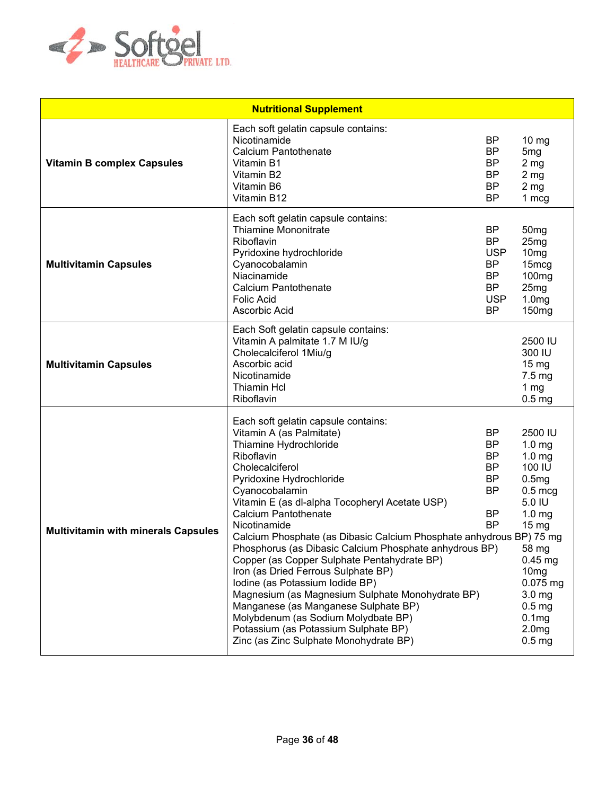

| <b>Nutritional Supplement</b>              |                                                                                                                                                                                                                                                                                                                                                                                                                                                                                                                                                                                                                                                                                                                                                          |                                                                                                 |                                                                                                                                                                                                                                                                                                             |
|--------------------------------------------|----------------------------------------------------------------------------------------------------------------------------------------------------------------------------------------------------------------------------------------------------------------------------------------------------------------------------------------------------------------------------------------------------------------------------------------------------------------------------------------------------------------------------------------------------------------------------------------------------------------------------------------------------------------------------------------------------------------------------------------------------------|-------------------------------------------------------------------------------------------------|-------------------------------------------------------------------------------------------------------------------------------------------------------------------------------------------------------------------------------------------------------------------------------------------------------------|
| <b>Vitamin B complex Capsules</b>          | Each soft gelatin capsule contains:<br>Nicotinamide<br><b>Calcium Pantothenate</b><br>Vitamin B1<br>Vitamin B2<br>Vitamin B6<br>Vitamin B12                                                                                                                                                                                                                                                                                                                                                                                                                                                                                                                                                                                                              | BP.<br>ΒP<br>ΒP<br><b>BP</b><br><b>BP</b><br><b>BP</b>                                          | $10 \text{ mg}$<br>5 <sub>mg</sub><br>2 <sub>mg</sub><br>2 <sub>mg</sub><br>2 <sub>mg</sub><br>1 mcg                                                                                                                                                                                                        |
| <b>Multivitamin Capsules</b>               | Each soft gelatin capsule contains:<br><b>Thiamine Mononitrate</b><br>Riboflavin<br>Pyridoxine hydrochloride<br>Cyanocobalamin<br>Niacinamide<br><b>Calcium Pantothenate</b><br><b>Folic Acid</b><br>Ascorbic Acid                                                                                                                                                                                                                                                                                                                                                                                                                                                                                                                                       | BP<br><b>BP</b><br><b>USP</b><br><b>BP</b><br><b>BP</b><br><b>BP</b><br><b>USP</b><br><b>BP</b> | 50 <sub>mg</sub><br>25mg<br>10 <sub>mg</sub><br>15 <sub>mcg</sub><br>100 <sub>mg</sub><br>25 <sub>mg</sub><br>1.0 <sub>mg</sub><br>150 <sub>mg</sub>                                                                                                                                                        |
| <b>Multivitamin Capsules</b>               | Each Soft gelatin capsule contains:<br>Vitamin A palmitate 1.7 M IU/g<br>Cholecalciferol 1Miu/g<br>Ascorbic acid<br>Nicotinamide<br><b>Thiamin Hcl</b><br>Riboflavin                                                                                                                                                                                                                                                                                                                                                                                                                                                                                                                                                                                     |                                                                                                 | 2500 IU<br>300 IU<br>15 <sub>mg</sub><br>$7.5 \text{ mg}$<br>1 <sub>mg</sub><br>0.5 <sub>mg</sub>                                                                                                                                                                                                           |
| <b>Multivitamin with minerals Capsules</b> | Each soft gelatin capsule contains:<br>Vitamin A (as Palmitate)<br>Thiamine Hydrochloride<br>Riboflavin<br>Cholecalciferol<br>Pyridoxine Hydrochloride<br>Cyanocobalamin<br>Vitamin E (as dl-alpha Tocopheryl Acetate USP)<br><b>Calcium Pantothenate</b><br>Nicotinamide<br>Calcium Phosphate (as Dibasic Calcium Phosphate anhydrous BP) 75 mg<br>Phosphorus (as Dibasic Calcium Phosphate anhydrous BP)<br>Copper (as Copper Sulphate Pentahydrate BP)<br>Iron (as Dried Ferrous Sulphate BP)<br>Iodine (as Potassium Iodide BP)<br>Magnesium (as Magnesium Sulphate Monohydrate BP)<br>Manganese (as Manganese Sulphate BP)<br>Molybdenum (as Sodium Molydbate BP)<br>Potassium (as Potassium Sulphate BP)<br>Zinc (as Zinc Sulphate Monohydrate BP) | <b>BP</b><br><b>BP</b><br><b>BP</b><br>ΒP<br><b>BP</b><br><b>BP</b><br>BP<br><b>BP</b>          | 2500 IU<br>1.0 <sub>mg</sub><br>1.0 <sub>mg</sub><br>100 IU<br>0.5mg<br>$0.5 \text{ mcg}$<br>5.0 IU<br>1.0 <sub>mg</sub><br>15 <sub>mg</sub><br>58 mg<br>$0.45$ mg<br>10 <sub>mg</sub><br>0.075 mg<br>3.0 <sub>mg</sub><br>0.5 <sub>mg</sub><br>0.1 <sub>mg</sub><br>2.0 <sub>mg</sub><br>0.5 <sub>mg</sub> |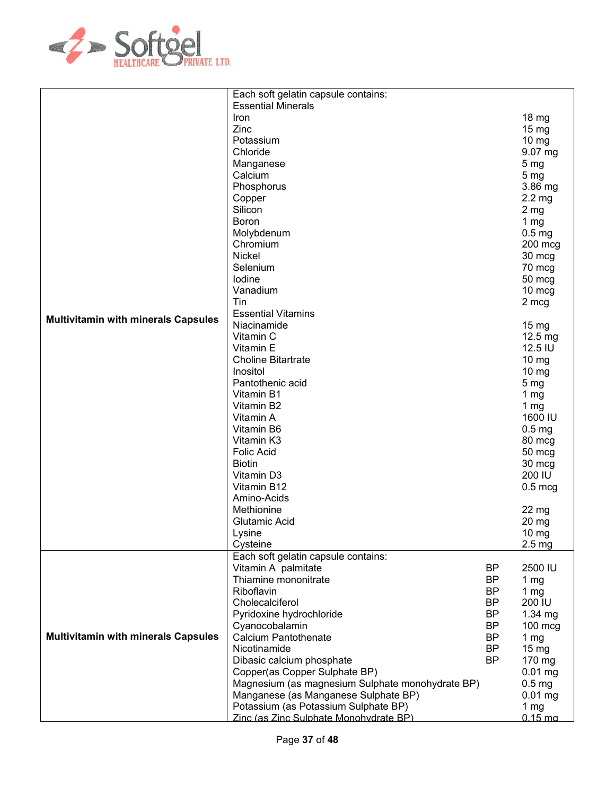

|                                            | Each soft gelatin capsule contains:              |           |                      |
|--------------------------------------------|--------------------------------------------------|-----------|----------------------|
|                                            | <b>Essential Minerals</b>                        |           |                      |
|                                            | Iron                                             |           | 18 mg                |
|                                            | Zinc                                             |           | 15 mg                |
|                                            | Potassium                                        |           | $10 \, mg$           |
|                                            | Chloride                                         |           | 9.07 mg              |
|                                            | Manganese                                        |           | 5 <sub>mg</sub>      |
|                                            | Calcium                                          |           | 5 <sub>mg</sub>      |
|                                            | Phosphorus                                       |           | 3.86 mg              |
|                                            | Copper                                           |           | 2.2 <sub>mg</sub>    |
|                                            | Silicon                                          |           |                      |
|                                            |                                                  |           | 2 <sub>mg</sub>      |
|                                            | <b>Boron</b>                                     |           | 1 $mg$               |
|                                            | Molybdenum                                       |           | 0.5 <sub>mg</sub>    |
|                                            | Chromium                                         |           | 200 mcg              |
|                                            | Nickel                                           |           | 30 mcg               |
|                                            | Selenium                                         |           | 70 mcg               |
|                                            | lodine                                           |           | 50 mcg               |
|                                            | Vanadium                                         |           | 10 mcg               |
|                                            | Tin                                              |           | 2 mcg                |
| <b>Multivitamin with minerals Capsules</b> | <b>Essential Vitamins</b>                        |           |                      |
|                                            | Niacinamide                                      |           | 15 mg                |
|                                            | Vitamin C                                        |           | 12.5 mg              |
|                                            | Vitamin E                                        |           | 12.5 IU              |
|                                            | <b>Choline Bitartrate</b>                        |           | $10 \, mg$           |
|                                            | Inositol                                         |           | $10 \, mg$           |
|                                            | Pantothenic acid                                 |           | 5 <sub>mg</sub>      |
|                                            | Vitamin B1                                       |           | 1 $mg$               |
|                                            | Vitamin B2                                       |           | 1 $mg$               |
|                                            | Vitamin A                                        |           | 1600 IU              |
|                                            | Vitamin B6                                       |           | 0.5 <sub>mg</sub>    |
|                                            | Vitamin K3                                       |           | 80 mcg               |
|                                            | <b>Folic Acid</b>                                |           | 50 mcg               |
|                                            | <b>Biotin</b>                                    |           | 30 mcg               |
|                                            | Vitamin D3                                       |           | 200 IU               |
|                                            | Vitamin B12                                      |           | $0.5$ mcg            |
|                                            | Amino-Acids                                      |           |                      |
|                                            | Methionine                                       |           | 22 <sub>mg</sub>     |
|                                            | Glutamic Acid                                    |           | 20 mg                |
|                                            | Lysine                                           |           | $10 \text{ mg}$      |
|                                            | Cysteine                                         |           | 2.5 <sub>mg</sub>    |
|                                            | Each soft gelatin capsule contains:              |           |                      |
|                                            | Vitamin A palmitate                              | BP        | 2500 IU              |
|                                            | Thiamine mononitrate                             | <b>BP</b> | 1 $mg$               |
|                                            | Riboflavin                                       | <b>BP</b> | 1 <sub>mg</sub>      |
|                                            | Cholecalciferol                                  | <b>BP</b> | 200 IU               |
|                                            | Pyridoxine hydrochloride                         | <b>BP</b> | 1.34 mg              |
|                                            | Cyanocobalamin                                   | <b>BP</b> | 100 mcg              |
| <b>Multivitamin with minerals Capsules</b> | Calcium Pantothenate                             | <b>BP</b> | 1 $mg$               |
|                                            | Nicotinamide                                     | <b>BP</b> |                      |
|                                            |                                                  | <b>BP</b> | $15 \text{ mg}$      |
|                                            | Dibasic calcium phosphate                        |           | 170 mg               |
|                                            | Copper(as Copper Sulphate BP)                    |           | $0.01$ mg            |
|                                            | Magnesium (as magnesium Sulphate monohydrate BP) |           | 0.5 <sub>mg</sub>    |
|                                            | Manganese (as Manganese Sulphate BP)             |           | $0.01$ mg            |
|                                            | Potassium (as Potassium Sulphate BP)             |           | 1 <sub>mg</sub>      |
|                                            | Zinc (as Zinc Sulphate Monohydrate BP)           |           | $0.15 \,\mathrm{ma}$ |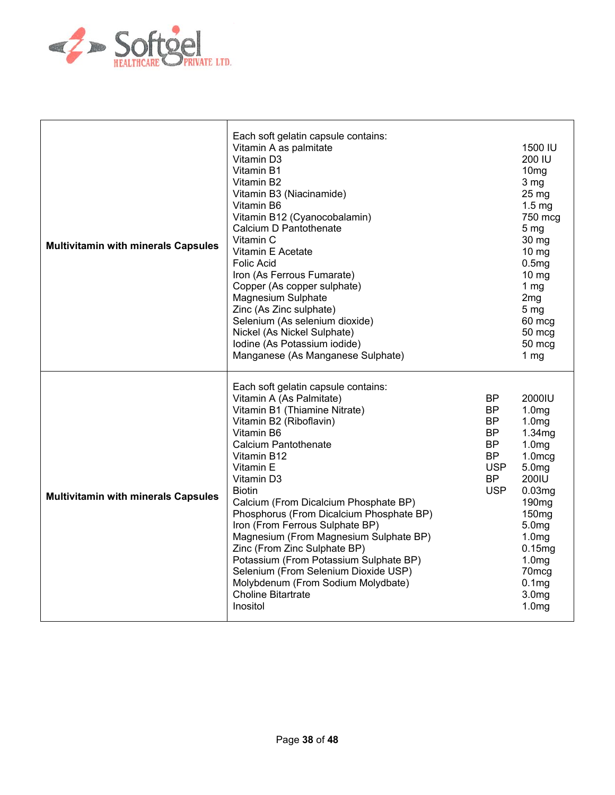

| <b>Multivitamin with minerals Capsules</b> | Each soft gelatin capsule contains:<br>Vitamin A as palmitate<br>Vitamin D3<br>Vitamin B1<br>Vitamin B2<br>Vitamin B3 (Niacinamide)<br>Vitamin B6<br>Vitamin B12 (Cyanocobalamin)<br>Calcium D Pantothenate<br>Vitamin C<br>Vitamin E Acetate<br><b>Folic Acid</b><br>Iron (As Ferrous Fumarate)<br>Copper (As copper sulphate)<br><b>Magnesium Sulphate</b><br>Zinc (As Zinc sulphate)<br>Selenium (As selenium dioxide)<br>Nickel (As Nickel Sulphate)<br>Iodine (As Potassium iodide)<br>Manganese (As Manganese Sulphate)                                                                   |                                                                                                               | 1500 IU<br>200 IU<br>10 <sub>mg</sub><br>3 <sub>mg</sub><br>25 <sub>mg</sub><br>1.5 <sub>mg</sub><br>750 mcg<br>5 <sub>mg</sub><br>30 mg<br>10 mg<br>0.5mg<br>$10 \text{ mg}$<br>1 <sub>mg</sub><br>2mg<br>5 <sub>mg</sub><br>60 mcg<br>50 mcg<br>50 mcg<br>1 <sub>mg</sub>                                         |
|--------------------------------------------|-------------------------------------------------------------------------------------------------------------------------------------------------------------------------------------------------------------------------------------------------------------------------------------------------------------------------------------------------------------------------------------------------------------------------------------------------------------------------------------------------------------------------------------------------------------------------------------------------|---------------------------------------------------------------------------------------------------------------|---------------------------------------------------------------------------------------------------------------------------------------------------------------------------------------------------------------------------------------------------------------------------------------------------------------------|
| <b>Multivitamin with minerals Capsules</b> | Each soft gelatin capsule contains:<br>Vitamin A (As Palmitate)<br>Vitamin B1 (Thiamine Nitrate)<br>Vitamin B2 (Riboflavin)<br>Vitamin B6<br>Calcium Pantothenate<br>Vitamin B12<br>Vitamin E<br>Vitamin D3<br><b>Biotin</b><br>Calcium (From Dicalcium Phosphate BP)<br>Phosphorus (From Dicalcium Phosphate BP)<br>Iron (From Ferrous Sulphate BP)<br>Magnesium (From Magnesium Sulphate BP)<br>Zinc (From Zinc Sulphate BP)<br>Potassium (From Potassium Sulphate BP)<br>Selenium (From Selenium Dioxide USP)<br>Molybdenum (From Sodium Molydbate)<br><b>Choline Bitartrate</b><br>Inositol | <b>BP</b><br><b>BP</b><br><b>BP</b><br><b>BP</b><br><b>BP</b><br>BP.<br><b>USP</b><br><b>BP</b><br><b>USP</b> | 2000IU<br>1.0 <sub>mg</sub><br>1.0 <sub>mg</sub><br>1.34mg<br>1.0 <sub>mg</sub><br>$1.0$ mcg<br>5.0 <sub>mg</sub><br>200IU<br>0.03mg<br>190 <sub>mg</sub><br>150 <sub>mg</sub><br>5.0 <sub>mg</sub><br>1.0 <sub>mg</sub><br>0.15mg<br>1.0 <sub>mg</sub><br>70mcg<br>0.1mg<br>3.0 <sub>mg</sub><br>1.0 <sub>mg</sub> |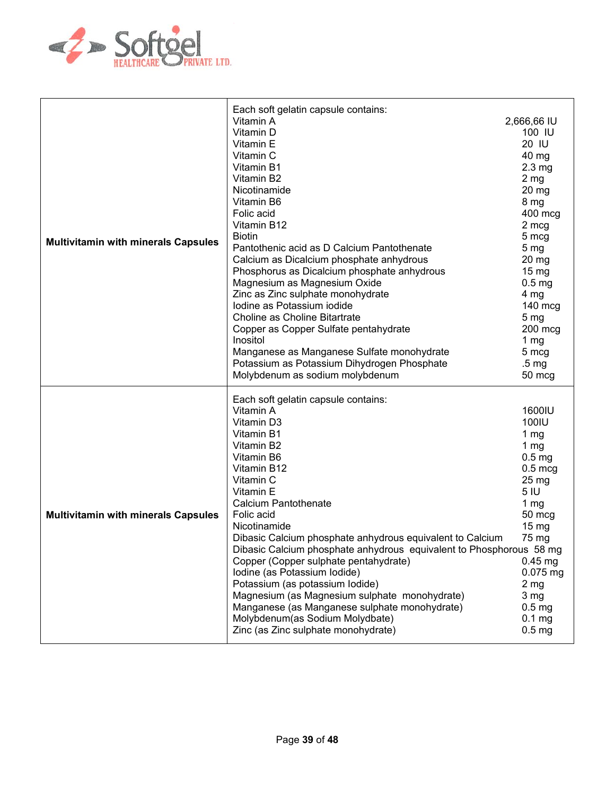

| <b>Multivitamin with minerals Capsules</b> | Each soft gelatin capsule contains:<br>Vitamin A<br>Vitamin D<br>Vitamin E<br>Vitamin C<br>Vitamin B1<br>Vitamin B2<br>Nicotinamide<br>Vitamin B6<br>Folic acid<br>Vitamin B12<br><b>Biotin</b><br>Pantothenic acid as D Calcium Pantothenate<br>Calcium as Dicalcium phosphate anhydrous<br>Phosphorus as Dicalcium phosphate anhydrous<br>Magnesium as Magnesium Oxide<br>Zinc as Zinc sulphate monohydrate<br>Iodine as Potassium iodide<br>Choline as Choline Bitartrate<br>Copper as Copper Sulfate pentahydrate<br>Inositol<br>Manganese as Manganese Sulfate monohydrate<br>Potassium as Potassium Dihydrogen Phosphate<br>Molybdenum as sodium molybdenum | 2,666,66 IU<br>100 IU<br>20 IU<br>$40 \text{ mg}$<br>$2.3 \text{ mg}$<br>2 <sub>mg</sub><br>$20 \text{ mg}$<br>8 mg<br>400 mcg<br>2 mcg<br>5 mcg<br>5 <sub>mg</sub><br>$20 \, mg$<br>$15 \text{ mg}$<br>0.5 <sub>mg</sub><br>4 mg<br>140 mcg<br>5 <sub>mg</sub><br>$200$ mcg<br>1 $mg$<br>5 mcg<br>.5 <sub>mg</sub><br>50 mcg |
|--------------------------------------------|-------------------------------------------------------------------------------------------------------------------------------------------------------------------------------------------------------------------------------------------------------------------------------------------------------------------------------------------------------------------------------------------------------------------------------------------------------------------------------------------------------------------------------------------------------------------------------------------------------------------------------------------------------------------|-------------------------------------------------------------------------------------------------------------------------------------------------------------------------------------------------------------------------------------------------------------------------------------------------------------------------------|
| <b>Multivitamin with minerals Capsules</b> | Each soft gelatin capsule contains:<br>Vitamin A<br>Vitamin D3<br>Vitamin B1<br>Vitamin B2<br>Vitamin B6<br>Vitamin B12<br>Vitamin C<br>Vitamin E<br><b>Calcium Pantothenate</b><br>Folic acid<br>Nicotinamide<br>Dibasic Calcium phosphate anhydrous equivalent to Calcium<br>Dibasic Calcium phosphate anhydrous equivalent to Phosphorous 58 mg<br>Copper (Copper sulphate pentahydrate)<br>Iodine (as Potassium Iodide)<br>Potassium (as potassium lodide)<br>Magnesium (as Magnesium sulphate monohydrate)<br>Manganese (as Manganese sulphate monohydrate)<br>Molybdenum(as Sodium Molydbate)<br>Zinc (as Zinc sulphate monohydrate)                        | 1600IU<br>100IU<br>1 $mg$<br>1 $mg$<br>$0.5$ mg<br>$0.5 \text{ mcg}$<br>25 mg<br>5 IU<br>1 $mg$<br>50 mcg<br>$15 \text{ mg}$<br>75 mg<br>$0.45$ mg<br>0.075 mg<br>2 <sub>mg</sub><br>3 <sub>mg</sub><br>0.5 <sub>mg</sub><br>0.1 <sub>mg</sub><br>0.5 <sub>mg</sub>                                                           |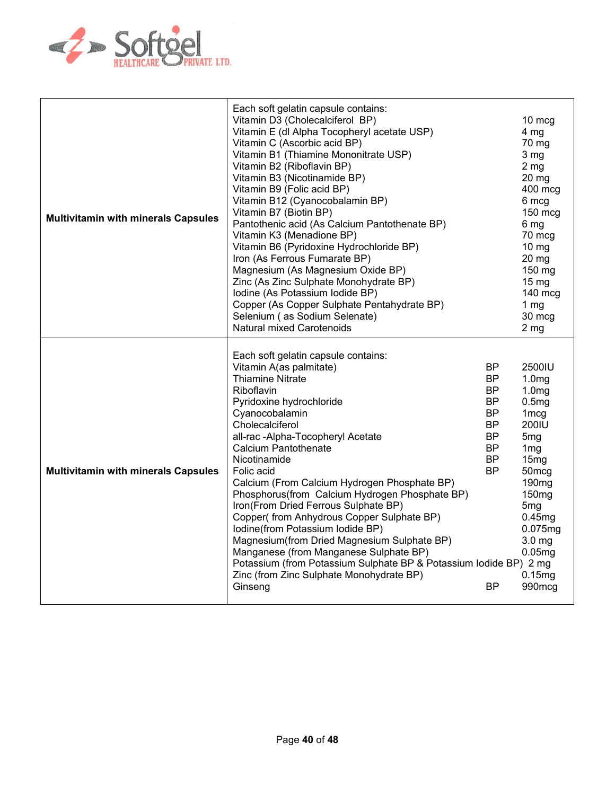

| <b>Multivitamin with minerals Capsules</b> | Each soft gelatin capsule contains:<br>Vitamin D3 (Cholecalciferol BP)<br>Vitamin E (dl Alpha Tocopheryl acetate USP)<br>Vitamin C (Ascorbic acid BP)<br>Vitamin B1 (Thiamine Mononitrate USP)<br>Vitamin B2 (Riboflavin BP)<br>Vitamin B3 (Nicotinamide BP)<br>Vitamin B9 (Folic acid BP)<br>Vitamin B12 (Cyanocobalamin BP)<br>Vitamin B7 (Biotin BP)<br>Pantothenic acid (As Calcium Pantothenate BP)<br>Vitamin K3 (Menadione BP)<br>Vitamin B6 (Pyridoxine Hydrochloride BP)<br>Iron (As Ferrous Fumarate BP)<br>Magnesium (As Magnesium Oxide BP)<br>Zinc (As Zinc Sulphate Monohydrate BP)<br>Iodine (As Potassium Iodide BP)<br>Copper (As Copper Sulphate Pentahydrate BP)<br>Selenium (as Sodium Selenate)<br><b>Natural mixed Carotenoids</b> |                                                                                                                                             | 10 mcg<br>4 <sub>mg</sub><br>70 mg<br>3 mg<br>2 <sub>mg</sub><br>$20$ mg<br>400 mcg<br>6 mcg<br>$150$ mcg<br>6 mg<br>70 mcg<br>$10 \text{ mg}$<br>$20$ mg<br>150 mg<br>15 <sub>mg</sub><br>140 mcg<br>1 <sub>mg</sub><br>30 mcg<br>2 <sub>mg</sub>                                                         |
|--------------------------------------------|----------------------------------------------------------------------------------------------------------------------------------------------------------------------------------------------------------------------------------------------------------------------------------------------------------------------------------------------------------------------------------------------------------------------------------------------------------------------------------------------------------------------------------------------------------------------------------------------------------------------------------------------------------------------------------------------------------------------------------------------------------|---------------------------------------------------------------------------------------------------------------------------------------------|------------------------------------------------------------------------------------------------------------------------------------------------------------------------------------------------------------------------------------------------------------------------------------------------------------|
| <b>Multivitamin with minerals Capsules</b> | Each soft gelatin capsule contains:<br>Vitamin A(as palmitate)<br><b>Thiamine Nitrate</b><br>Riboflavin<br>Pyridoxine hydrochloride<br>Cyanocobalamin<br>Cholecalciferol<br>all-rac -Alpha-Tocopheryl Acetate<br><b>Calcium Pantothenate</b><br>Nicotinamide<br>Folic acid<br>Calcium (From Calcium Hydrogen Phosphate BP)<br>Phosphorus(from Calcium Hydrogen Phosphate BP)<br>Iron(From Dried Ferrous Sulphate BP)<br>Copper(from Anhydrous Copper Sulphate BP)<br>Iodine(from Potassium Iodide BP)<br>Magnesium (from Dried Magnesium Sulphate BP)<br>Manganese (from Manganese Sulphate BP)<br>Potassium (from Potassium Sulphate BP & Potassium lodide BP) 2 mg<br>Zinc (from Zinc Sulphate Monohydrate BP)<br>Ginseng                              | <b>BP</b><br><b>BP</b><br><b>BP</b><br><b>BP</b><br><b>BP</b><br><b>BP</b><br><b>BP</b><br><b>BP</b><br><b>BP</b><br><b>BP</b><br><b>BP</b> | 2500IU<br>1.0 <sub>mg</sub><br>1.0 <sub>mg</sub><br>0.5mg<br>1 <sub>mcg</sub><br>200IU<br>5 <sub>mg</sub><br>1 <sub>mg</sub><br>15mg<br>50 <sub>mcg</sub><br>190 <sub>mg</sub><br>150 <sub>mg</sub><br>5 <sub>mg</sub><br>0.45mg<br>0.075mg<br>3.0 <sub>mg</sub><br>0.05 <sub>mg</sub><br>0.15mg<br>990mcg |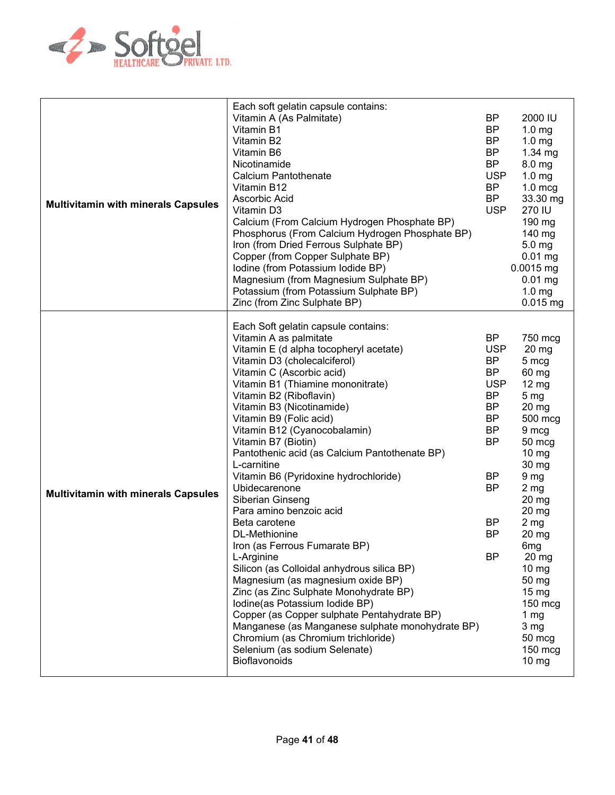

| <b>Multivitamin with minerals Capsules</b> | Each soft gelatin capsule contains:<br>Vitamin A (As Palmitate)<br>Vitamin B1<br>Vitamin B2<br>Vitamin B6<br>Nicotinamide<br><b>Calcium Pantothenate</b><br>Vitamin B12<br>Ascorbic Acid<br>Vitamin D3<br>Calcium (From Calcium Hydrogen Phosphate BP)<br>Phosphorus (From Calcium Hydrogen Phosphate BP)<br>Iron (from Dried Ferrous Sulphate BP)<br>Copper (from Copper Sulphate BP)<br>Iodine (from Potassium Iodide BP)<br>Magnesium (from Magnesium Sulphate BP)<br>Potassium (from Potassium Sulphate BP)<br>Zinc (from Zinc Sulphate BP)                                                                                                                                                                                                                                                                                                                                                                                                                         | <b>BP</b><br><b>BP</b><br><b>BP</b><br><b>BP</b><br><b>BP</b><br><b>USP</b><br><b>BP</b><br><b>BP</b><br><b>USP</b>                                                                               | 2000 IU<br>1.0 <sub>mg</sub><br>1.0 <sub>mg</sub><br>1.34 mg<br>8.0 <sub>mg</sub><br>$1.0 \text{ mg}$<br>$1.0$ mcg<br>33.30 mg<br>270 IU<br>190 mg<br>140 mg<br>$5.0$ mg<br>$0.01$ mg<br>$0.0015$ mg<br>$0.01$ mg<br>$1.0 \text{ mg}$<br>$0.015$ mg                                                                                                                 |
|--------------------------------------------|-------------------------------------------------------------------------------------------------------------------------------------------------------------------------------------------------------------------------------------------------------------------------------------------------------------------------------------------------------------------------------------------------------------------------------------------------------------------------------------------------------------------------------------------------------------------------------------------------------------------------------------------------------------------------------------------------------------------------------------------------------------------------------------------------------------------------------------------------------------------------------------------------------------------------------------------------------------------------|---------------------------------------------------------------------------------------------------------------------------------------------------------------------------------------------------|---------------------------------------------------------------------------------------------------------------------------------------------------------------------------------------------------------------------------------------------------------------------------------------------------------------------------------------------------------------------|
| <b>Multivitamin with minerals Capsules</b> | Each Soft gelatin capsule contains:<br>Vitamin A as palmitate<br>Vitamin E (d alpha tocopheryl acetate)<br>Vitamin D3 (cholecalciferol)<br>Vitamin C (Ascorbic acid)<br>Vitamin B1 (Thiamine mononitrate)<br>Vitamin B2 (Riboflavin)<br>Vitamin B3 (Nicotinamide)<br>Vitamin B9 (Folic acid)<br>Vitamin B12 (Cyanocobalamin)<br>Vitamin B7 (Biotin)<br>Pantothenic acid (as Calcium Pantothenate BP)<br>L-carnitine<br>Vitamin B6 (Pyridoxine hydrochloride)<br>Ubidecarenone<br>Siberian Ginseng<br>Para amino benzoic acid<br>Beta carotene<br>DL-Methionine<br>Iron (as Ferrous Fumarate BP)<br>L-Arginine<br>Silicon (as Colloidal anhydrous silica BP)<br>Magnesium (as magnesium oxide BP)<br>Zinc (as Zinc Sulphate Monohydrate BP)<br>Iodine(as Potassium Iodide BP)<br>Copper (as Copper sulphate Pentahydrate BP)<br>Manganese (as Manganese sulphate monohydrate BP)<br>Chromium (as Chromium trichloride)<br>Selenium (as sodium Selenate)<br>Bioflavonoids | <b>BP</b><br><b>USP</b><br><b>BP</b><br><b>BP</b><br><b>USP</b><br><b>BP</b><br><b>BP</b><br><b>BP</b><br><b>BP</b><br><b>BP</b><br><b>BP</b><br><b>BP</b><br><b>BP</b><br><b>BP</b><br><b>BP</b> | 750 mcg<br>$20$ mg<br>5 mcg<br>60 mg<br>$12 \text{ mg}$<br>5 <sub>mg</sub><br>20 mg<br>500 mcg<br>9 mcg<br>50 mcg<br>10 mg<br>30 mg<br>9 <sub>mg</sub><br>$2 \, mg$<br>20 mg<br>20 mg<br>2 <sub>mg</sub><br>20 mg<br>6mg<br>$20$ mg<br>$10 \, mg$<br>50 mg<br>$15 \text{ mg}$<br>$150$ mcg<br>1 <sub>mg</sub><br>3 <sub>mg</sub><br>50 mcg<br>150 mcg<br>$10 \, mg$ |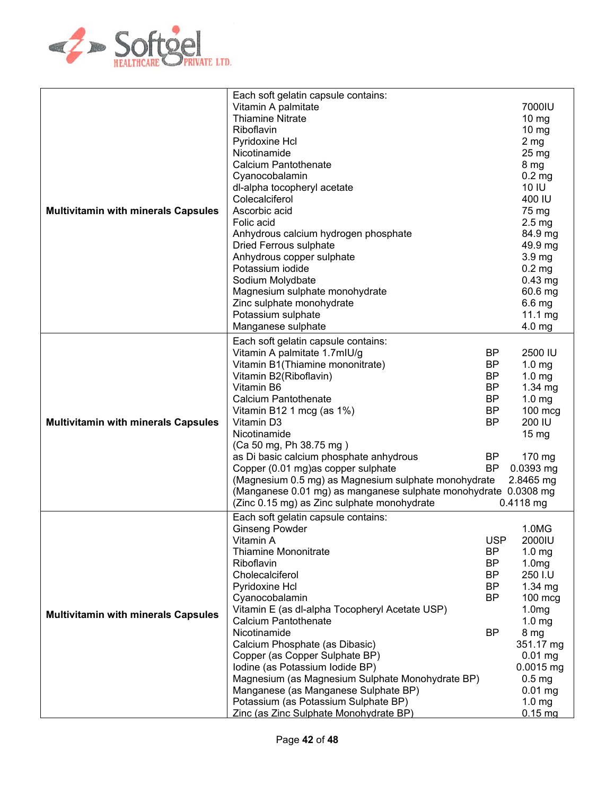

|                                            | Each soft gelatin capsule contains:                             |            |                      |
|--------------------------------------------|-----------------------------------------------------------------|------------|----------------------|
|                                            | Vitamin A palmitate                                             |            | 7000IU               |
|                                            | <b>Thiamine Nitrate</b>                                         |            | $10 \text{ mg}$      |
|                                            | Riboflavin                                                      |            | $10 \mathrm{mg}$     |
|                                            | Pyridoxine Hcl                                                  |            | 2 <sub>mg</sub>      |
|                                            | Nicotinamide                                                    |            | 25 mg                |
|                                            | Calcium Pantothenate                                            |            | 8 mg                 |
|                                            | Cyanocobalamin                                                  |            | 0.2 <sub>mg</sub>    |
|                                            | dl-alpha tocopheryl acetate                                     |            | 10 IU                |
|                                            | Colecalciferol                                                  |            | 400 IU               |
| <b>Multivitamin with minerals Capsules</b> | Ascorbic acid                                                   |            | 75 mg                |
|                                            | Folic acid                                                      |            | $2.5 \text{ mg}$     |
|                                            | Anhydrous calcium hydrogen phosphate                            |            | 84.9 mg              |
|                                            | <b>Dried Ferrous sulphate</b>                                   |            | 49.9 mg              |
|                                            | Anhydrous copper sulphate                                       |            | 3.9 <sub>mg</sub>    |
|                                            | Potassium iodide                                                |            | $0.2$ mg             |
|                                            |                                                                 |            |                      |
|                                            | Sodium Molydbate                                                |            | $0.43$ mg            |
|                                            | Magnesium sulphate monohydrate                                  |            | 60.6 mg              |
|                                            | Zinc sulphate monohydrate                                       |            | $6.6$ mg             |
|                                            | Potassium sulphate                                              |            | 11.1 mg              |
|                                            | Manganese sulphate                                              |            | 4.0 mg               |
|                                            | Each soft gelatin capsule contains:                             |            |                      |
|                                            | Vitamin A palmitate 1.7mlU/g                                    | <b>BP</b>  | 2500 IU              |
|                                            | Vitamin B1(Thiamine mononitrate)                                | BP         | 1.0 <sub>mg</sub>    |
|                                            | Vitamin B2(Riboflavin)                                          | <b>BP</b>  | 1.0 <sub>mg</sub>    |
|                                            | Vitamin B6                                                      | <b>BP</b>  | 1.34 mg              |
|                                            | Calcium Pantothenate                                            | BP         | 1.0 <sub>mg</sub>    |
|                                            | Vitamin B12 1 mcg (as 1%)                                       | <b>BP</b>  | 100 mcg              |
| <b>Multivitamin with minerals Capsules</b> | Vitamin D3                                                      | <b>BP</b>  | 200 IU               |
|                                            | Nicotinamide                                                    |            | 15 <sub>mg</sub>     |
|                                            | (Ca 50 mg, Ph 38.75 mg)                                         |            |                      |
|                                            | as Di basic calcium phosphate anhydrous                         | BP         | 170 mg               |
|                                            | Copper (0.01 mg) as copper sulphate                             | BP         | 0.0393 mg            |
|                                            | (Magnesium 0.5 mg) as Magnesium sulphate monohydrate            |            | 2.8465 mg            |
|                                            | (Manganese 0.01 mg) as manganese sulphate monohydrate 0.0308 mg |            |                      |
|                                            | (Zinc 0.15 mg) as Zinc sulphate monohydrate                     |            | 0.4118 mg            |
|                                            | Each soft gelatin capsule contains:                             |            |                      |
|                                            | <b>Ginseng Powder</b>                                           |            | 1.0MG                |
|                                            | Vitamin A                                                       | <b>USP</b> | 2000IU               |
|                                            | <b>Thiamine Mononitrate</b>                                     | <b>BP</b>  | 1.0 <sub>mg</sub>    |
|                                            | Riboflavin                                                      | <b>BP</b>  | 1.0 <sub>mg</sub>    |
|                                            |                                                                 |            |                      |
|                                            | Cholecalciferol                                                 | <b>BP</b>  | 250 I.U              |
|                                            | Pyridoxine Hcl                                                  | <b>BP</b>  | 1.34 mg              |
|                                            | Cyanocobalamin                                                  | <b>BP</b>  | 100 mcg              |
| <b>Multivitamin with minerals Capsules</b> | Vitamin E (as dl-alpha Tocopheryl Acetate USP)                  |            | 1.0 <sub>mg</sub>    |
|                                            | <b>Calcium Pantothenate</b>                                     |            | 1.0 <sub>mg</sub>    |
|                                            | Nicotinamide                                                    | <b>BP</b>  | 8 mg                 |
|                                            | Calcium Phosphate (as Dibasic)                                  |            | 351.17 mg            |
|                                            | Copper (as Copper Sulphate BP)                                  |            | $0.01$ mg            |
|                                            | Iodine (as Potassium Iodide BP)                                 |            | $0.0015$ mg          |
|                                            | Magnesium (as Magnesium Sulphate Monohydrate BP)                |            | 0.5 <sub>mg</sub>    |
|                                            | Manganese (as Manganese Sulphate BP)                            |            | $0.01$ mg            |
|                                            | Potassium (as Potassium Sulphate BP)                            |            | $1.0 \text{ mg}$     |
|                                            | Zinc (as Zinc Sulphate Monohydrate BP)                          |            | $0.15 \,\mathrm{mg}$ |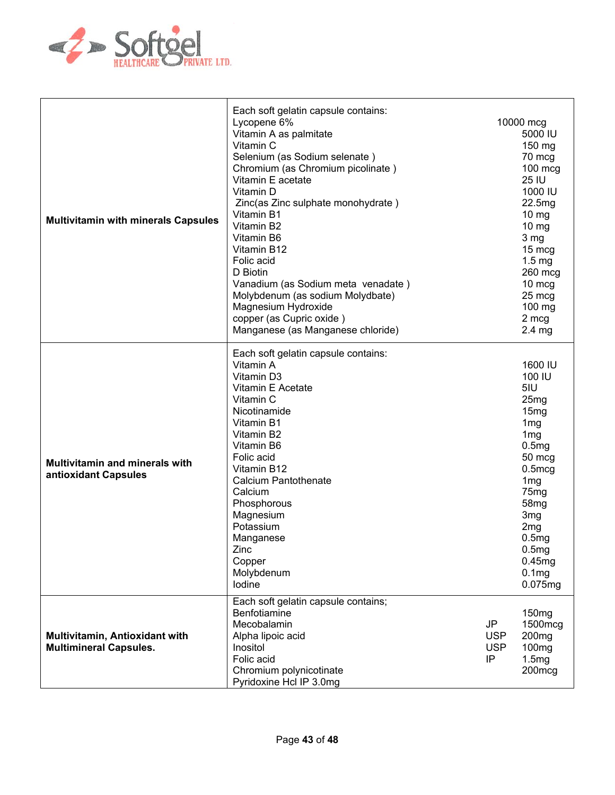

| <b>Multivitamin with minerals Capsules</b>                      | Each soft gelatin capsule contains:<br>Lycopene 6%<br>Vitamin A as palmitate<br>Vitamin C<br>Selenium (as Sodium selenate)<br>Chromium (as Chromium picolinate)<br>Vitamin E acetate<br>Vitamin D<br>Zinc(as Zinc sulphate monohydrate)<br>Vitamin B1<br>Vitamin B2<br>Vitamin B6<br>Vitamin B12<br>Folic acid<br>D Biotin<br>Vanadium (as Sodium meta venadate)<br>Molybdenum (as sodium Molydbate)<br>Magnesium Hydroxide<br>copper (as Cupric oxide)<br>Manganese (as Manganese chloride) |                                      | 10000 mcg<br>5000 IU<br>150 mg<br>70 mcg<br>100 mcg<br>25 IU<br>1000 IU<br>22.5mg<br>$10 \text{ mg}$<br>$10 \text{ mg}$<br>3 mg<br>15 mcg<br>$1.5 \text{ mg}$<br>260 mcg<br>10 mcg<br>25 mcg<br>100 mg<br>2 mcg<br>$2.4 \, mg$                                                          |
|-----------------------------------------------------------------|----------------------------------------------------------------------------------------------------------------------------------------------------------------------------------------------------------------------------------------------------------------------------------------------------------------------------------------------------------------------------------------------------------------------------------------------------------------------------------------------|--------------------------------------|-----------------------------------------------------------------------------------------------------------------------------------------------------------------------------------------------------------------------------------------------------------------------------------------|
| <b>Multivitamin and minerals with</b><br>antioxidant Capsules   | Each soft gelatin capsule contains:<br>Vitamin A<br>Vitamin D3<br>Vitamin E Acetate<br>Vitamin C<br>Nicotinamide<br>Vitamin B1<br>Vitamin B2<br>Vitamin B6<br>Folic acid<br>Vitamin B12<br><b>Calcium Pantothenate</b><br>Calcium<br>Phosphorous<br>Magnesium<br>Potassium<br>Manganese<br>Zinc<br>Copper<br>Molybdenum<br>Iodine                                                                                                                                                            |                                      | 1600 IU<br>100 IU<br>5IU<br>25mg<br>15 <sub>mg</sub><br>1 <sub>mg</sub><br>1 <sub>mg</sub><br>0.5mg<br>50 mcg<br>$0.5$ mcg<br>1 <sub>mg</sub><br>75 <sub>mg</sub><br>58 <sub>mg</sub><br>3 <sub>mg</sub><br>2 <sub>mg</sub><br>0.5mg<br>0.5mg<br>0.45mg<br>0.1 <sub>mg</sub><br>0.075mg |
| Multivitamin, Antioxidant with<br><b>Multimineral Capsules.</b> | Each soft gelatin capsule contains;<br>Benfotiamine<br>Mecobalamin<br>Alpha lipoic acid<br>Inositol<br>Folic acid<br>Chromium polynicotinate<br>Pyridoxine Hcl IP 3.0mg                                                                                                                                                                                                                                                                                                                      | JP<br><b>USP</b><br><b>USP</b><br>IP | 150 <sub>mq</sub><br>1500mcg<br>200 <sub>mg</sub><br>100 <sub>mg</sub><br>1.5mg<br>200mcg                                                                                                                                                                                               |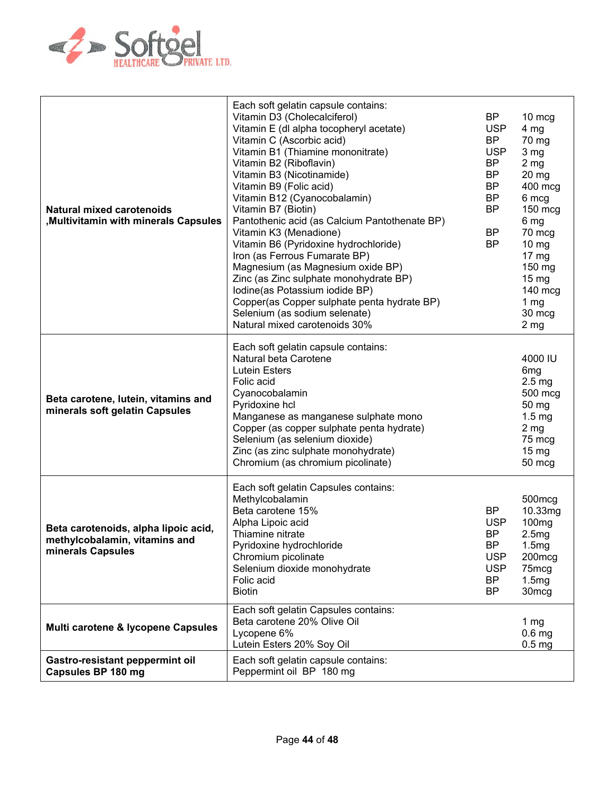

| <b>Natural mixed carotenoids</b><br><b>Multivitamin with minerals Capsules</b>             | Each soft gelatin capsule contains:<br>Vitamin D3 (Cholecalciferol)<br>Vitamin E (dl alpha tocopheryl acetate)<br>Vitamin C (Ascorbic acid)<br>Vitamin B1 (Thiamine mononitrate)<br>Vitamin B2 (Riboflavin)<br>Vitamin B3 (Nicotinamide)<br>Vitamin B9 (Folic acid)<br>Vitamin B12 (Cyanocobalamin)<br>Vitamin B7 (Biotin)<br>Pantothenic acid (as Calcium Pantothenate BP)<br>Vitamin K3 (Menadione)<br>Vitamin B6 (Pyridoxine hydrochloride)<br>Iron (as Ferrous Fumarate BP)<br>Magnesium (as Magnesium oxide BP)<br>Zinc (as Zinc sulphate monohydrate BP)<br>Iodine(as Potassium iodide BP)<br>Copper(as Copper sulphate penta hydrate BP)<br>Selenium (as sodium selenate)<br>Natural mixed carotenoids 30% | <b>BP</b><br><b>USP</b><br><b>BP</b><br><b>USP</b><br>BP<br><b>BP</b><br><b>BP</b><br><b>BP</b><br><b>BP</b><br><b>BP</b><br><b>BP</b> | 10 mcg<br>4 <sub>mg</sub><br>70 mg<br>3 <sub>mg</sub><br>$2 \, mg$<br>$20 \, mg$<br>400 mcg<br>6 mcg<br>150 mcg<br>6 mg<br>70 mcg<br>10 mg<br>$17 \text{ mg}$<br>150 mg<br>$15 \,\mathrm{mg}$<br>$140$ mcg<br>1 $mg$<br>30 mcg<br>2 <sub>mg</sub> |
|--------------------------------------------------------------------------------------------|-------------------------------------------------------------------------------------------------------------------------------------------------------------------------------------------------------------------------------------------------------------------------------------------------------------------------------------------------------------------------------------------------------------------------------------------------------------------------------------------------------------------------------------------------------------------------------------------------------------------------------------------------------------------------------------------------------------------|----------------------------------------------------------------------------------------------------------------------------------------|---------------------------------------------------------------------------------------------------------------------------------------------------------------------------------------------------------------------------------------------------|
| Beta carotene, lutein, vitamins and<br>minerals soft gelatin Capsules                      | Each soft gelatin capsule contains:<br>Natural beta Carotene<br><b>Lutein Esters</b><br>Folic acid<br>Cyanocobalamin<br>Pyridoxine hcl<br>Manganese as manganese sulphate mono<br>Copper (as copper sulphate penta hydrate)<br>Selenium (as selenium dioxide)<br>Zinc (as zinc sulphate monohydrate)<br>Chromium (as chromium picolinate)                                                                                                                                                                                                                                                                                                                                                                         |                                                                                                                                        | 4000 IU<br>6 <sub>mg</sub><br>2.5 <sub>mg</sub><br>500 mcg<br>50 mg<br>$1.5 \text{ mg}$<br>2 <sub>mg</sub><br>75 mcg<br>$15 \text{ mg}$<br>50 mcg                                                                                                 |
| Beta carotenoids, alpha lipoic acid,<br>methylcobalamin, vitamins and<br>minerals Capsules | Each soft gelatin Capsules contains:<br>Methylcobalamin<br>Beta carotene 15%<br>Alpha Lipoic acid<br>Thiamine nitrate<br>Pyridoxine hydrochloride<br>Chromium picolinate<br>Selenium dioxide monohydrate<br>Folic acid<br><b>Biotin</b>                                                                                                                                                                                                                                                                                                                                                                                                                                                                           | BP<br><b>USP</b><br><b>BP</b><br>BP<br><b>USP</b><br><b>USP</b><br><b>BP</b><br><b>BP</b>                                              | 500mcg<br>10.33mg<br>100 <sub>mg</sub><br>2.5mg<br>1.5mg<br>200mcg<br>75mcg<br>1.5mg<br>30 <sub>mcg</sub>                                                                                                                                         |
| Multi carotene & lycopene Capsules                                                         | Each soft gelatin Capsules contains:<br>Beta carotene 20% Olive Oil<br>Lycopene 6%<br>Lutein Esters 20% Soy Oil                                                                                                                                                                                                                                                                                                                                                                                                                                                                                                                                                                                                   |                                                                                                                                        | 1 $mg$<br>$0.6$ mg<br>0.5 <sub>mg</sub>                                                                                                                                                                                                           |
| Gastro-resistant peppermint oil<br>Capsules BP 180 mg                                      | Each soft gelatin capsule contains:<br>Peppermint oil BP 180 mg                                                                                                                                                                                                                                                                                                                                                                                                                                                                                                                                                                                                                                                   |                                                                                                                                        |                                                                                                                                                                                                                                                   |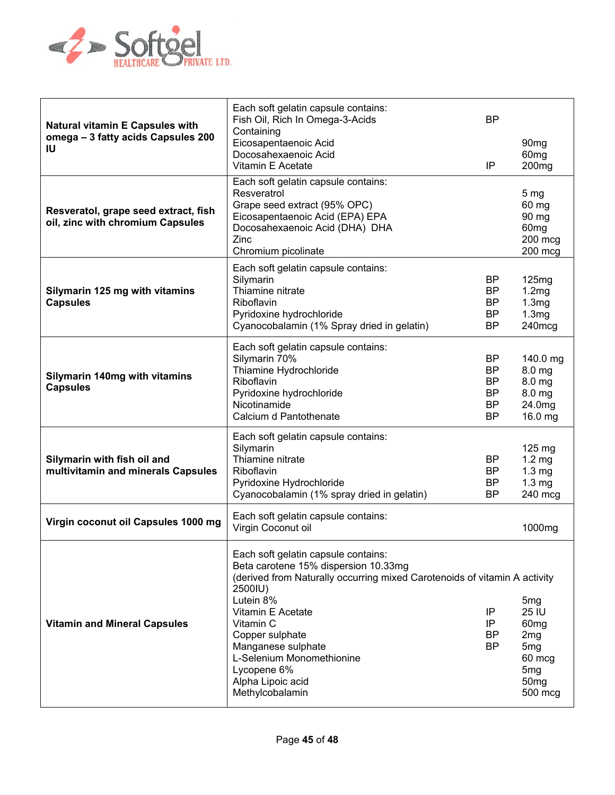

| <b>Natural vitamin E Capsules with</b><br>omega - 3 fatty acids Capsules 200<br>ΙU | Each soft gelatin capsule contains:<br>Fish Oil, Rich In Omega-3-Acids<br>Containing<br>Eicosapentaenoic Acid<br>Docosahexaenoic Acid<br>Vitamin E Acetate                                                                                                                                                                                                                                                                                                                                                                              | <b>BP</b><br>IP                                              | 90 <sub>mg</sub><br>60 <sub>mg</sub><br>200 <sub>mg</sub>                               |
|------------------------------------------------------------------------------------|-----------------------------------------------------------------------------------------------------------------------------------------------------------------------------------------------------------------------------------------------------------------------------------------------------------------------------------------------------------------------------------------------------------------------------------------------------------------------------------------------------------------------------------------|--------------------------------------------------------------|-----------------------------------------------------------------------------------------|
| Resveratol, grape seed extract, fish<br>oil, zinc with chromium Capsules           | Each soft gelatin capsule contains:<br>Resveratrol<br>Grape seed extract (95% OPC)<br>Eicosapentaenoic Acid (EPA) EPA<br>Docosahexaenoic Acid (DHA) DHA<br>Zinc<br>Chromium picolinate                                                                                                                                                                                                                                                                                                                                                  |                                                              | 5 <sub>mg</sub><br>60 mg<br>90 mg<br>60 <sub>mg</sub><br>200 mcg<br>$200$ mcg           |
| Silymarin 125 mg with vitamins<br><b>Capsules</b>                                  | Each soft gelatin capsule contains:<br>Silymarin<br>Thiamine nitrate<br>Riboflavin<br>Pyridoxine hydrochloride<br>Cyanocobalamin (1% Spray dried in gelatin)                                                                                                                                                                                                                                                                                                                                                                            | BP<br>BP<br>BP<br>BP<br>BP                                   | 125mg<br>1.2mg<br>1.3mg<br>1.3mg<br>240mcg                                              |
| <b>Silymarin 140mg with vitamins</b><br><b>Capsules</b>                            | Each soft gelatin capsule contains:<br>Silymarin 70%<br>Thiamine Hydrochloride<br>Riboflavin<br>Pyridoxine hydrochloride<br>Nicotinamide<br>Calcium d Pantothenate                                                                                                                                                                                                                                                                                                                                                                      | BP<br><b>BP</b><br>BP<br><b>BP</b><br><b>BP</b><br><b>BP</b> | 140.0 mg<br>8.0 <sub>mg</sub><br>8.0 <sub>mg</sub><br>8.0 mg<br>24.0mg<br>16.0 mg       |
| Silymarin with fish oil and<br>multivitamin and minerals Capsules                  | Each soft gelatin capsule contains:<br>Silymarin<br>Thiamine nitrate<br>Riboflavin<br>Pyridoxine Hydrochloride<br>Cyanocobalamin (1% spray dried in gelatin)                                                                                                                                                                                                                                                                                                                                                                            | BP<br><b>BP</b><br><b>BP</b><br>BP                           | $125 \text{ mg}$<br>$1.2 \text{ mg}$<br>$1.3 \text{ mg}$<br>$1.3 \text{ mg}$<br>240 mcg |
| Virgin coconut oil Capsules 1000 mg                                                | Each soft gelatin capsule contains:<br>Virgin Coconut oil                                                                                                                                                                                                                                                                                                                                                                                                                                                                               |                                                              | 1000mg                                                                                  |
| <b>Vitamin and Mineral Capsules</b>                                                | Each soft gelatin capsule contains:<br>Beta carotene 15% dispersion 10.33mg<br>(derived from Naturally occurring mixed Carotenoids of vitamin A activity<br>2500IU)<br>Lutein 8%<br>5 <sub>mg</sub><br>25 IU<br>Vitamin E Acetate<br>IP<br>Vitamin C<br>IP<br>60 <sub>mg</sub><br><b>BP</b><br>Copper sulphate<br>2 <sub>mg</sub><br>Manganese sulphate<br><b>BP</b><br>5 <sub>mg</sub><br>L-Selenium Monomethionine<br>60 mcg<br>Lycopene 6%<br>5 <sub>mg</sub><br>Alpha Lipoic acid<br>50 <sub>mg</sub><br>Methylcobalamin<br>500 mcg |                                                              |                                                                                         |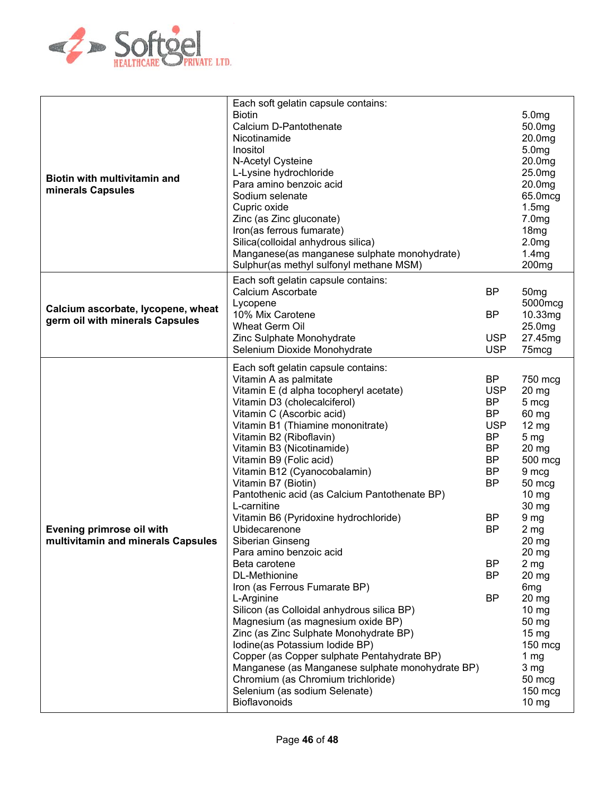

| Biotin with multivitamin and<br>minerals Capsules                     | Each soft gelatin capsule contains:<br><b>Biotin</b><br>Calcium D-Pantothenate<br>Nicotinamide<br>Inositol<br>N-Acetyl Cysteine<br>L-Lysine hydrochloride<br>Para amino benzoic acid<br>Sodium selenate<br>Cupric oxide<br>Zinc (as Zinc gluconate)<br>Iron(as ferrous fumarate)<br>Silica(colloidal anhydrous silica)<br>Manganese(as manganese sulphate monohydrate)<br>Sulphur(as methyl sulfonyl methane MSM)                                                                                                                                                                                                                                                                                                                                                                                                                                                                                                                                                       |                                                                                                                                                                                     | 5.0 <sub>mg</sub><br>50.0mg<br>20.0mg<br>5.0 <sub>mg</sub><br>20.0mg<br>25.0mg<br>20.0mg<br>65.0mcg<br>1.5mg<br>7.0 <sub>mg</sub><br>18 <sub>mg</sub><br>2.0 <sub>mg</sub><br>1.4mg<br>200 <sub>mg</sub>                                                                                                                                                                        |
|-----------------------------------------------------------------------|-------------------------------------------------------------------------------------------------------------------------------------------------------------------------------------------------------------------------------------------------------------------------------------------------------------------------------------------------------------------------------------------------------------------------------------------------------------------------------------------------------------------------------------------------------------------------------------------------------------------------------------------------------------------------------------------------------------------------------------------------------------------------------------------------------------------------------------------------------------------------------------------------------------------------------------------------------------------------|-------------------------------------------------------------------------------------------------------------------------------------------------------------------------------------|---------------------------------------------------------------------------------------------------------------------------------------------------------------------------------------------------------------------------------------------------------------------------------------------------------------------------------------------------------------------------------|
| Calcium ascorbate, lycopene, wheat<br>germ oil with minerals Capsules | Each soft gelatin capsule contains:<br>Calcium Ascorbate<br>Lycopene<br>10% Mix Carotene<br>Wheat Germ Oil<br>Zinc Sulphate Monohydrate<br>Selenium Dioxide Monohydrate                                                                                                                                                                                                                                                                                                                                                                                                                                                                                                                                                                                                                                                                                                                                                                                                 | BP<br><b>BP</b><br><b>USP</b><br><b>USP</b>                                                                                                                                         | 50 <sub>mg</sub><br>5000mcg<br>10.33mg<br>25.0mg<br>27.45mg<br>75mcg                                                                                                                                                                                                                                                                                                            |
| Evening primrose oil with<br>multivitamin and minerals Capsules       | Each soft gelatin capsule contains:<br>Vitamin A as palmitate<br>Vitamin E (d alpha tocopheryl acetate)<br>Vitamin D3 (cholecalciferol)<br>Vitamin C (Ascorbic acid)<br>Vitamin B1 (Thiamine mononitrate)<br>Vitamin B2 (Riboflavin)<br>Vitamin B3 (Nicotinamide)<br>Vitamin B9 (Folic acid)<br>Vitamin B12 (Cyanocobalamin)<br>Vitamin B7 (Biotin)<br>Pantothenic acid (as Calcium Pantothenate BP)<br>L-carnitine<br>Vitamin B6 (Pyridoxine hydrochloride)<br>Ubidecarenone<br>Siberian Ginseng<br>Para amino benzoic acid<br>Beta carotene<br>DL-Methionine<br>Iron (as Ferrous Fumarate BP)<br>L-Arginine<br>Silicon (as Colloidal anhydrous silica BP)<br>Magnesium (as magnesium oxide BP)<br>Zinc (as Zinc Sulphate Monohydrate BP)<br>Iodine(as Potassium Iodide BP)<br>Copper (as Copper sulphate Pentahydrate BP)<br>Manganese (as Manganese sulphate monohydrate BP)<br>Chromium (as Chromium trichloride)<br>Selenium (as sodium Selenate)<br>Bioflavonoids | <b>BP</b><br><b>USP</b><br><b>BP</b><br><b>BP</b><br><b>USP</b><br><b>BP</b><br><b>BP</b><br><b>BP</b><br><b>BP</b><br><b>BP</b><br>BP<br>BP<br><b>BP</b><br><b>BP</b><br><b>BP</b> | 750 mcg<br>$20$ mg<br>5 mcg<br>60 mg<br>$12 \text{ mg}$<br>5 <sub>mg</sub><br>$20$ mg<br>500 mcg<br>9 mcg<br>50 mcg<br>$10 \, mg$<br>30 mg<br>9 <sub>mg</sub><br>2 <sub>mg</sub><br>20 mg<br>20 mg<br>2 <sub>mg</sub><br>20 mg<br>6 <sub>mg</sub><br>20 mg<br>$10 \, mg$<br>50 mg<br>$15 \,\mathrm{mg}$<br>150 mcg<br>1 $mg$<br>3 <sub>mg</sub><br>50 mcg<br>$150$ mcg<br>10 mg |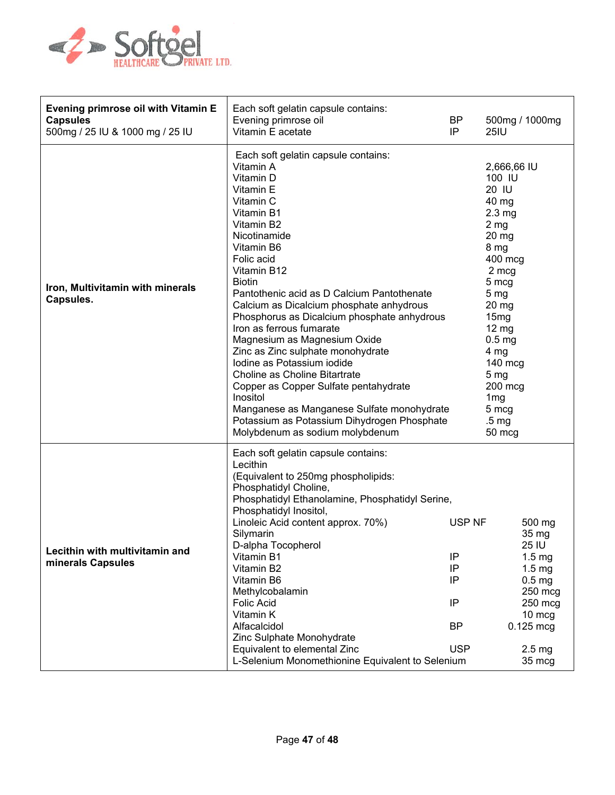

| Evening primrose oil with Vitamin E<br><b>Capsules</b><br>500mg / 25 IU & 1000 mg / 25 IU | Each soft gelatin capsule contains:<br>Evening primrose oil<br>Vitamin E acetate                                                                                                                                                                                                                                                                                                                                                                                                                                                                                                                                                                                                              | <b>BP</b><br>IP                                           | 500mg / 1000mg<br>25IU                                                                                                                                                                                                                                                                                                                   |
|-------------------------------------------------------------------------------------------|-----------------------------------------------------------------------------------------------------------------------------------------------------------------------------------------------------------------------------------------------------------------------------------------------------------------------------------------------------------------------------------------------------------------------------------------------------------------------------------------------------------------------------------------------------------------------------------------------------------------------------------------------------------------------------------------------|-----------------------------------------------------------|------------------------------------------------------------------------------------------------------------------------------------------------------------------------------------------------------------------------------------------------------------------------------------------------------------------------------------------|
| Iron, Multivitamin with minerals<br>Capsules.                                             | Each soft gelatin capsule contains:<br>Vitamin A<br>Vitamin D<br>Vitamin E<br>Vitamin C<br>Vitamin B1<br>Vitamin B2<br>Nicotinamide<br>Vitamin B6<br>Folic acid<br>Vitamin B12<br><b>Biotin</b><br>Pantothenic acid as D Calcium Pantothenate<br>Calcium as Dicalcium phosphate anhydrous<br>Phosphorus as Dicalcium phosphate anhydrous<br>Iron as ferrous fumarate<br>Magnesium as Magnesium Oxide<br>Zinc as Zinc sulphate monohydrate<br>Iodine as Potassium iodide<br>Choline as Choline Bitartrate<br>Copper as Copper Sulfate pentahydrate<br>Inositol<br>Manganese as Manganese Sulfate monohydrate<br>Potassium as Potassium Dihydrogen Phosphate<br>Molybdenum as sodium molybdenum |                                                           | 2,666,66 IU<br>100 IU<br>20 IU<br>40 mg<br>2.3 <sub>mg</sub><br>2 <sub>mg</sub><br>20 <sub>mg</sub><br>8 mg<br>400 mcg<br>2 mcg<br>5 mcg<br>5 <sub>mg</sub><br>$20 \, mg$<br>15mg<br>$12 \text{ mg}$<br>0.5 <sub>mg</sub><br>4 mg<br>$140$ mcg<br>5 <sub>mg</sub><br>$200$ mcg<br>1 <sub>mg</sub><br>5 mcg<br>.5 <sub>mg</sub><br>50 mcg |
| Lecithin with multivitamin and<br>minerals Capsules                                       | Each soft gelatin capsule contains:<br>Lecithin<br>(Equivalent to 250mg phospholipids:<br>Phosphatidyl Choline,<br>Phosphatidyl Ethanolamine, Phosphatidyl Serine,<br>Phosphatidyl Inositol,<br>Linoleic Acid content approx. 70%)<br>Silymarin<br>D-alpha Tocopherol<br>Vitamin B1<br>Vitamin B2<br>Vitamin B6<br>Methylcobalamin<br><b>Folic Acid</b><br>Vitamin K<br>Alfacalcidol<br>Zinc Sulphate Monohydrate<br>Equivalent to elemental Zinc<br>L-Selenium Monomethionine Equivalent to Selenium                                                                                                                                                                                         | USP NF<br>IP<br>IP<br>IP<br>IP<br><b>BP</b><br><b>USP</b> | 500 mg<br>35 mg<br>25 IU<br>1.5 <sub>mg</sub><br>1.5 <sub>mg</sub><br>0.5 <sub>mg</sub><br>250 mcg<br>250 mcg<br>10 mcg<br>$0.125$ mcg<br>2.5 <sub>mg</sub><br>35 mcg                                                                                                                                                                    |